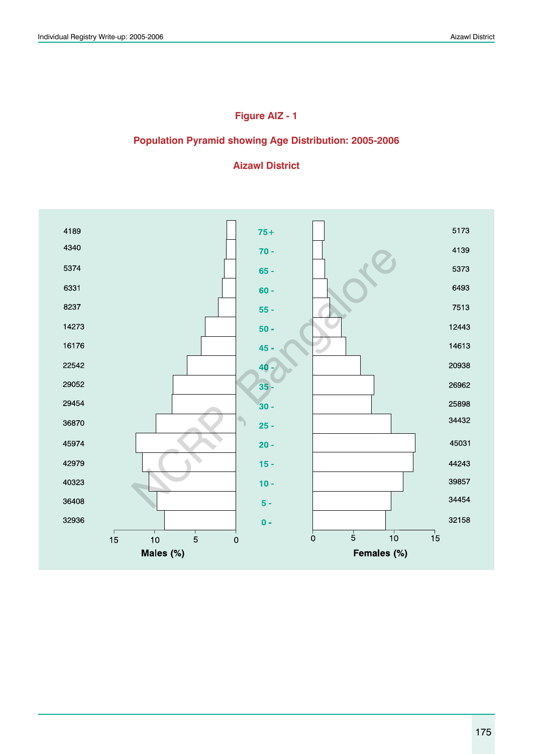# **Figure AIZ - 1**

#### **Population Pyramid showing Age Distribution: 2005-2006**

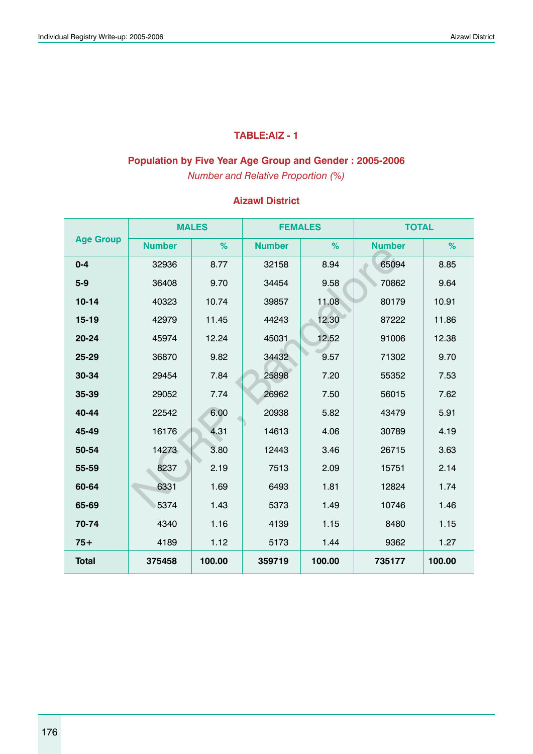### **TABLE:AIZ - 1**

### **Population by Five Year Age Group and Gender : 2005-2006**

*Number and Relative Proportion (%)*

|                  |               | <b>MALES</b> | <b>FEMALES</b> |        | <b>TOTAL</b>  |        |
|------------------|---------------|--------------|----------------|--------|---------------|--------|
| <b>Age Group</b> | <b>Number</b> | %            | <b>Number</b>  | %      | <b>Number</b> | %      |
| $0 - 4$          | 32936         | 8.77         | 32158          | 8.94   | 65094         | 8.85   |
| $5 - 9$          | 36408         | 9.70         | 34454          | 9.58   | 70862         | 9.64   |
| $10 - 14$        | 40323         | 10.74        | 39857          | 11.08  | 80179         | 10.91  |
| $15 - 19$        | 42979         | 11.45        | 44243          | 12.30  | 87222         | 11.86  |
| 20-24            | 45974         | 12.24        | 45031          | 12.52  | 91006         | 12.38  |
| 25-29            | 36870         | 9.82         | 34432          | 9.57   | 71302         | 9.70   |
| 30-34            | 29454         | 7.84         | 25898          | 7.20   | 55352         | 7.53   |
| 35-39            | 29052         | 7.74         | 26962          | 7.50   | 56015         | 7.62   |
| 40-44            | 22542         | 6.00         | 20938          | 5.82   | 43479         | 5.91   |
| 45-49            | 16176         | 4.31         | 14613          | 4.06   | 30789         | 4.19   |
| 50-54            | 14273         | 3.80         | 12443          | 3.46   | 26715         | 3.63   |
| 55-59            | 8237          | 2.19         | 7513           | 2.09   | 15751         | 2.14   |
| 60-64            | 6331          | 1.69         | 6493           | 1.81   | 12824         | 1.74   |
| 65-69            | 5374          | 1.43         | 5373           | 1.49   | 10746         | 1.46   |
| 70-74            | 4340          | 1.16         | 4139           | 1.15   | 8480          | 1.15   |
| $75+$            | 4189          | 1.12         | 5173           | 1.44   | 9362          | 1.27   |
| <b>Total</b>     | 375458        | 100.00       | 359719         | 100.00 | 735177        | 100.00 |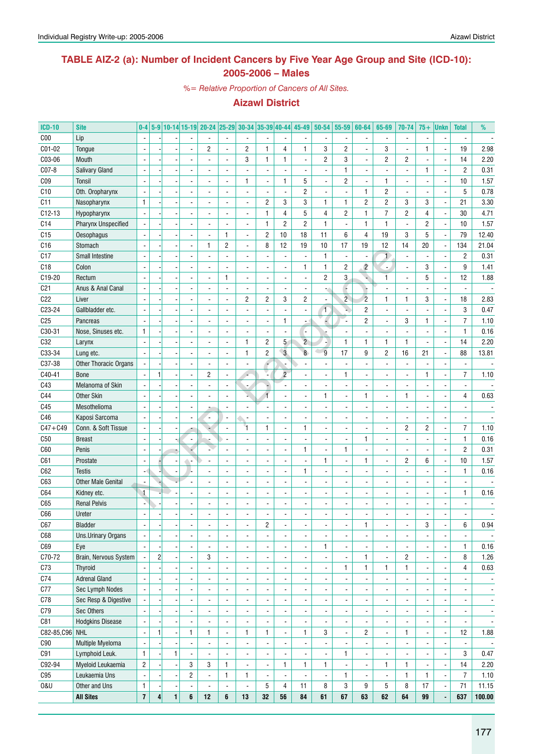### **TABLE AIZ-2 (a): Number of Incident Cancers by Five Year Age Group and Site (ICD-10): 2005-2006 – Males**

*%= Relative Proportion of Cancers of All Sites.*

| <b>ICD-10</b>   | <b>Site</b>                       | $0-4$                    |                |                          |                               | 5-9 10-14 15-19 20-24 25-29 30-34 35-39 40-44 45-49 |                          |                          |                          |                          |                          | $50 - 54$                | 55-59                    | 60-64                    | 65-69                        | 70-74                    | $75+$                    | <b>Unkn</b>                   | <b>Total</b>             | %                        |
|-----------------|-----------------------------------|--------------------------|----------------|--------------------------|-------------------------------|-----------------------------------------------------|--------------------------|--------------------------|--------------------------|--------------------------|--------------------------|--------------------------|--------------------------|--------------------------|------------------------------|--------------------------|--------------------------|-------------------------------|--------------------------|--------------------------|
| C <sub>00</sub> | Lip                               |                          |                |                          |                               |                                                     |                          | $\overline{a}$           | $\overline{\phantom{a}}$ | $\overline{\phantom{a}}$ | $\overline{\phantom{a}}$ | -                        | $\overline{\phantom{a}}$ |                          | $\overline{\phantom{a}}$     | $\frac{1}{2}$            |                          | Ĭ,                            | $\blacksquare$           |                          |
| C01-02          | Tongue                            |                          |                |                          |                               | 2                                                   |                          | $\overline{c}$           | 1                        | 4                        | 1                        | 3                        | $\overline{2}$           |                          | 3                            | $\frac{1}{2}$            | 1                        | $\overline{\phantom{a}}$      | 19                       | 2.98                     |
| C03-06          | Mouth                             |                          |                |                          |                               |                                                     |                          | 3                        | 1                        | 1                        | $\overline{\phantom{a}}$ | $\overline{c}$           | 3                        |                          | 2                            | $\overline{c}$           |                          | $\overline{\phantom{a}}$      | 14                       | 2.20                     |
| C07-8           | <b>Salivary Gland</b>             |                          |                |                          |                               |                                                     |                          |                          |                          | $\blacksquare$           |                          |                          | $\mathbf{1}$             |                          |                              | $\overline{a}$           | 1                        | $\overline{\phantom{a}}$      | $\overline{2}$           | 0.31                     |
| CO <sub>9</sub> | Tonsil                            |                          |                |                          |                               |                                                     |                          | 1                        | -                        | $\mathbf{1}$             | 5                        |                          | $\overline{2}$           |                          | 1                            | $\frac{1}{2}$            |                          | $\blacksquare$                | 10                       | 1.57                     |
| C10             | Oth. Oropharynx                   |                          |                |                          |                               |                                                     |                          |                          | -                        | $\blacksquare$           | $\overline{c}$           |                          | $\overline{\phantom{a}}$ | $\mathbf{1}$             | 2                            | $\frac{1}{2}$            |                          |                               | 5                        | 0.78                     |
| C <sub>11</sub> | Nasopharynx                       | $\mathbf{1}$             |                |                          |                               |                                                     |                          |                          | 2                        | 3                        | 3                        | $\mathbf{1}$             | 1                        | 2                        | 2                            | 3                        | 3                        | $\blacksquare$                | 21                       | 3.30                     |
| $C12-13$        |                                   |                          |                |                          |                               |                                                     |                          |                          | 1                        | 4                        | 5                        | 4                        | $\overline{c}$           | $\mathbf{1}$             | $\overline{7}$               | $\overline{c}$           | 4                        |                               | 30                       | 4.71                     |
|                 | Hypopharynx                       |                          |                |                          |                               |                                                     |                          |                          |                          | $\overline{c}$           | $\overline{c}$           | $\mathbf{1}$             |                          | $\mathbf{1}$             | 1                            |                          | $\overline{2}$           | $\overline{\phantom{a}}$      | 10                       |                          |
| C <sub>14</sub> | Pharynx Unspecified               |                          |                |                          |                               |                                                     |                          |                          | 1                        |                          |                          |                          | $\blacksquare$           |                          |                              | $\frac{1}{2}$            |                          | ÷                             |                          | 1.57                     |
| C15             | Oesophagus                        |                          |                |                          |                               |                                                     | $\mathbf{1}$             | ÷,                       | $\overline{c}$           | 10                       | 18                       | 11                       | 6                        | 4                        | 19                           | 3                        | 5                        | ÷                             | 79                       | 12.40                    |
| C <sub>16</sub> | Stomach                           |                          |                |                          |                               | 1                                                   | $\overline{2}$           | $\overline{a}$           | 8                        | 12                       | 19                       | 10                       | 17                       | 19                       | 12                           | 14                       | 20                       | $\blacksquare$                | 134                      | 21.04                    |
| C17             | <b>Small Intestine</b>            |                          |                |                          |                               |                                                     |                          |                          |                          | $\blacksquare$           | $\blacksquare$           | 1                        | $\blacksquare$           | $\overline{\phantom{a}}$ | $\mathbf{1}$                 | $\blacksquare$           | $\blacksquare$           | $\blacksquare$                | $\overline{2}$           | 0.31                     |
| C <sub>18</sub> | Colon                             |                          |                |                          |                               |                                                     |                          |                          | $\overline{a}$           | $\overline{\phantom{a}}$ | 1                        | $\mathbf{1}$             | $\overline{\mathbf{c}}$  | $\overline{c}$           | $\Box$                       |                          | 3                        | $\overline{a}$                | 9                        | 1.41                     |
| C19-20          | Rectum                            |                          |                |                          |                               |                                                     | $\mathbf{1}$             | $\overline{a}$           | $\overline{a}$           | $\blacksquare$           | ä,                       | $\overline{2}$           | 3                        |                          | 1                            | $\overline{a}$           | 5                        | $\blacksquare$                | 12                       | 1.88                     |
| C <sub>21</sub> | Anus & Anal Canal                 |                          |                |                          |                               |                                                     |                          | $\overline{a}$           | $\frac{1}{2}$            | $\blacksquare$           | $\blacksquare$           |                          | Ç                        |                          |                              |                          |                          | $\overline{\phantom{a}}$      | $\blacksquare$           |                          |
| C22             | Liver                             |                          |                |                          |                               |                                                     |                          | $\overline{\mathbf{c}}$  | 2                        | 3                        | $\overline{c}$           |                          | $\overline{2}$           | $\overline{c}$           | 1                            | $\mathbf{1}$             | 3                        | $\blacksquare$                | 18                       | 2.83                     |
| C23-24          | Gallbladder etc.                  |                          |                |                          |                               |                                                     |                          | ÷,                       | $\overline{a}$           | $\blacksquare$           | $\overline{\phantom{a}}$ | $\mathbf{1}$             | ×,                       | $\overline{c}$           |                              | $\overline{a}$           |                          | $\overline{\phantom{a}}$      | 3                        | 0.47                     |
| C <sub>25</sub> | Pancreas                          |                          |                |                          |                               |                                                     |                          |                          | -                        | $\mathbf{1}$             |                          |                          | Ξ.                       | $\overline{c}$           |                              | 3                        | 1                        | $\overline{\phantom{a}}$      | $\overline{7}$           | 1.10                     |
| C30-31          | Nose, Sinuses etc.                | $\mathbf{1}$             |                |                          |                               |                                                     |                          |                          |                          | $\overline{\phantom{a}}$ | ٠                        |                          |                          |                          |                              | $\overline{a}$           |                          | Ĭ,                            | 1                        | 0.16                     |
| C32             | Larynx                            |                          |                |                          |                               |                                                     |                          | 1                        | $\overline{c}$           | 5 <sup>5</sup>           | $\overline{2}$           |                          | $\mathbf{1}$             | $\mathbf{1}$             | 1                            | $\mathbf{1}$             |                          | $\blacksquare$                | 14                       | 2.20                     |
| C33-34          | Lung etc.                         |                          |                |                          |                               |                                                     |                          | 1                        | $\overline{c}$           | $\overline{3}$           | $\delta$                 | $\overline{9}$           | 17                       | 9                        | 2                            | 16                       | 21                       | $\blacksquare$                | 88                       | 13.81                    |
| C37-38          | Other Thoracic Organs             |                          |                |                          |                               |                                                     |                          | $\overline{a}$           |                          |                          | $\overline{\phantom{a}}$ |                          | $\overline{\phantom{a}}$ |                          |                              | $\frac{1}{2}$            |                          | Ĭ,                            | $\overline{\phantom{a}}$ |                          |
| C40-41          | <b>Bone</b>                       |                          |                |                          |                               | $\overline{c}$                                      |                          |                          |                          | $\overline{c}$           |                          |                          | 1                        |                          |                              | $\frac{1}{2}$            | 1                        | $\overline{\phantom{a}}$      | $\overline{7}$           | 1.10                     |
| C43             | Melanoma of Skin                  |                          |                |                          |                               |                                                     |                          |                          |                          |                          |                          |                          | $\blacksquare$           |                          |                              | $\frac{1}{2}$            |                          | ÷,                            | $\blacksquare$           |                          |
| C44             | <b>Other Skin</b>                 |                          |                |                          |                               |                                                     |                          |                          |                          |                          |                          | 1                        | $\blacksquare$           | 1                        |                              | $\mathbf{1}$             |                          | Ĭ.                            | 4                        | 0.63                     |
| C45             | Mesothelioma                      |                          |                |                          |                               |                                                     |                          |                          |                          | $\overline{a}$           |                          |                          | $\overline{\phantom{a}}$ |                          |                              | $\overline{a}$           |                          |                               |                          |                          |
| C46             | Kaposi Sarcoma                    |                          |                |                          |                               | $\frac{1}{2}$                                       |                          | ÷,                       | $\overline{a}$           | $\overline{a}$           |                          |                          | $\overline{\phantom{a}}$ |                          |                              | $\frac{1}{2}$            |                          |                               |                          |                          |
| $C47 + C49$     | Conn. & Soft Tissue               |                          |                |                          |                               |                                                     |                          | 1                        | 1                        | $\blacksquare$           | $\mathbf{1}$             |                          | $\overline{\phantom{a}}$ |                          |                              | $\overline{c}$           | $\overline{c}$           | $\overline{\phantom{a}}$      | $\overline{7}$           | 1.10                     |
| C50             | <b>Breast</b>                     |                          |                |                          |                               |                                                     |                          |                          | $\overline{a}$           | $\overline{a}$           |                          |                          | $\overline{\phantom{a}}$ | 1                        |                              | $\overline{a}$           |                          | $\blacksquare$                | $\mathbf{1}$             | 0.16                     |
| C60             | Penis                             |                          |                |                          |                               |                                                     |                          |                          |                          | $\overline{a}$           | $\mathbf{1}$             |                          | 1                        |                          |                              | $\overline{a}$           |                          | $\qquad \qquad \blacksquare$  | $\overline{2}$           | 0.31                     |
| C61             | Prostate                          |                          |                |                          |                               |                                                     |                          |                          |                          |                          |                          | 1                        |                          | 1                        |                              | $\overline{c}$           | 6                        |                               | 10                       | 1.57                     |
|                 |                                   |                          |                |                          |                               |                                                     |                          |                          |                          | $\overline{\phantom{a}}$ |                          |                          | $\overline{\phantom{a}}$ |                          |                              |                          |                          | $\overline{\phantom{a}}$      |                          |                          |
| C62             | <b>Testis</b>                     |                          |                |                          |                               |                                                     |                          |                          |                          | $\overline{\phantom{a}}$ | 1                        |                          |                          |                          |                              | $\overline{a}$           |                          | Ĭ,                            | 1                        | 0.16                     |
| C63             | <b>Other Male Genital</b>         |                          |                |                          |                               |                                                     |                          |                          |                          |                          |                          |                          |                          |                          |                              |                          |                          |                               | $\overline{\phantom{a}}$ |                          |
| C64             | Kidney etc.                       | $\mathbf{1}$             |                |                          |                               |                                                     |                          |                          |                          | $\overline{\phantom{a}}$ |                          |                          |                          |                          |                              |                          |                          |                               | $\mathbf{1}$             | 0.16                     |
| C65             | <b>Renal Pelvis</b>               |                          |                |                          |                               |                                                     |                          |                          |                          | $\overline{\phantom{a}}$ |                          |                          | $\blacksquare$           |                          |                              |                          |                          |                               |                          |                          |
| C66             | Ureter                            |                          |                |                          |                               |                                                     |                          |                          |                          |                          |                          |                          |                          |                          |                              |                          |                          |                               |                          |                          |
| C67             | <b>Bladder</b>                    | $\overline{\phantom{a}}$ |                | $\overline{\phantom{a}}$ | -                             | $\overline{\phantom{a}}$                            |                          | ٠                        | 2                        | ٠                        | $\overline{\phantom{a}}$ | -                        | ٠                        | 1                        | ۰                            | $\overline{\phantom{a}}$ | 3                        | $\overline{\phantom{a}}$      | 6                        | 0.94                     |
| C68             | Uns.Urinary Organs                | $\overline{\phantom{a}}$ |                |                          | $\qquad \qquad \blacksquare$  | $\blacksquare$                                      | $\overline{\phantom{a}}$ | ÷,                       | $\overline{\phantom{a}}$ | $\overline{\phantom{a}}$ | $\overline{\phantom{a}}$ |                          | $\blacksquare$           | ÷,                       | $\overline{\phantom{a}}$     | $\frac{1}{2}$            | ä,                       | $\blacksquare$                | $\blacksquare$           | $\overline{\phantom{a}}$ |
| C69             | Eye                               |                          |                |                          | $\qquad \qquad \blacksquare$  | $\blacksquare$                                      | $\overline{\phantom{a}}$ | ÷,                       | $\frac{1}{2}$            | $\overline{\phantom{a}}$ | $\overline{\phantom{a}}$ | $\mathbf{1}$             | $\blacksquare$           | $\overline{a}$           | $\overline{\phantom{a}}$     | $\frac{1}{2}$            | ä,                       | $\blacksquare$                | $\mathbf{1}$             | 0.16                     |
| C70-72          | Brain, Nervous System             |                          | $\overline{2}$ |                          | $\blacksquare$                | 3                                                   | $\overline{\phantom{a}}$ | $\overline{a}$           | $\frac{1}{2}$            | $\overline{\phantom{a}}$ | $\overline{\phantom{a}}$ | $\frac{1}{2}$            | $\blacksquare$           | 1                        | $\overline{\phantom{a}}$     | $\overline{c}$           | $\overline{\phantom{a}}$ | $\overline{a}$                | 8                        | 1.26                     |
| C73             | Thyroid                           |                          |                |                          | $\blacksquare$                | $\overline{\phantom{0}}$                            | $\overline{\phantom{a}}$ | $\overline{a}$           | -                        | $\overline{\phantom{a}}$ | $\overline{\phantom{a}}$ | $\overline{a}$           | 1                        | $\mathbf{1}$             | 1                            | 1                        | $\overline{\phantom{a}}$ | $\overline{\phantom{a}}$      | 4                        | 0.63                     |
| C74             | <b>Adrenal Gland</b>              |                          |                |                          | $\blacksquare$                | -                                                   | $\overline{\phantom{a}}$ | $\overline{a}$           | -                        | $\overline{\phantom{a}}$ | $\overline{\phantom{a}}$ | $\overline{a}$           | $\blacksquare$           | $\overline{a}$           | $\overline{\phantom{a}}$     | $\frac{1}{2}$            |                          | $\qquad \qquad \blacksquare$  | $\overline{\phantom{a}}$ | $\overline{\phantom{a}}$ |
| C77             | Sec Lymph Nodes                   |                          |                |                          | $\blacksquare$                | -                                                   | $\overline{\phantom{a}}$ | $\overline{a}$           | -                        | $\overline{\phantom{a}}$ | $\overline{\phantom{a}}$ | -                        | $\overline{\phantom{a}}$ | $\overline{\phantom{a}}$ | $\overline{\phantom{a}}$     | $\frac{1}{2}$            |                          | $\qquad \qquad \blacksquare$  | $\overline{\phantom{a}}$ | $\overline{\phantom{a}}$ |
| C78             | Sec Resp & Digestive              |                          |                |                          | $\blacksquare$                | -                                                   | $\overline{\phantom{a}}$ | $\overline{a}$           | -                        | $\overline{\phantom{a}}$ | $\overline{\phantom{a}}$ | -                        | $\overline{\phantom{a}}$ | $\overline{\phantom{a}}$ | $\overline{\phantom{a}}$     | $\frac{1}{2}$            |                          | $\qquad \qquad \blacksquare$  | $\overline{\phantom{a}}$ | $\overline{\phantom{a}}$ |
| C79             | Sec Others                        |                          |                |                          | $\overline{\phantom{a}}$      | -                                                   | $\overline{\phantom{a}}$ | $\overline{a}$           | -                        | $\overline{\phantom{a}}$ | $\overline{\phantom{a}}$ | -                        | $\overline{\phantom{a}}$ | $\frac{1}{2}$            | $\qquad \qquad \blacksquare$ | $\frac{1}{2}$            |                          | $\qquad \qquad \blacksquare$  | ٠                        | $\overline{\phantom{a}}$ |
| C81             | <b>Hodgkins Disease</b>           |                          |                |                          | $\overline{\phantom{a}}$      | $\overline{\phantom{a}}$                            | $\overline{\phantom{a}}$ | $\overline{a}$           | $\overline{\phantom{a}}$ | $\overline{\phantom{a}}$ | $\overline{\phantom{a}}$ | -                        | ٠                        | $\overline{\phantom{a}}$ | ٠                            | $\frac{1}{2}$            |                          | $\overline{\phantom{m}}$      | $\overline{\phantom{a}}$ | $\overline{\phantom{a}}$ |
| C82-85, C96 NHL |                                   | $\blacksquare$           | 1              |                          | $\mathbf{1}$                  | $\mathbf{1}$                                        | $\overline{\phantom{a}}$ | 1                        | 1                        | $\overline{\phantom{a}}$ | 1                        | 3                        | $\overline{\phantom{a}}$ | 2                        | $\overline{\phantom{a}}$     | 1                        | $\overline{\phantom{a}}$ | $\overline{\phantom{a}}$      | 12                       | 1.88                     |
| C90             | Multiple Myeloma                  | $\overline{a}$           |                |                          | $\overline{\phantom{a}}$      | $\overline{\phantom{a}}$                            | $\overline{\phantom{a}}$ | ÷,                       | $\overline{\phantom{a}}$ | $\overline{\phantom{a}}$ | $\overline{\phantom{a}}$ | $\frac{1}{2}$            | $\blacksquare$           | $\overline{a}$           | $\qquad \qquad \blacksquare$ | $\frac{1}{2}$            | $\overline{\phantom{a}}$ | $\blacksquare$                | $\overline{\phantom{a}}$ | $\overline{\phantom{a}}$ |
| C91             | Lymphoid Leuk.                    | $\mathbf{1}$             |                | 1                        | $\overline{\phantom{a}}$      | $\overline{\phantom{a}}$                            | $\overline{\phantom{a}}$ | $\overline{\phantom{a}}$ | $\overline{\phantom{a}}$ | $\blacksquare$           | $\overline{\phantom{a}}$ | $\frac{1}{2}$            | 1                        | $\overline{\phantom{a}}$ | $\overline{\phantom{a}}$     | $\frac{1}{2}$            | $\blacksquare$           | $\overline{a}$                | 3                        | 0.47                     |
| C92-94          | Myeloid Leukaemia                 | $\overline{2}$           |                |                          | 3                             | 3                                                   | $\mathbf{1}$             | $\blacksquare$           | $\overline{\phantom{a}}$ | $\mathbf{1}$             | 1                        | $\mathbf{1}$             | $\blacksquare$           | $\overline{\phantom{a}}$ | 1                            | 1                        | $\blacksquare$           | $\overline{\phantom{a}}$      | 14                       | 2.20                     |
| C95             | Leukaemia Uns                     | $\overline{a}$           |                |                          | $\overline{c}$                |                                                     | $\mathbf{1}$             | 1                        |                          | $\blacksquare$           |                          | $\overline{\phantom{a}}$ |                          |                          | ÷,                           | 1                        |                          |                               | $\overline{7}$           | 1.10                     |
|                 |                                   |                          |                |                          |                               | $\blacksquare$                                      |                          |                          | $\overline{\phantom{a}}$ |                          | $\overline{\phantom{a}}$ | 8                        | 1                        | $\overline{\phantom{a}}$ |                              |                          | 1                        | $\overline{\phantom{a}}$      | 71                       |                          |
| <b>0&amp;U</b>  | Other and Uns<br><b>All Sites</b> | $\mathbf{1}$<br>$\bf 7$  | 4              | 1                        | $\overline{\phantom{a}}$<br>6 | $\overline{\phantom{a}}$<br>12                      | $\overline{a}$<br>6      | ÷,<br>13                 | 5<br>32                  | 4<br>${\bf 56}$          | 11<br>84                 | 61                       | 3<br>67                  | 9<br>63                  | 5<br>62                      | 8<br>64                  | 17<br>99                 | $\overline{\phantom{a}}$<br>÷ | 637                      | 11.15<br>100.00          |
|                 |                                   |                          |                |                          |                               |                                                     |                          |                          |                          |                          |                          |                          |                          |                          |                              |                          |                          |                               |                          |                          |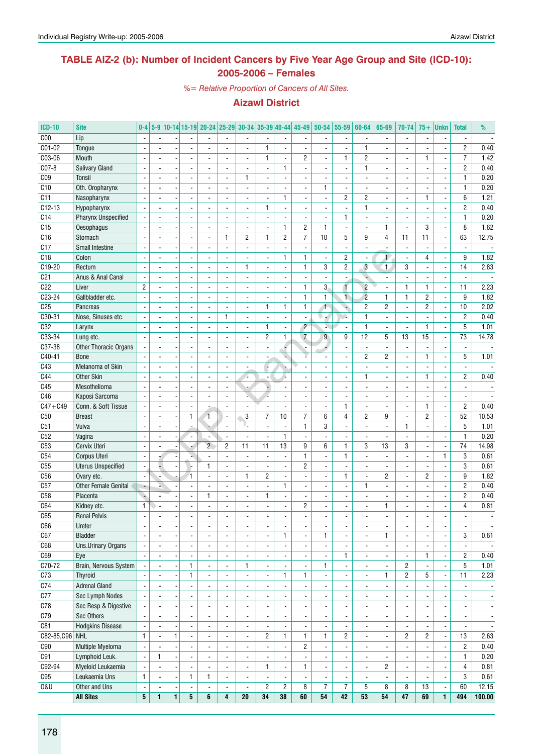### **TABLE AIZ-2 (b): Number of Incident Cancers by Five Year Age Group and Site (ICD-10): 2005-2006 – Females**

*%= Relative Proportion of Cancers of All Sites.*

| <b>ICD-10</b>   | <b>Site</b>               | $0 - 4$                  |              |                          |                          | 5-9 10-14 15-19 20-24 25-29 30-34 35-39 40-44 |                          |                          |                          |                          | 45-49                    | 50-54                    | 55-59                    | 60-64                    | 65-69                        | 70-74                    | $75+$                    | <b>Unkn</b>                  | <b>Total</b>             | %                        |
|-----------------|---------------------------|--------------------------|--------------|--------------------------|--------------------------|-----------------------------------------------|--------------------------|--------------------------|--------------------------|--------------------------|--------------------------|--------------------------|--------------------------|--------------------------|------------------------------|--------------------------|--------------------------|------------------------------|--------------------------|--------------------------|
| C <sub>00</sub> | Lip                       |                          |              |                          |                          |                                               |                          | ÷,                       |                          | $\overline{a}$           |                          |                          | $\blacksquare$           |                          | $\overline{a}$               | ÷.                       |                          | Ĭ.                           | $\blacksquare$           |                          |
| C01-02          | Tongue                    |                          |              |                          |                          |                                               |                          | $\overline{\phantom{a}}$ | $\mathbf{1}$             | $\overline{\phantom{a}}$ |                          |                          | $\overline{\phantom{a}}$ | $\mathbf{1}$             | $\blacksquare$               | $\overline{\phantom{a}}$ |                          | Ĭ.                           | $\overline{c}$           | 0.40                     |
| C03-06          | Mouth                     |                          |              |                          |                          |                                               | $\overline{\phantom{a}}$ | $\overline{a}$           | $\mathbf{1}$             | $\overline{\phantom{a}}$ | $\overline{c}$           | $\overline{a}$           | $\mathbf{1}$             | $\overline{c}$           | ٠                            | $\overline{a}$           | 1                        | $\blacksquare$               | $\overline{7}$           | 1.42                     |
| C07-8           | Salivary Gland            |                          |              |                          |                          |                                               |                          | $\overline{a}$           | ÷,                       | $\mathbf{1}$             |                          |                          | $\blacksquare$           | $\mathbf{1}$             |                              | $\frac{1}{2}$            |                          | Ĭ.                           | $\overline{2}$           | 0.40                     |
| C <sub>09</sub> | Tonsil                    | $\overline{a}$           |              |                          | $\overline{a}$           | $\blacksquare$                                | $\overline{\phantom{a}}$ | $\mathbf{1}$             | ÷,                       | $\overline{a}$           | $\blacksquare$           | $\overline{a}$           | $\overline{\phantom{a}}$ | $\blacksquare$           | $\blacksquare$               | $\overline{\phantom{a}}$ | $\overline{a}$           | ä,                           | $\mathbf{1}$             | 0.20                     |
| C10             | Oth. Oropharynx           | $\blacksquare$           |              |                          | ÷,                       | $\overline{a}$                                | $\overline{a}$           | ÷,                       | $\overline{a}$           | $\blacksquare$           | $\blacksquare$           | $\mathbf{1}$             | $\overline{\phantom{a}}$ | $\blacksquare$           | ÷,                           | $\overline{a}$           | $\overline{a}$           | ÷,                           | $\mathbf{1}$             | 0.20                     |
| C11             | Nasopharynx               |                          |              |                          |                          | $\overline{\phantom{a}}$                      |                          | $\overline{\phantom{a}}$ | $\overline{a}$           | $\mathbf{1}$             | $\overline{\phantom{a}}$ | ٠                        | $\overline{c}$           | $\overline{c}$           |                              |                          | 1                        | $\qquad \qquad \blacksquare$ | 6                        | 1.21                     |
| $C12-13$        | Hypopharynx               | $\blacksquare$           |              |                          |                          | $\omega$                                      | $\blacksquare$           | $\blacksquare$           | $\mathbf{1}$             | $\Box$                   | $\blacksquare$           |                          | $\blacksquare$           | $\mathbf{1}$             | $\overline{a}$               | $\overline{\phantom{a}}$ | $\overline{a}$           | ä,                           | $\overline{2}$           | 0.40                     |
| C14             | Pharynx Unspecified       |                          |              |                          |                          | $\overline{a}$                                | $\blacksquare$           | $\sim$                   | $\frac{1}{2}$            | $\blacksquare$           | $\sim$                   | $\blacksquare$           | $\mathbf{1}$             | $\blacksquare$           | ÷,                           | ÷.                       | $\overline{\phantom{a}}$ | $\overline{a}$               | $\mathbf{1}$             | 0.20                     |
| C15             | Oesophagus                |                          |              |                          |                          | $\blacksquare$                                | $\overline{\phantom{a}}$ | $\overline{\phantom{a}}$ | $\overline{a}$           | $\mathbf{1}$             | $\overline{2}$           | $\mathbf{1}$             | $\blacksquare$           |                          | 1                            | $\overline{a}$           | 3                        | ÷,                           | 8                        | 1.62                     |
| C16             | Stomach                   | $\blacksquare$           |              |                          | $\overline{a}$           | $\blacksquare$                                | $\mathbf{1}$             | 2                        | $\mathbf{1}$             | $\overline{c}$           | $\overline{7}$           | 10                       | 5                        | 9                        | 4                            | 11                       | 11                       | ÷,                           | 63                       | 12.75                    |
| C17             | <b>Small Intestine</b>    | $\overline{a}$           |              |                          | $\overline{\phantom{a}}$ | $\overline{\phantom{a}}$                      | $\blacksquare$           | $\blacksquare$           | $\overline{a}$           | $\overline{\phantom{a}}$ | $\sim$                   | $\overline{a}$           | $\overline{\phantom{a}}$ | $\overline{a}$           | $\blacksquare$               | $\overline{\phantom{a}}$ | $\overline{a}$           | ä,                           | $\overline{\phantom{a}}$ | $\overline{\phantom{a}}$ |
| C18             | Colon                     |                          |              |                          |                          | $\overline{\phantom{a}}$                      |                          | $\overline{a}$           | $\overline{\phantom{a}}$ | $\mathbf{1}$             | $\mathbf{1}$             | $\overline{a}$           | $\overline{c}$           | $\overline{\phantom{a}}$ | $\mathbf{1}$                 | ٠                        | 4                        | ÷,                           | 9                        | 1.82                     |
| C19-20          | Rectum                    |                          |              |                          |                          |                                               |                          | 1                        | $\overline{a}$           | $\overline{\phantom{a}}$ | 1                        | 3                        | $\overline{\mathbf{c}}$  | $\overline{3}$           | $\mathbf{1}$                 | 3                        |                          | ÷,                           | 14                       | 2.83                     |
| C <sub>21</sub> | Anus & Anal Canal         |                          |              |                          |                          | $\overline{\phantom{a}}$                      | $\blacksquare$           | $\blacksquare$           | $\overline{a}$           | $\overline{\phantom{a}}$ | $\blacksquare$           | $\overline{a}$           | $\blacksquare$           | ٠                        | $\overline{\phantom{a}}$     | $\overline{\phantom{a}}$ |                          | $\blacksquare$               | $\blacksquare$           |                          |
| C22             | Liver                     | $\overline{2}$           |              |                          |                          | $\overline{a}$                                |                          | ÷,                       | $\overline{a}$           | $\blacksquare$           | $\mathbf{1}$             | 3                        | $\mathbf{f}$             | $\overline{2}$           | $\overline{a}$               | $\mathbf{1}$             | $\mathbf{1}$             | ÷,                           | 11                       | 2.23                     |
| C23-24          | Gallbladder etc.          |                          |              |                          |                          | $\blacksquare$                                | $\overline{\phantom{a}}$ | $\blacksquare$           | $\overline{\phantom{a}}$ | $\overline{\phantom{a}}$ | $\mathbf{1}$             | $\mathbf{1}$             | $\overline{1}$           | $\overline{2}$           | 1                            | $\mathbf{1}$             | $\sqrt{2}$               | ä,                           | 9                        | 1.82                     |
| C <sub>25</sub> | Pancreas                  | $\mathbf{r}$             |              |                          | $\overline{a}$           | $\overline{\phantom{a}}$                      |                          | $\blacksquare$           | 1                        | $\mathbf{1}$             | $\mathbf{1}$             | $\mathbf{1}$             | è                        | $\overline{c}$           | $\overline{c}$               | $\overline{a}$           | $\overline{c}$           | ÷,                           | 10                       | 2.02                     |
| C30-31          | Nose, Sinuses etc.        | $\mathbf{r}$             |              |                          | $\overline{\phantom{a}}$ | $\blacksquare$                                | $\mathbf{1}$             | $\blacksquare$           | $\frac{1}{2}$            | $\blacksquare$           | $\blacksquare$           | اب                       | $\mathbf{r}$             | $\mathbf{1}$             | $\overline{a}$               | ÷,                       | $\overline{a}$           | ÷,                           | $\overline{2}$           | 0.40                     |
| C32             | Larynx                    |                          |              |                          |                          | $\blacksquare$                                | $\overline{\phantom{a}}$ | $\blacksquare$           | 1                        | $\overline{\phantom{a}}$ | $\overline{c}$           | L.                       | $\overline{\phantom{a}}$ | 1                        | $\blacksquare$               | $\frac{1}{2}$            | 1                        | $\qquad \qquad \blacksquare$ | 5                        | 1.01                     |
| C33-34          | Lung etc.                 |                          |              |                          |                          |                                               |                          | ÷,                       | $\overline{c}$           | $\mathbf{1}$             | $\overline{7}$           | 9                        | 9                        | 12                       | 5                            | 13                       | 15                       | ä,                           | 73                       | 14.78                    |
| C37-38          | Other Thoracic Organs     |                          |              |                          | $\overline{\phantom{a}}$ | $\overline{\phantom{a}}$                      | $\blacksquare$           | $\sim$                   | $\frac{1}{2}$            | é                        | ÷.                       |                          | $\blacksquare$           | $\overline{\phantom{a}}$ | ä,                           | $\overline{\phantom{a}}$ | $\blacksquare$           | $\blacksquare$               | $\overline{\phantom{a}}$ |                          |
| C40-41          | <b>Bone</b>               |                          |              |                          |                          |                                               |                          | $\overline{\phantom{a}}$ | $\overline{a}$           | ۷                        |                          |                          | $\overline{\phantom{a}}$ | $\overline{c}$           | $\overline{c}$               | $\overline{a}$           | $\mathbf{1}$             | ÷,                           | 5                        | 1.01                     |
| C43             | Melanoma of Skin          |                          |              |                          |                          |                                               | $\blacksquare$           | $\overline{\phantom{a}}$ | ÷                        | r,                       |                          |                          | $\blacksquare$           |                          |                              | $\frac{1}{2}$            |                          | Ĭ.                           |                          |                          |
| C44             | <b>Other Skin</b>         | $\blacksquare$           |              |                          |                          | $\blacksquare$                                |                          | ۷                        |                          | L,                       |                          |                          | $\blacksquare$           | $\mathbf{1}$             | ٠                            | $\overline{\phantom{a}}$ | 1                        | ä,                           | $\overline{c}$           | 0.40                     |
| C45             | Mesothelioma              | $\overline{a}$           |              |                          | $\overline{a}$           | $\blacksquare$                                | $\overline{\phantom{a}}$ | ÷                        | u,                       | $\overline{\phantom{a}}$ | $\blacksquare$           | $\overline{a}$           | $\overline{\phantom{a}}$ | $\overline{\phantom{a}}$ | ä,                           | $\blacksquare$           | ä,                       | ÷,                           | $\overline{\phantom{a}}$ |                          |
| C46             | Kaposi Sarcoma            |                          |              |                          | $\overline{\phantom{a}}$ | $\overline{\phantom{a}}$                      | $\overline{\phantom{a}}$ | à,                       |                          | $\overline{\phantom{a}}$ | $\overline{\phantom{a}}$ |                          | $\overline{\phantom{a}}$ | $\blacksquare$           | ٠                            |                          |                          | $\qquad \qquad \blacksquare$ | $\overline{\phantom{a}}$ |                          |
| $C47 + C49$     | Conn. & Soft Tissue       | $\blacksquare$           |              |                          | $\blacksquare$           |                                               | ä,                       | $\blacksquare$           | $\overline{a}$           | $\blacksquare$           | $\blacksquare$           |                          | $\mathbf{1}$             | $\overline{\phantom{a}}$ |                              | $\overline{\phantom{a}}$ | $\mathbf{1}$             | $\blacksquare$               | $\overline{2}$           | 0.40                     |
| C50             | <b>Breast</b>             |                          |              |                          | $\mathbf{1}$             | 1                                             | $\overline{a}$           | 3                        | $\overline{7}$           | $10$                     | $\overline{7}$           | 6                        | $\overline{4}$           | $\overline{2}$           | 9                            | $\blacksquare$           | $\overline{2}$           | ÷,                           | 52                       | 10.53                    |
| C51             | Vulva                     |                          |              |                          |                          |                                               |                          | Ч                        | $\overline{a}$           | $\overline{\phantom{a}}$ | $\mathbf{1}$             | 3                        | $\blacksquare$           |                          |                              | $\mathbf{1}$             |                          | ÷,                           | $\overline{5}$           | 1.01                     |
| C52             | Vagina                    | $\overline{a}$           |              |                          |                          | $\blacksquare$                                | $\overline{a}$           | L.                       | $\overline{a}$           | $\mathbf{1}$             | $\overline{\phantom{a}}$ | $\overline{a}$           | ÷,                       | $\overline{a}$           | $\overline{a}$               | $\overline{a}$           |                          | $\overline{a}$               | $\mathbf{1}$             | 0.20                     |
| C <sub>53</sub> | Cervix Uteri              | $\overline{a}$           |              |                          |                          | $\overline{2}$                                | $\overline{2}$           | 11                       | 11                       | 13                       | 9                        | 6                        | $\mathbf{1}$             | 3                        | 13                           | 3                        | $\overline{a}$           | $\blacksquare$               | 74                       | 14.98                    |
| C54             | Corpus Uteri              | $\blacksquare$           |              |                          |                          | $\overline{\phantom{0}}$                      | $\overline{\phantom{a}}$ | $\blacksquare$           | $\overline{\phantom{a}}$ | $\overline{\phantom{a}}$ | 1                        | $\overline{a}$           | $\mathbf{1}$             | ä,                       | ä,                           | $\overline{a}$           | $\blacksquare$           | 1                            | 3                        | 0.61                     |
| C55             | <b>Uterus Unspecified</b> |                          |              |                          |                          | 1.                                            |                          |                          |                          | $\overline{\phantom{a}}$ | $\overline{c}$           |                          | $\overline{\phantom{a}}$ |                          |                              | $\overline{\phantom{a}}$ |                          | ÷                            | 3                        | 0.61                     |
| C56             | Ovary etc.                | $\blacksquare$           |              |                          | 1                        | $\blacksquare$                                | $\overline{\phantom{a}}$ | 1                        | $\overline{c}$           | $\blacksquare$           | $\blacksquare$           | $\overline{a}$           | $\mathbf{1}$             | $\overline{\phantom{a}}$ | $\overline{2}$               | $\overline{\phantom{a}}$ | $\mathbf{2}$             | ä,                           | 9                        | 1.82                     |
| C57             | Other Female Genital      | ÷                        |              |                          | $\overline{a}$           | $\overline{a}$                                | ÷,                       | $\overline{a}$           | $\overline{a}$           | $\mathbf{1}$             | $\blacksquare$           | ÷,                       | $\overline{a}$           | 1                        | $\overline{a}$               | $\overline{a}$           | ÷,                       | ÷,                           | $\overline{2}$           | 0.40                     |
| C <sub>58</sub> | Placenta                  |                          |              |                          | $\overline{\phantom{a}}$ | 1                                             | $\overline{\phantom{a}}$ | $\overline{\phantom{a}}$ | 1                        | $\overline{\phantom{a}}$ |                          |                          | $\overline{\phantom{a}}$ |                          |                              | $\frac{1}{2}$            |                          | $\blacksquare$               | $\overline{2}$           | 0.40                     |
| C64             | Kidney etc.               | $\mathbf{1}$             |              |                          | $\overline{a}$           |                                               |                          | $\blacksquare$           | $\frac{1}{2}$            | $\overline{\phantom{a}}$ | $\overline{c}$           |                          | $\blacksquare$           | $\overline{a}$           | 1                            | $\overline{\phantom{a}}$ | $\overline{a}$           | ä,                           | 4                        | 0.81                     |
| C65             | <b>Renal Pelvis</b>       |                          |              |                          |                          |                                               |                          |                          |                          | $\overline{a}$           |                          |                          | $\blacksquare$           |                          |                              |                          |                          |                              | $\blacksquare$           | $\overline{\phantom{a}}$ |
| C66             | Ureter                    | $\overline{\phantom{a}}$ |              |                          |                          | $\overline{\phantom{a}}$                      | $\overline{\phantom{a}}$ | ٠                        |                          | $\overline{\phantom{a}}$ | $\overline{\phantom{a}}$ |                          | ٠                        | $\overline{\phantom{a}}$ | $\qquad \qquad \blacksquare$ | $\overline{\phantom{a}}$ | $\overline{\phantom{a}}$ | $\overline{\phantom{a}}$     | $\overline{\phantom{a}}$ | $\overline{\phantom{a}}$ |
| C67             | <b>Bladder</b>            | $\overline{a}$           |              |                          | $\overline{a}$           | $\overline{\phantom{a}}$                      |                          | $\blacksquare$           | $\blacksquare$           | $\mathbf{1}$             | $\overline{a}$           | $\mathbf{1}$             | $\Box$                   | ÷,                       | 1                            | ÷,                       | ä,                       | ÷,                           | 3                        | 0.61                     |
| C68             | Uns.Urinary Organs        | $\blacksquare$           |              |                          | $\blacksquare$           | $\overline{\phantom{a}}$                      | $\overline{\phantom{a}}$ | $\blacksquare$           | $\frac{1}{2}$            | $\overline{\phantom{a}}$ | $\overline{\phantom{a}}$ | $\frac{1}{2}$            | $\overline{\phantom{a}}$ | $\blacksquare$           | $\overline{\phantom{a}}$     | ٠                        |                          | $\blacksquare$               | $\overline{\phantom{a}}$ | $\overline{\phantom{a}}$ |
| C69             | Eye                       |                          |              |                          |                          |                                               | $\overline{\phantom{a}}$ |                          | $\overline{\phantom{a}}$ | $\overline{\phantom{a}}$ |                          |                          | $\mathbf{1}$             |                          | $\overline{\phantom{a}}$     | ÷,                       | $\mathbf{1}$             | $\blacksquare$               | $\overline{2}$           | 0.40                     |
| C70-72          | Brain, Nervous System     | $\blacksquare$           |              |                          | $\mathbf{1}$             | $\overline{\phantom{a}}$                      | $\blacksquare$           | 1                        | $\blacksquare$           | $\blacksquare$           |                          | $\mathbf{1}$             | $\blacksquare$           |                          | $\overline{\phantom{a}}$     | $\overline{c}$           |                          | ä,                           | 5                        | 1.01                     |
| C73             | <b>Thyroid</b>            |                          |              |                          | $\mathbf{1}$             | $\overline{\phantom{a}}$                      | $\overline{\phantom{a}}$ | $\overline{\phantom{a}}$ | $\blacksquare$           | $\mathbf{1}$             | 1                        | $\frac{1}{2}$            | $\overline{\phantom{a}}$ | $\blacksquare$           | 1                            | $\overline{2}$           | 5                        | $\blacksquare$               | 11                       | 2.23                     |
| C74             | <b>Adrenal Gland</b>      | $\overline{a}$           |              |                          | $\blacksquare$           | $\overline{\phantom{a}}$                      | $\blacksquare$           | $\overline{\phantom{a}}$ | $\overline{\phantom{a}}$ | $\blacksquare$           | $\overline{\phantom{a}}$ | $\frac{1}{2}$            | $\overline{\phantom{a}}$ | $\overline{\phantom{a}}$ | $\overline{\phantom{a}}$     | $\overline{a}$           | $\blacksquare$           | $\overline{\phantom{a}}$     | $\overline{\phantom{a}}$ | $\overline{\phantom{a}}$ |
| C77             | Sec Lymph Nodes           |                          |              |                          | $\blacksquare$           | $\blacksquare$                                | $\overline{\phantom{a}}$ | $\overline{\phantom{a}}$ | $\overline{\phantom{a}}$ | $\overline{\phantom{a}}$ | $\overline{\phantom{a}}$ | $\frac{1}{2}$            | $\overline{\phantom{a}}$ |                          | $\overline{\phantom{a}}$     |                          |                          | $\overline{\phantom{a}}$     | $\overline{\phantom{a}}$ | $\overline{\phantom{a}}$ |
| C78             | Sec Resp & Digestive      |                          |              |                          | $\overline{\phantom{0}}$ |                                               | $\overline{\phantom{a}}$ | $\overline{\phantom{a}}$ |                          | $\overline{\phantom{a}}$ |                          | -                        | ٠                        |                          | ٠                            | ۰                        |                          | $\qquad \qquad \blacksquare$ | -                        | $\overline{\phantom{a}}$ |
| C79             | Sec Others                | $\mathbf{r}$             |              |                          | $\overline{a}$           | $\blacksquare$                                | $\overline{a}$           | $\blacksquare$           | -<br>$\blacksquare$      | $\blacksquare$           |                          | $\overline{a}$           | $\blacksquare$           | $\overline{a}$           | $\blacksquare$               | $\overline{\phantom{a}}$ |                          | $\blacksquare$               | $\blacksquare$           | $\blacksquare$           |
| C81             | <b>Hodgkins Disease</b>   | $\blacksquare$           |              |                          | $\blacksquare$           | $\blacksquare$                                | $\overline{\phantom{a}}$ | $\blacksquare$           | $\overline{\phantom{a}}$ | $\overline{\phantom{a}}$ |                          | $\overline{a}$           | $\blacksquare$           | $\overline{\phantom{a}}$ | $\overline{\phantom{a}}$     | $\overline{\phantom{a}}$ |                          | $\blacksquare$               | $\overline{\phantom{a}}$ | $\overline{\phantom{a}}$ |
| C82-85,C96 NHL  |                           | $\mathbf{1}$             |              | $\mathbf{1}$             |                          |                                               |                          | $\blacksquare$           | $\overline{2}$           | $\mathbf{1}$             | 1                        | $\mathbf{1}$             | $\overline{2}$           |                          | $\blacksquare$               | $\overline{2}$           | $\overline{2}$           | ÷,                           | 13                       | 2.63                     |
| C90             |                           |                          |              |                          |                          |                                               |                          |                          |                          |                          | $\overline{2}$           |                          |                          |                          |                              |                          |                          |                              | $\overline{2}$           |                          |
|                 | Multiple Myeloma          |                          |              |                          |                          |                                               | $\overline{\phantom{a}}$ | $\blacksquare$           |                          | $\overline{\phantom{a}}$ |                          |                          | $\overline{\phantom{a}}$ |                          | $\overline{\phantom{0}}$     | ٠                        |                          | $\overline{\phantom{a}}$     |                          | 0.40                     |
| C91             | Lymphoid Leuk.            | $\frac{1}{2}$            | $\mathbf{1}$ |                          | ä,                       | $\blacksquare$                                | $\blacksquare$           | $\blacksquare$           | $\blacksquare$           | $\Box$                   |                          | ÷,                       | $\Box$                   | $\blacksquare$           | $\blacksquare$               | ÷,                       | ÷,                       | $\overline{\phantom{a}}$     | $\mathbf{1}$             | 0.20                     |
| C92-94          | Myeloid Leukaemia         | $\frac{1}{2}$            |              |                          | $\blacksquare$           | $\blacksquare$                                | $\overline{\phantom{a}}$ | $\overline{\phantom{a}}$ | $\mathbf{1}$             | $\blacksquare$           | 1                        | $\frac{1}{2}$            | $\overline{\phantom{a}}$ | ä,                       | $\overline{c}$               | ÷,                       |                          | ÷,                           | $\overline{4}$           | 0.81                     |
| C95             | Leukaemia Uns             | $\mathbf{1}$             |              |                          | $\mathbf{1}$             | 1                                             | $\overline{\phantom{a}}$ | $\overline{\phantom{a}}$ | $\overline{\phantom{a}}$ | $\blacksquare$           | $\overline{\phantom{a}}$ | $\overline{\phantom{a}}$ | ÷                        | $\overline{\phantom{a}}$ | ÷,                           | $\overline{\phantom{a}}$ | $\overline{\phantom{a}}$ | $\blacksquare$               | 3                        | 0.61                     |
| 0&U             | Other and Uns             | $\overline{\phantom{a}}$ |              | $\overline{\phantom{a}}$ | ۰                        |                                               | $\blacksquare$           | $\overline{\phantom{a}}$ | $\overline{\mathbf{c}}$  | $\overline{c}$           | 8                        | $\overline{7}$           | $\overline{7}$           | 5                        | 8                            | 8                        | 13                       | $\blacksquare$               | 60                       | 12.15                    |
|                 | <b>All Sites</b>          | ${\bf 5}$                | $\mathbf{1}$ | $\mathbf{1}$             | 5                        | 6                                             | 4                        | 20                       | 34                       | ${\bf 38}$               | 60                       | 54                       | 42                       | 53                       | 54                           | 47                       | 69                       | $\mathbf{1}$                 | 494                      | 100.00                   |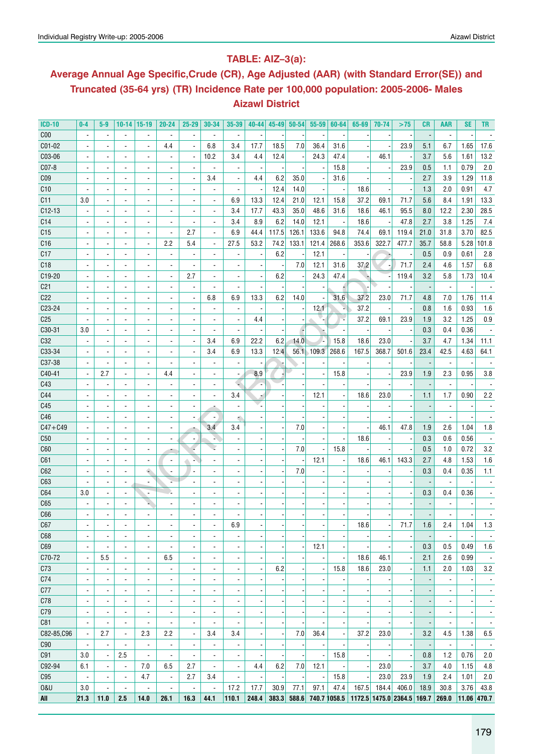## **Table: AIZ–3(a):**

## **Average Annual Age Specific,Crude (CR), Age Adjusted (AAR) (with Standard Error(SE)) and Truncated (35-64 yrs) (TR) Incidence Rate per 100,000 population: 2005-2006- Males Aizawl District**

| <b>ICD-10</b>   | $0 - 4$                  | $5-9$                    | $10-14$   15-19          |                              | $20 - 24$                | 25-29                    | $30 - 34$                | 35-39                    | 40-44                    | $45 - 49$ | $50 - 54$ | $55 - 59$                | 60-64                    | 65-69                                   | 70-74                    | >75                      | CR   | AAR                      | SE                       | TR                       |
|-----------------|--------------------------|--------------------------|--------------------------|------------------------------|--------------------------|--------------------------|--------------------------|--------------------------|--------------------------|-----------|-----------|--------------------------|--------------------------|-----------------------------------------|--------------------------|--------------------------|------|--------------------------|--------------------------|--------------------------|
| C <sub>00</sub> |                          |                          |                          |                              |                          | $\overline{a}$           |                          |                          |                          |           |           |                          |                          |                                         |                          |                          |      |                          |                          |                          |
| C01-02          |                          |                          |                          |                              | 4.4                      | $\overline{a}$           | 6.8                      | 3.4                      | 17.7                     | 18.5      | 7.0       | 36.4                     | 31.6                     |                                         |                          | 23.9                     | 5.1  | 6.7                      | 1.65                     | 17.6                     |
| C03-06          |                          |                          | $\blacksquare$           | ä,                           |                          | Ĭ.                       | 10.2                     | 3.4                      | 4.4                      | 12.4      |           | 24.3                     | 47.4                     |                                         | 46.1                     |                          | 3.7  | 5.6                      | 1.61                     | 13.2                     |
| C07-8           |                          |                          | $\blacksquare$           | $\qquad \qquad \blacksquare$ |                          |                          |                          |                          |                          |           |           | $\overline{\phantom{a}}$ | 15.8                     |                                         |                          | 23.9                     | 0.5  | 1.1                      | 0.79                     | 2.0                      |
| CO <sub>9</sub> |                          |                          | $\overline{\phantom{a}}$ | $\overline{\phantom{a}}$     | $\overline{a}$           | $\overline{\phantom{a}}$ | 3.4                      | $\overline{\phantom{a}}$ | 4.4                      | 6.2       | 35.0      |                          | 31.6                     |                                         |                          |                          | 2.7  | 3.9                      | 1.29                     | 11.8                     |
| C10             |                          |                          | $\overline{\phantom{a}}$ | $\overline{\phantom{a}}$     | $\overline{\phantom{a}}$ |                          |                          | $\overline{\phantom{a}}$ | $\overline{\phantom{a}}$ | 12.4      | 14.0      | $\overline{\phantom{a}}$ |                          | 18.6                                    |                          |                          | 1.3  | 2.0                      | 0.91                     | 4.7                      |
| C <sub>11</sub> | 3.0                      |                          | $\overline{\phantom{a}}$ | $\frac{1}{2}$                | $\overline{\phantom{a}}$ |                          | $\blacksquare$           | 6.9                      | 13.3                     | 12.4      | 21.0      | 12.1                     | 15.8                     | 37.2                                    | 69.1                     | 71.7                     | 5.6  | 8.4                      | 1.91                     | 13.3                     |
| C12-13          |                          |                          | $\overline{\phantom{a}}$ | $\frac{1}{2}$                | $\overline{a}$           |                          | $\blacksquare$           | 3.4                      | 17.7                     | 43.3      | 35.0      | 48.6                     | 31.6                     | 18.6                                    | 46.1                     | 95.5                     | 8.0  | 12.2                     | 2.30                     | 28.5                     |
| C <sub>14</sub> |                          |                          | $\blacksquare$           | $\frac{1}{2}$                |                          |                          | $\blacksquare$           | 3.4                      | 8.9                      | 6.2       | 14.0      | 12.1                     |                          | 18.6                                    |                          | 47.8                     | 2.7  | 3.8                      | 1.25                     | 7.4                      |
| C <sub>15</sub> |                          |                          | $\blacksquare$           | $\frac{1}{2}$                | $\overline{a}$           | 2.7                      | $\overline{a}$           | 6.9                      | 44.4                     | 117.5     | 126.1     | 133.6                    | 94.8                     | 74.4                                    | 69.1                     | 119.4                    | 21.0 | 31.8                     | 3.70                     | 82.5                     |
| C16             |                          | ÷,                       | $\overline{\phantom{a}}$ | $\overline{\phantom{a}}$     | 2.2                      | 5.4                      | $\blacksquare$           | 27.5                     | 53.2                     | 74.2      | 133.1     | 121.4                    | 268.6                    | 353.6                                   | 322.7                    | 477.7                    | 35.7 | 58.8                     | 5.28                     | 101.8                    |
| C17             |                          | $\blacksquare$           | $\blacksquare$           | $\overline{\phantom{a}}$     | $\overline{\phantom{a}}$ |                          |                          |                          | $\overline{\phantom{a}}$ | 6.2       |           | 12.1                     |                          |                                         |                          |                          | 0.5  | 0.9                      | 0.61                     | 2.8                      |
| C18             |                          | $\blacksquare$           | $\blacksquare$           | $\overline{\phantom{a}}$     |                          |                          |                          |                          |                          |           | 7.0       | 12.1                     | 31.6                     | 37.2                                    |                          | 71.7                     | 2.4  | 4.6                      | 1.57                     | 6.8                      |
| C19-20          |                          | $\overline{\phantom{a}}$ | $\blacksquare$           | $\overline{\phantom{a}}$     | $\overline{\phantom{a}}$ | 2.7                      | $\blacksquare$           |                          | $\blacksquare$           | 6.2       |           | 24.3                     | 47.4                     |                                         |                          | 119.4                    | 3.2  | 5.8                      | 1.73                     | 10.4                     |
| C <sub>21</sub> |                          | $\overline{a}$           | $\blacksquare$           | $\overline{\phantom{a}}$     | $\overline{\phantom{a}}$ | $\overline{\phantom{a}}$ |                          |                          |                          |           |           |                          |                          |                                         |                          |                          |      | $\blacksquare$           |                          |                          |
| C <sub>22</sub> |                          | $\overline{a}$           | $\blacksquare$           | $\overline{\phantom{a}}$     | $\overline{\phantom{a}}$ | $\overline{a}$           | 6.8                      | 6.9                      | 13.3                     | 6.2       | 14.0      |                          | 31.6                     | 37.2                                    | 23.0                     | 71.7                     | 4.8  | 7.0                      | 1.76                     | 11.4                     |
| C23-24          |                          | $\blacksquare$           | $\blacksquare$           | $\overline{\phantom{a}}$     | $\overline{\phantom{a}}$ |                          | $\blacksquare$           |                          |                          |           |           | 12.1                     |                          | 37.2                                    |                          |                          | 0.8  | 1.6                      | 0.93                     | 1.6                      |
| C <sub>25</sub> |                          | $\overline{a}$           | $\blacksquare$           | ٠                            | $\overline{\phantom{a}}$ |                          |                          | $\blacksquare$           | 4.4                      |           |           |                          |                          | 37.2                                    | 69.1                     | 23.9                     | 1.9  | 3.2                      | 1.25                     | 0.9                      |
| C30-31          | 3.0                      |                          | $\blacksquare$           | ٠                            | $\overline{\phantom{a}}$ | $\overline{a}$           |                          |                          |                          |           |           |                          |                          |                                         |                          |                          | 0.3  | 0.4                      | 0.36                     |                          |
| C32             |                          |                          | $\blacksquare$           | ٠                            | $\overline{\phantom{a}}$ | $\overline{\phantom{a}}$ | 3.4                      | 6.9                      | 22.2                     | 6.2       | 14.0      | ٠.                       | 15.8                     | 18.6                                    | 23.0                     |                          | 3.7  | 4.7                      | 1.34                     | 11.1                     |
| C33-34          |                          | $\overline{a}$           | $\overline{a}$           | $\overline{a}$               | $\blacksquare$           | $\overline{\phantom{a}}$ | 3.4                      | 6.9                      | 13.3                     | 12.4      |           | 56.1 109.3               | 268.6                    | 167.5                                   | 368.7                    | 501.6                    | 23.4 | 42.5                     | 4.63                     | 64.1                     |
| C37-38          |                          | $\overline{a}$           | $\overline{a}$           | $\overline{a}$               | $\blacksquare$           |                          |                          | $\blacksquare$           |                          |           |           |                          |                          |                                         |                          |                          |      | $\blacksquare$           |                          |                          |
| C40-41          |                          | 2.7                      | $\overline{a}$           | $\overline{\phantom{a}}$     | 4.4                      |                          |                          | $\blacksquare$           | 8.9                      |           |           |                          | 15.8                     |                                         |                          | 23.9                     | 1.9  | 2.3                      | 0.95                     | 3.8                      |
| C43             |                          | $\overline{a}$           | $\blacksquare$           | $\overline{\phantom{0}}$     |                          |                          |                          |                          |                          |           |           |                          |                          |                                         |                          |                          |      | $\overline{a}$           |                          |                          |
| C44             |                          |                          |                          | ä,                           |                          |                          |                          | 3.4                      |                          |           |           | 12.1                     |                          | 18.6                                    | 23.0                     |                          | 1.1  | 1.7                      | 0.90                     | 2.2                      |
| C45             |                          |                          |                          |                              |                          |                          |                          |                          |                          |           |           |                          |                          |                                         |                          |                          |      |                          |                          |                          |
|                 |                          |                          |                          | ä,                           |                          |                          |                          |                          |                          |           |           |                          |                          |                                         |                          |                          |      |                          |                          |                          |
| C46             |                          |                          |                          | ä,                           |                          |                          |                          |                          |                          |           |           |                          |                          |                                         |                          |                          |      |                          |                          |                          |
| $C47 + C49$     |                          |                          |                          | ä,                           |                          |                          | 3.4                      | 3.4                      |                          |           | 7.0       |                          |                          |                                         | 46.1                     | 47.8                     | 1.9  | 2.6                      | 1.04                     | 1.8                      |
| C50             |                          |                          |                          | $\blacksquare$               | $\overline{a}$           |                          |                          |                          |                          |           |           |                          |                          | 18.6                                    |                          |                          | 0.3  | 0.6                      | 0.56                     |                          |
| C60             |                          |                          |                          | ä,                           |                          |                          |                          |                          |                          |           | 7.0       |                          | 15.8                     |                                         |                          |                          | 0.5  | 1.0                      | 0.72                     | 3.2                      |
| C61             |                          |                          |                          | ä,                           | ÷,                       |                          |                          |                          |                          |           |           | 12.1                     |                          | 18.6                                    | 46.1                     | 143.3                    | 2.7  | 4.8                      | 1.53                     | 1.6                      |
| C62             |                          |                          | $\overline{\phantom{a}}$ | ٠                            |                          |                          |                          |                          |                          |           | 7.0       |                          |                          |                                         |                          |                          | 0.3  | 0.4                      | 0.35                     | 1.1                      |
| C63             |                          |                          |                          |                              |                          |                          |                          |                          |                          |           |           |                          |                          |                                         |                          |                          |      |                          |                          |                          |
| C64             | 3.0                      |                          | $\overline{a}$           |                              |                          |                          |                          |                          |                          |           |           |                          |                          |                                         |                          |                          | 0.3  | 0.4                      | 0.36                     |                          |
| C65             |                          |                          |                          |                              |                          |                          |                          |                          |                          |           |           |                          |                          |                                         |                          |                          |      |                          |                          |                          |
| C66             |                          |                          |                          |                              |                          |                          |                          |                          |                          |           |           |                          |                          |                                         |                          |                          |      |                          |                          |                          |
| C67             | ٠                        | ٠                        | ٠                        | ٠                            |                          | $\overline{\phantom{a}}$ | ۰                        | 6.9                      | $\overline{\phantom{a}}$ |           |           | $\overline{\phantom{a}}$ | $\overline{\phantom{a}}$ | 18.6                                    | $\overline{\phantom{m}}$ | 71.7                     | 1.6  | 2.4                      | 1.04                     | 1.3                      |
| C68             | ä,                       | $\blacksquare$           | $\blacksquare$           | $\overline{\phantom{a}}$     | $\overline{a}$           | $\frac{1}{2}$            | $\blacksquare$           | $\overline{a}$           |                          |           |           |                          |                          |                                         |                          |                          |      | $\overline{\phantom{a}}$ |                          | $\overline{\phantom{a}}$ |
| C69             | $\overline{\phantom{a}}$ | $\overline{\phantom{a}}$ | $\overline{\phantom{a}}$ | $\overline{\phantom{a}}$     | $\overline{\phantom{a}}$ | $\overline{\phantom{a}}$ | $\blacksquare$           | $\blacksquare$           |                          |           |           | 12.1                     | $\overline{\phantom{a}}$ |                                         |                          |                          | 0.3  | 0.5                      | 0.49                     | 1.6                      |
| C70-72          | $\overline{\phantom{a}}$ | 5.5                      | $\overline{\phantom{a}}$ | $\overline{\phantom{a}}$     | 6.5                      | $\overline{\phantom{a}}$ | $\blacksquare$           | $\blacksquare$           | $\overline{\phantom{a}}$ |           |           | $\overline{\phantom{a}}$ | $\overline{\phantom{a}}$ | 18.6                                    | 46.1                     | $\overline{\phantom{a}}$ | 2.1  | 2.6                      | 0.99                     | $\overline{\phantom{a}}$ |
| C73             | $\overline{\phantom{a}}$ | $\overline{\phantom{a}}$ | $\overline{\phantom{a}}$ | $\overline{\phantom{a}}$     | $\overline{\phantom{a}}$ | $\overline{\phantom{a}}$ | $\blacksquare$           | $\blacksquare$           | $\overline{\phantom{a}}$ | 6.2       |           | $\overline{\phantom{a}}$ | 15.8                     | 18.6                                    | 23.0                     | $\overline{\phantom{a}}$ | 1.1  | 2.0                      | 1.03                     | 3.2                      |
| C74             | $\overline{\phantom{a}}$ | $\overline{\phantom{a}}$ | $\overline{\phantom{a}}$ | $\overline{\phantom{a}}$     | $\overline{\phantom{a}}$ | $\overline{\phantom{a}}$ | $\blacksquare$           | $\blacksquare$           | $\overline{\phantom{a}}$ |           |           | $\overline{\phantom{m}}$ |                          |                                         |                          |                          |      | $\overline{\phantom{a}}$ |                          | ٠                        |
| C77             | $\overline{\phantom{a}}$ | $\overline{\phantom{a}}$ | $\blacksquare$           | $\overline{\phantom{a}}$     | $\overline{\phantom{a}}$ | $\overline{\phantom{a}}$ | $\blacksquare$           | $\overline{\phantom{a}}$ | $\overline{\phantom{a}}$ |           |           | $\blacksquare$           |                          |                                         |                          |                          |      | $\blacksquare$           | $\blacksquare$           | $\overline{\phantom{a}}$ |
| C78             | $\overline{\phantom{a}}$ | $\overline{\phantom{a}}$ | $\blacksquare$           | $\overline{\phantom{a}}$     | $\overline{\phantom{a}}$ | $\blacksquare$           | $\blacksquare$           | $\overline{\phantom{a}}$ | $\overline{\phantom{a}}$ |           |           | $\blacksquare$           | $\overline{\phantom{a}}$ |                                         |                          |                          |      | $\blacksquare$           | $\overline{\phantom{a}}$ | $\overline{\phantom{a}}$ |
| C79             | $\blacksquare$           | $\overline{\phantom{a}}$ | $\blacksquare$           | $\overline{\phantom{a}}$     | $\overline{\phantom{a}}$ | $\overline{\phantom{a}}$ | $\blacksquare$           | $\overline{\phantom{a}}$ | $\blacksquare$           |           |           | $\overline{\phantom{a}}$ | $\overline{\phantom{a}}$ |                                         |                          |                          |      | $\blacksquare$           | $\overline{\phantom{a}}$ | $\overline{\phantom{a}}$ |
| C81             | $\overline{\phantom{a}}$ | $\overline{\phantom{a}}$ | $\overline{\phantom{a}}$ | $\blacksquare$               | $\overline{\phantom{a}}$ | $\overline{\phantom{a}}$ | $\overline{\phantom{a}}$ | $\overline{\phantom{a}}$ | $\overline{\phantom{a}}$ |           |           | $\overline{\phantom{a}}$ | $\overline{\phantom{a}}$ |                                         |                          |                          |      | $\overline{\phantom{a}}$ | $\overline{\phantom{a}}$ | $\overline{\phantom{a}}$ |
| C82-85, C96     | $\overline{\phantom{a}}$ | 2.7                      | $\blacksquare$           | 2.3                          | 2.2                      | $\blacksquare$           | 3.4                      | 3.4                      | $\blacksquare$           |           | 7.0       | 36.4                     | $\blacksquare$           | 37.2                                    | 23.0                     | $\overline{\phantom{a}}$ | 3.2  | 4.5                      | 1.38                     | 6.5                      |
| C90             | $\overline{\phantom{a}}$ | $\overline{\phantom{a}}$ | $\overline{\phantom{a}}$ | $\blacksquare$               | $\overline{\phantom{a}}$ | $\overline{\phantom{a}}$ | $\blacksquare$           | $\blacksquare$           | $\blacksquare$           |           |           | $\overline{\phantom{a}}$ |                          |                                         |                          |                          |      | $\overline{\phantom{a}}$ |                          | $\overline{\phantom{a}}$ |
| C91             | 3.0                      | $\blacksquare$           | 2.5                      | $\overline{\phantom{a}}$     | $\overline{\phantom{a}}$ | $\blacksquare$           | $\blacksquare$           | $\blacksquare$           | $\blacksquare$           |           |           | $\overline{\phantom{a}}$ | 15.8                     |                                         |                          |                          | 0.8  | 1.2                      | 0.76                     | 2.0                      |
| C92-94          | 6.1                      | $\blacksquare$           | $\Box$                   | 7.0                          | 6.5                      | 2.7                      | $\overline{a}$           | $\blacksquare$           | $4.4\,$                  | 6.2       | 7.0       | 12.1                     |                          |                                         | 23.0                     |                          | 3.7  | 4.0                      | 1.15                     | 4.8                      |
| C95             | $\overline{\phantom{a}}$ | $\blacksquare$           | $\overline{\phantom{a}}$ | 4.7                          | $\blacksquare$           | 2.7                      | 3.4                      | $\overline{\phantom{a}}$ | $\overline{\phantom{a}}$ |           |           | $\overline{\phantom{a}}$ | 15.8                     |                                         | 23.0                     | 23.9                     | 1.9  | 2.4                      | 1.01                     | 2.0                      |
| 0&U             | 3.0                      | ä,                       | $\overline{\phantom{a}}$ | $\frac{1}{2}$                | $\overline{\phantom{a}}$ | $\blacksquare$           | $\blacksquare$           | 17.2                     | 17.7                     | 30.9      | 77.1      | 97.1                     | 47.4                     | 167.5                                   | 184.4                    | 406.0                    | 18.9 | 30.8                     | 3.76                     | 43.8                     |
| All             | 21.3                     | 11.0                     | 2.5                      | 14.0                         | 26.1                     | 16.3                     | 44.1                     | 110.1                    | 248.4                    | 383.3     | 588.6     |                          |                          | 740.7 1058.5 1172.5 1475.0 2364.5 169.7 |                          |                          |      | 269.0                    | 11.06 470.7              |                          |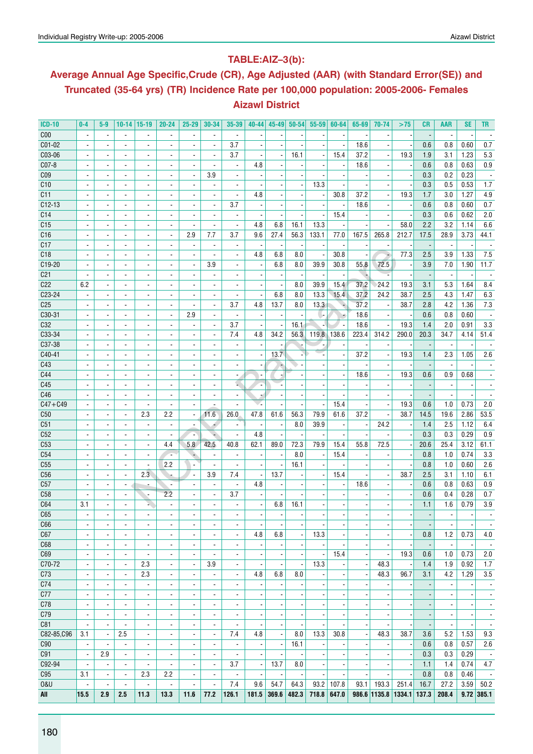### **Table:AIZ–3(b):**

# **Average Annual Age Specific,Crude (CR), Age Adjusted (AAR) (with Standard Error(SE)) and Truncated (35-64 yrs) (TR) Incidence Rate per 100,000 population: 2005-2006- Females Aizawl District**

| <b>ICD-10</b>                      | $0-4$                                      | $5-9$                    | $10 - 14$                                  | $15-19$                  | $20 - 24$                | $25 - 29$                        | 30-34                    | 35-39                    | $40 - 44$                | $45 - 49$                | $50 - 54$                | $55 - 59$                | 60-64                    | 65-69                    | 70-74                              | >75                      | CR                       | AAR                      | <b>SE</b>                | TR                       |
|------------------------------------|--------------------------------------------|--------------------------|--------------------------------------------|--------------------------|--------------------------|----------------------------------|--------------------------|--------------------------|--------------------------|--------------------------|--------------------------|--------------------------|--------------------------|--------------------------|------------------------------------|--------------------------|--------------------------|--------------------------|--------------------------|--------------------------|
| C <sub>00</sub>                    |                                            |                          |                                            |                          |                          |                                  |                          |                          |                          |                          |                          |                          |                          |                          |                                    |                          |                          |                          |                          |                          |
| $CO1-02$                           |                                            |                          |                                            |                          |                          |                                  |                          | 3.7                      |                          |                          |                          |                          |                          | 18.6                     |                                    |                          | 0.6                      | 0.8                      | 0.60                     | 0.7                      |
| C03-06                             |                                            |                          | $\blacksquare$                             |                          |                          |                                  | $\overline{\phantom{a}}$ | 3.7                      |                          |                          | 16.1                     | $\overline{\phantom{a}}$ | 15.4                     | 37.2                     |                                    | 19.3                     | 1.9                      | 3.1                      | 1.23                     | 5.3                      |
| C07-8                              |                                            |                          | $\blacksquare$                             | $\blacksquare$           | $\blacksquare$           | $\blacksquare$                   | $\overline{\phantom{a}}$ | $\overline{\phantom{a}}$ | 4.8                      |                          |                          | $\blacksquare$           |                          | 18.6                     |                                    |                          | 0.6                      | 0.8                      | 0.63                     | 0.9                      |
| C <sub>09</sub>                    |                                            |                          | $\blacksquare$                             | $\overline{\phantom{a}}$ | $\overline{\phantom{a}}$ | $\overline{\phantom{a}}$         | 3.9                      | $\overline{\phantom{a}}$ |                          |                          |                          |                          |                          |                          |                                    |                          | 0.3                      | 0.2                      | 0.23                     |                          |
| C10                                |                                            |                          |                                            |                          |                          |                                  |                          |                          |                          |                          |                          | 13.3                     |                          |                          |                                    |                          | 0.3                      | 0.5                      | 0.53                     | 1.7                      |
| C11                                |                                            |                          | $\blacksquare$                             | $\blacksquare$           |                          |                                  | $\overline{\phantom{a}}$ | $\blacksquare$           | 4.8                      |                          |                          | $\blacksquare$           | 30.8                     | 37.2                     |                                    | 19.3                     | 1.7                      | 3.0                      | 1.27                     | 4.9                      |
| $C12-13$                           |                                            |                          | $\blacksquare$                             | $\blacksquare$           |                          |                                  | $\overline{\phantom{a}}$ | 3.7                      |                          |                          |                          |                          |                          | 18.6                     |                                    |                          | 0.6                      | 0.8                      | 0.60                     | 0.7                      |
|                                    |                                            |                          |                                            |                          |                          |                                  |                          |                          |                          |                          |                          |                          | 15.4                     |                          |                                    |                          | 0.3                      | 0.6                      |                          |                          |
| C <sub>14</sub><br>C <sub>15</sub> |                                            |                          | $\blacksquare$                             | $\overline{\phantom{a}}$ |                          |                                  |                          | $\overline{\phantom{a}}$ | 4.8                      |                          |                          | 13.3                     |                          |                          |                                    | 58.0                     |                          |                          | 0.62                     | 2.0                      |
|                                    |                                            |                          | $\blacksquare$                             |                          |                          |                                  |                          | $\overline{\phantom{a}}$ |                          | 6.8                      | 16.1                     |                          |                          |                          |                                    |                          | 2.2                      | 3.2                      | 1.14                     | 6.6                      |
| C16                                |                                            | $\overline{\phantom{a}}$ | $\blacksquare$                             | $\blacksquare$           | $\blacksquare$           | 2.9                              | 7.7                      | 3.7                      | 9.6                      | 27.4                     | 56.3                     | 133.1                    | 77.0                     | 167.5                    | 265.8                              | 212.7                    | 17.5                     | 28.9                     | 3.73                     | 44.1                     |
| C17                                |                                            |                          | $\blacksquare$                             | $\blacksquare$           | $\overline{\phantom{a}}$ | $\overline{\phantom{a}}$         | $\overline{\phantom{a}}$ | $\overline{\phantom{a}}$ | $\overline{\phantom{a}}$ |                          |                          | $\overline{\phantom{a}}$ |                          |                          |                                    |                          |                          | $\blacksquare$           |                          |                          |
| C18                                |                                            |                          |                                            |                          |                          |                                  |                          | $\overline{\phantom{a}}$ | 4.8                      | 6.8                      | 8.0                      | $\overline{\phantom{a}}$ | 30.8                     |                          | ÷                                  | 77.3                     | 2.5                      | 3.9                      | 1.33                     | 7.5                      |
| C19-20                             |                                            |                          | $\blacksquare$                             | $\blacksquare$           | $\overline{\phantom{a}}$ | $\overline{a}$                   | 3.9                      | $\blacksquare$           |                          | 6.8                      | 8.0                      | 39.9                     | 30.8                     | 55.8                     | 72.5                               |                          | 3.9                      | 7.0                      | 1.90                     | 11.7                     |
| C <sub>21</sub>                    |                                            |                          | $\overline{\phantom{a}}$                   | $\blacksquare$           |                          |                                  | $\overline{\phantom{a}}$ | $\overline{a}$           |                          |                          |                          | $\overline{\phantom{a}}$ |                          | T                        |                                    |                          |                          | $\overline{\phantom{a}}$ |                          |                          |
| C <sub>22</sub>                    | 6.2                                        |                          | $\overline{\phantom{a}}$                   | $\blacksquare$           |                          |                                  |                          |                          |                          |                          | 8.0                      | 39.9                     | 15.4                     | 37.2                     | 24.2                               | 19.3                     | 3.1                      | 5.3                      | 1.64                     | 8.4                      |
| C23-24                             |                                            |                          | $\blacksquare$                             |                          |                          |                                  |                          |                          |                          | 6.8                      | 8.0                      | 13.3                     | 15.4                     | 37.2                     | 24.2                               | 38.7                     | 2.5                      | 4.3                      | 1.47                     | 6.3                      |
| C <sub>25</sub>                    |                                            |                          | $\blacksquare$                             | $\blacksquare$           | $\blacksquare$           | $\blacksquare$                   | $\overline{\phantom{a}}$ | 3.7                      | 4.8                      | 13.7                     | 8.0                      | 13.3                     |                          | 37.2                     |                                    | 38.7                     | 2.8                      | 4.2                      | 1.36                     | 7.3                      |
| C30-31                             |                                            |                          | $\blacksquare$                             | $\blacksquare$           | $\blacksquare$           | 2.9                              | $\overline{\phantom{a}}$ | $\overline{\phantom{a}}$ |                          |                          |                          | $\cdot$                  |                          | 18.6                     |                                    |                          | 0.6                      | 0.8                      | 0.60                     |                          |
| C32                                |                                            |                          |                                            |                          |                          |                                  |                          | 3.7                      |                          |                          | 16.1                     |                          |                          | 18.6                     |                                    | 19.3                     | 1.4                      | 2.0                      | 0.91                     | 3.3                      |
| C33-34                             |                                            |                          |                                            |                          |                          |                                  | $\overline{\phantom{a}}$ | 7.4                      | 4.8                      | 34.2                     | 56.3                     | 119.8                    | 138.6                    | 223.4                    | 314.2                              | 290.0                    | 20.3                     | 34.7                     | 4.14                     | 51.4                     |
| C37-38                             |                                            | $\blacksquare$           | $\blacksquare$                             | $\overline{a}$           |                          |                                  | $\overline{\phantom{a}}$ | $\blacksquare$           |                          |                          |                          | ٠.                       |                          |                          |                                    |                          |                          | $\blacksquare$           |                          |                          |
| C40-41                             |                                            |                          | $\overline{\phantom{a}}$                   | $\overline{\phantom{a}}$ |                          |                                  |                          | $\overline{\phantom{a}}$ |                          | $13.\overline{7}$        |                          |                          |                          | 37.2                     |                                    | 19.3                     | 1.4                      | 2.3                      | 1.05                     | 2.6                      |
| C43                                |                                            |                          | $\overline{a}$                             |                          |                          |                                  |                          | $\overline{\phantom{a}}$ |                          |                          |                          |                          |                          |                          |                                    |                          |                          |                          |                          |                          |
| C44                                |                                            |                          | $\blacksquare$                             | $\overline{\phantom{a}}$ | $\overline{\phantom{a}}$ |                                  |                          | $\overline{\phantom{a}}$ |                          |                          |                          |                          |                          | 18.6                     |                                    | 19.3                     | 0.6                      | 0.9                      | 0.68                     |                          |
| C45                                |                                            |                          |                                            |                          |                          |                                  |                          | u.                       |                          |                          |                          |                          |                          |                          |                                    |                          |                          |                          |                          |                          |
| C46                                |                                            |                          |                                            |                          |                          |                                  |                          | $\overline{\phantom{a}}$ |                          |                          |                          |                          |                          |                          |                                    |                          |                          |                          |                          |                          |
| $C47 + C49$                        |                                            |                          |                                            |                          |                          |                                  |                          |                          |                          |                          |                          |                          | 15.4                     |                          |                                    | 19.3                     | 0.6                      | 1.0                      | 0.73                     | 2.0                      |
| C50                                |                                            |                          | $\blacksquare$                             | 2.3                      | 2.2                      | ä,                               | 11.6                     | 26.0                     | 47.8                     | 61.6                     | 56.3                     | 79.9                     | 61.6                     | 37.2                     |                                    | 38.7                     | 14.5                     | 19.6                     | 2.86                     | 53.5                     |
| C51                                |                                            |                          | $\blacksquare$                             |                          |                          |                                  | ۰                        |                          |                          |                          | 8.0                      | 39.9                     |                          |                          | 24.2                               |                          | 1.4                      | 2.5                      | 1.12                     | 6.4                      |
| C52                                | ÷.                                         |                          | $\overline{\phantom{a}}$                   |                          |                          |                                  |                          | $\overline{a}$           | 4.8                      |                          |                          |                          |                          |                          |                                    |                          | 0.3                      | 0.3                      | 0.29                     | 0.9                      |
| C53                                | $\blacksquare$                             |                          | $\overline{\phantom{a}}$                   | $\blacksquare$           | 4.4                      | 5.8                              | 42.5                     | 40.8                     | 62.1                     | 89.0                     | 72.3                     | 79.9                     | 15.4                     | 55.8                     | 72.5                               |                          | 20.6                     | 25.4                     | 3.12                     | 61.1                     |
| C54                                |                                            | $\blacksquare$           | $\blacksquare$                             |                          | ٠.                       | ٠                                | $\overline{\phantom{a}}$ | $\overline{\phantom{a}}$ | $\overline{\phantom{a}}$ |                          | 8.0                      | $\overline{\phantom{a}}$ | 15.4                     |                          |                                    |                          | 0.8                      | 1.0                      | 0.74                     | 3.3                      |
| C55                                |                                            |                          |                                            |                          | 2.2                      |                                  |                          |                          |                          |                          | 16.1                     |                          |                          |                          |                                    |                          | 0.8                      | 1.0                      | 0.60                     | 2.6                      |
| C56                                |                                            |                          | $\blacksquare$                             | 2.3                      |                          | $\overline{\phantom{a}}$         | 3.9                      | 7.4                      |                          | 13.7                     |                          |                          | 15.4                     |                          |                                    | 38.7                     | 2.5                      | 3.1                      | 1.10                     | 6.1                      |
| C57                                |                                            | $\overline{\phantom{a}}$ | $\sim$                                     |                          | $\overline{\phantom{a}}$ |                                  | $\overline{\phantom{a}}$ | $\overline{\phantom{a}}$ | 4.8                      |                          |                          |                          |                          | 18.6                     |                                    |                          | 0.6                      | 0.8                      | 0.63                     | 0.9                      |
| C58                                |                                            |                          | $\blacksquare$                             |                          | 2.2                      |                                  | $\overline{\phantom{a}}$ | 3.7                      |                          |                          |                          |                          |                          |                          |                                    |                          | 0.6                      | 0.4                      | 0.28                     | 0.7                      |
| C64                                | 3.1                                        |                          | $\overline{a}$                             |                          |                          |                                  |                          | $\overline{\phantom{a}}$ |                          | 6.8                      | 16.1                     |                          |                          |                          |                                    |                          | 1.1                      | 1.6                      | 0.79                     | 3.9                      |
| C65                                |                                            |                          |                                            |                          |                          |                                  |                          | $\overline{\phantom{0}}$ |                          |                          |                          |                          |                          |                          |                                    |                          |                          | $\blacksquare$           |                          |                          |
| C66                                | $\overline{\phantom{a}}$                   | ٠                        | $\overline{\phantom{a}}$                   | $\overline{\phantom{a}}$ | $\overline{\phantom{a}}$ | ٠                                | $\overline{\phantom{a}}$ | $\overline{\phantom{a}}$ | $\overline{\phantom{a}}$ | $\overline{\phantom{a}}$ | $\overline{\phantom{a}}$ | $\overline{\phantom{a}}$ | $\overline{\phantom{a}}$ |                          | $\overline{\phantom{a}}$           |                          | $\overline{\phantom{a}}$ | $\overline{\phantom{a}}$ | $\overline{\phantom{a}}$ | $\overline{\phantom{a}}$ |
| C67                                | $\overline{\phantom{a}}$                   | $\overline{\phantom{a}}$ | $\overline{\phantom{a}}$                   | $\overline{\phantom{a}}$ | $\overline{\phantom{a}}$ | $\overline{\phantom{a}}$         | $\overline{\phantom{a}}$ | $\overline{\phantom{a}}$ | 4.8                      | 6.8                      | $\overline{\phantom{m}}$ | 13.3                     |                          |                          |                                    |                          | 0.8                      | 1.2                      | 0.73                     | 4.0                      |
| C68                                | $\overline{\phantom{a}}$                   |                          | $\blacksquare$                             |                          | $\blacksquare$           | $\overline{\phantom{a}}$         | $\blacksquare$           | $\blacksquare$           |                          |                          |                          |                          |                          |                          |                                    |                          |                          | $\overline{\phantom{a}}$ |                          | $\overline{\phantom{a}}$ |
| C69                                | $\overline{\phantom{a}}$                   | $\blacksquare$           | $\blacksquare$                             | $\blacksquare$           | $\blacksquare$           | $\blacksquare$                   |                          | $\blacksquare$           |                          |                          |                          | $\blacksquare$           | 15.4                     | $\overline{\phantom{a}}$ |                                    | 19.3                     | 0.6                      | 1.0                      | 0.73                     | 2.0                      |
| C70-72                             | $\blacksquare$                             | $\blacksquare$           | $\overline{\phantom{a}}$                   | 2.3                      | $\blacksquare$           | $\blacksquare$                   | 3.9                      | $\overline{\phantom{a}}$ |                          |                          |                          | 13.3                     |                          | $\overline{\phantom{a}}$ | 48.3                               |                          | 1.4                      | 1.9                      | 0.92                     | 1.7                      |
| C <sub>73</sub>                    | $\blacksquare$                             | ä,                       | $\blacksquare$                             | 2.3                      | ä,                       | $\overline{\phantom{a}}$         | $\overline{a}$           | $\blacksquare$           | 4.8                      | 6.8                      | 8.0                      | Ĭ.                       |                          |                          | 48.3                               | 96.7                     | 3.1                      | 4.2                      | 1.29                     | 3.5                      |
| C74                                | $\overline{\phantom{a}}$                   | $\overline{\phantom{a}}$ | $\overline{\phantom{a}}$                   | $\overline{\phantom{a}}$ | $\overline{\phantom{a}}$ | $\overline{\phantom{a}}$         | $\overline{\phantom{a}}$ | $\overline{\phantom{a}}$ | $\blacksquare$           |                          |                          | $\blacksquare$           |                          |                          | $\overline{\phantom{a}}$           |                          | $\overline{\phantom{a}}$ | $\blacksquare$           | $\overline{\phantom{a}}$ | $\overline{\phantom{a}}$ |
| C77                                | $\overline{\phantom{a}}$                   | $\blacksquare$           | $\blacksquare$                             | $\overline{\phantom{a}}$ | $\blacksquare$           | $\overline{\phantom{a}}$         | $\overline{\phantom{a}}$ | $\overline{\phantom{a}}$ | $\overline{\phantom{a}}$ | $\overline{\phantom{a}}$ | $\overline{\phantom{a}}$ | $\overline{\phantom{a}}$ | $\blacksquare$           | $\overline{\phantom{a}}$ | $\blacksquare$                     |                          | $\overline{\phantom{a}}$ | $\blacksquare$           | $\overline{\phantom{a}}$ | $\overline{\phantom{a}}$ |
| C78                                | $\overline{\phantom{a}}$                   | $\overline{\phantom{a}}$ | $\overline{\phantom{a}}$                   | $\overline{\phantom{a}}$ | $\overline{\phantom{a}}$ | $\overline{\phantom{a}}$         | $\overline{\phantom{a}}$ | $\overline{\phantom{a}}$ |                          |                          |                          | $\overline{\phantom{m}}$ |                          |                          |                                    |                          | $\overline{\phantom{m}}$ |                          |                          | $\overline{\phantom{a}}$ |
| C79                                | $\overline{\phantom{a}}$                   |                          | $\blacksquare$                             |                          | $\blacksquare$           |                                  | $\blacksquare$           | $\overline{\phantom{a}}$ |                          |                          |                          | $\blacksquare$           |                          |                          |                                    |                          |                          |                          |                          | $\overline{\phantom{a}}$ |
| C81                                | $\blacksquare$                             | $\blacksquare$           | $\blacksquare$                             | $\blacksquare$           | $\blacksquare$           | $\blacksquare$                   | $\overline{\phantom{a}}$ | $\blacksquare$           |                          |                          |                          | $\blacksquare$           |                          |                          |                                    |                          |                          | $\blacksquare$           |                          | $\overline{\phantom{a}}$ |
| C82-85,C96                         | 3.1                                        | $\overline{\phantom{a}}$ | 2.5                                        | $\overline{\phantom{a}}$ | $\blacksquare$           |                                  | $\overline{\phantom{a}}$ | 7.4                      | 4.8                      |                          | 8.0                      | 13.3                     | 30.8                     |                          | 48.3                               | 38.7                     | 3.6                      | 5.2                      | 1.53                     | 9.3                      |
|                                    |                                            |                          |                                            |                          |                          | $\overline{\phantom{a}}$         |                          |                          |                          |                          | 16.1                     |                          |                          |                          |                                    |                          | 0.6                      |                          |                          |                          |
| C90                                | $\overline{\phantom{a}}$<br>$\blacksquare$ | ä,<br>2.9                | $\overline{\phantom{a}}$<br>$\blacksquare$ | $\overline{\phantom{a}}$ | $\blacksquare$           | $\overline{\phantom{a}}$         | $\overline{\phantom{a}}$ | $\blacksquare$           |                          |                          |                          | $\overline{\phantom{a}}$ |                          |                          |                                    |                          | 0.3                      | 0.8                      | 0.57<br>0.29             | 2.6                      |
| C91                                |                                            |                          |                                            | $\overline{\phantom{a}}$ | $\blacksquare$           | $\overline{\phantom{a}}$         | $\overline{\phantom{a}}$ | $\overline{\phantom{a}}$ | $\overline{\phantom{a}}$ | $\overline{\phantom{a}}$ | $\blacksquare$           | $\blacksquare$           |                          |                          | $\blacksquare$                     |                          |                          | 0.3                      |                          | $\sim$                   |
| C92-94                             | $\overline{\phantom{a}}$                   | $\blacksquare$           | $\blacksquare$                             | $\blacksquare$           | $\blacksquare$           | $\overline{\phantom{a}}$         | $\overline{\phantom{a}}$ | 3.7                      | $\overline{\phantom{a}}$ | 13.7                     | 8.0                      | $\overline{\phantom{a}}$ | $\overline{\phantom{a}}$ | $\overline{\phantom{a}}$ | $\overline{\phantom{a}}$           | $\overline{\phantom{a}}$ | 1.1                      | 1.4                      | 0.74                     | 4.7                      |
| C95                                | 3.1                                        | $\overline{\phantom{a}}$ | $\overline{\phantom{a}}$                   | 2.3                      | 2.2                      | ٠                                | $\overline{\phantom{a}}$ | $\overline{\phantom{a}}$ | $\overline{\phantom{a}}$ | ÷                        | $\overline{\phantom{a}}$ | $\overline{\phantom{a}}$ |                          |                          |                                    |                          | 0.8                      | 0.8                      | 0.46                     | $\sim$                   |
| <b>0&amp;U</b>                     | $\overline{\phantom{a}}$                   | $\blacksquare$           | $\blacksquare$<br>2.5                      | $\blacksquare$<br>$11.3$ | $\blacksquare$           | $\overline{\phantom{a}}$<br>11.6 | $\blacksquare$<br>77.2   | 7.4<br>126.1             | 9.6<br>181.5             | 54.7<br>369.6            | 64.3                     | 93.2<br>718.8            | 107.8                    | 93.1                     | 193.3<br>986.6 1135.8 1334.1 137.3 | 251.4                    | 16.7                     | 27.2                     | 3.59                     | 50.2                     |
| All                                | 15.5                                       | 2.9                      |                                            |                          | 13.3                     |                                  |                          |                          |                          |                          | 482.3                    |                          | 647.0                    |                          |                                    |                          |                          | 208.4                    |                          | $9.72$ 385.1             |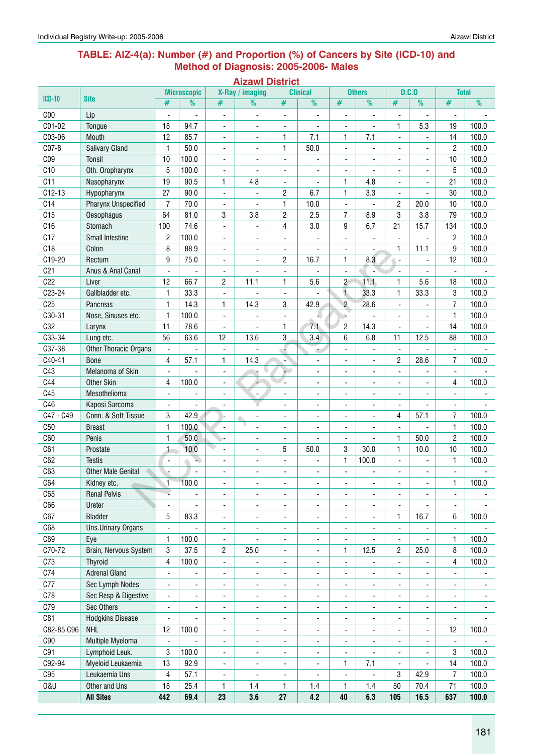#### **Table: AIZ-4(a): Number (#) and Proportion (%) of Cancers by Site (ICD-10) and Method of Diagnosis: 2005-2006- Males**

|                 |                                 |                          |                    |                          | <b>Aizawl District</b>   |                              |                              |                                |                              |                          |                              |                          |                          |
|-----------------|---------------------------------|--------------------------|--------------------|--------------------------|--------------------------|------------------------------|------------------------------|--------------------------------|------------------------------|--------------------------|------------------------------|--------------------------|--------------------------|
| <b>ICD-10</b>   | <b>Site</b>                     |                          | <b>Microscopic</b> |                          | X-Ray / imaging          |                              | <b>Clinical</b>              |                                | <b>Others</b>                |                          | D.C.0                        | <b>Total</b>             |                          |
|                 |                                 | #                        | %                  | #                        | $\overline{\frac{9}{0}}$ | #                            | %                            | $\#$                           | $\frac{9}{6}$                | #                        | %                            | #                        | %                        |
| C <sub>00</sub> | Lip                             | $\overline{a}$           | L.                 | Ĭ.                       | $\overline{a}$           | L,                           | ÷,                           | L,                             | $\frac{1}{2}$                |                          |                              | $\overline{a}$           |                          |
| C01-02          | Tongue                          | 18                       | 94.7               | $\overline{\phantom{a}}$ | ۰                        | $\overline{a}$               |                              | -                              |                              | 1                        | 5.3                          | 19                       | 100.0                    |
| C03-06          | Mouth                           | 12                       | 85.7               | $\blacksquare$           | ٠                        | 1                            | 7.1                          | 1                              | 7.1                          | $\blacksquare$           | $\blacksquare$               | 14                       | 100.0                    |
| C07-8           | <b>Salivary Gland</b>           | 1                        | 50.0               | $\overline{\phantom{a}}$ | $\overline{\phantom{a}}$ | $\mathbf{1}$                 | 50.0                         | $\blacksquare$                 | $\blacksquare$               | $\overline{\phantom{a}}$ | $\overline{\phantom{a}}$     | $\overline{2}$           | 100.0                    |
| C <sub>09</sub> | Tonsil                          | 10                       | 100.0              | $\overline{\phantom{a}}$ | ä,                       | ÷,                           |                              | ÷,                             | ä,                           | $\overline{\phantom{a}}$ | $\blacksquare$               | 10                       | 100.0                    |
| C10             | Oth. Oropharynx                 | 5                        | 100.0              | $\blacksquare$           | $\overline{a}$           | $\overline{a}$               | ä,                           | ÷,                             | ä,                           | L.                       | $\overline{\phantom{a}}$     | 5                        | 100.0                    |
| C11             | Nasopharynx                     | 19                       | 90.5               | $\mathbf{1}$             | 4.8                      | ä,                           |                              | $\mathbf{1}$                   | 4.8                          |                          |                              | 21                       | 100.0                    |
| $C12-13$        | Hypopharynx                     | 27                       | 90.0               | ÷,                       | ٠                        | $\sqrt{2}$                   | 6.7                          | 1                              | 3.3                          |                          |                              | 30                       | 100.0                    |
| C14             | <b>Pharynx Unspecified</b>      | $\overline{7}$           | 70.0               | ٠                        | $\overline{a}$           | $\mathbf{1}$                 | 10.0                         | $\qquad \qquad \blacksquare$   | ÷,                           | $\overline{c}$           | 20.0                         | 10                       | 100.0                    |
| C15             | Oesophagus                      | 64                       | 81.0               | 3                        | 3.8                      | $\overline{c}$               | 2.5                          | 7                              | 8.9                          | 3                        | 3.8                          | 79                       | 100.0                    |
| C16<br>C17      | Stomach                         | 100                      | 74.6               | $\overline{\phantom{a}}$ | ٠                        | 4                            | 3.0                          | 9                              | 6.7                          | 21                       | 15.7                         | 134                      | 100.0<br>100.0           |
| C18             | <b>Small Intestine</b><br>Colon | 2<br>8                   | 100.0<br>88.9      | $\overline{\phantom{a}}$ | ٠                        | ÷,                           | ÷,                           | ٠                              | ÷,                           | ٠                        | ä,<br>11.1                   | $\overline{c}$<br>9      | 100.0                    |
| C19-20          | Rectum                          | 9                        | 75.0               | $\blacksquare$<br>÷,     | ٠<br>ä,                  | $\frac{1}{2}$<br>2           | 16.7                         | $\blacksquare$<br>$\mathbf{1}$ | ÷,<br>8.3                    | 1<br>$\blacksquare$      |                              | 12                       | 100.0                    |
| C <sub>21</sub> | Anus & Anal Canal               | $\blacksquare$           | ÷,                 | ÷,                       | ٠                        |                              |                              | $\blacksquare$                 |                              | $\blacksquare$           |                              | $\blacksquare$           |                          |
| C22             | Liver                           | 12                       | 66.7               | $\overline{c}$           | 11.1                     | 1                            | 5.6                          | $\overline{c}$                 | 11.1                         | $\mathbf{1}$             | 5.6                          | 18                       | 100.0                    |
| C23-24          | Gallbladder etc.                | 1                        | 33.3               | $\blacksquare$           |                          | $\overline{a}$               |                              | $\mathbf{1}$                   | 33.3                         | $\mathbf{1}$             | 33.3                         | 3                        | 100.0                    |
| C <sub>25</sub> | Pancreas                        | 1                        | 14.3               | 1                        | 14.3                     | 3                            | 42.9                         | $\overline{2}$                 | 28.6                         | $\blacksquare$           |                              | $\overline{7}$           | 100.0                    |
| C30-31          | Nose, Sinuses etc.              | $\mathbf{1}$             | 100.0              | $\blacksquare$           |                          | ÷,                           |                              | ÷.                             | Ĭ.                           | $\overline{a}$           |                              | $\mathbf{1}$             | 100.0                    |
| C32             | Larynx                          | 11                       | 78.6               | L,                       |                          | 1                            | 7.1                          | 2                              | 14.3                         |                          |                              | 14                       | 100.0                    |
| C33-34          | Lung etc.                       | 56                       | 63.6               | 12                       | 13.6                     | 3                            | 3.4                          | 6                              | 6.8                          | 11                       | 12.5                         | 88                       | 100.0                    |
| C37-38          | Other Thoracic Organs           | $\blacksquare$           |                    | ÷,                       |                          | Δ                            |                              | $\qquad \qquad \blacksquare$   | ÷,                           | ä,                       |                              | $\blacksquare$           |                          |
| C40-41          | <b>Bone</b>                     | 4                        | 57.1               | 1                        | 14.3                     | ×<br>÷                       | ٠<br>$\blacksquare$          | ٠                              |                              | $\overline{c}$           | 28.6                         | 7                        | 100.0                    |
| C43             | Melanoma of Skin                | ä,                       |                    | ÷,                       | ÷                        | H.                           | $\blacksquare$               | ÷,                             | $\overline{\phantom{a}}$     | ä,                       |                              | $\blacksquare$           |                          |
| C44             | <b>Other Skin</b>               | 4                        | 100.0              | $\overline{\phantom{a}}$ |                          | L.                           | $\blacksquare$               | ۰                              | $\overline{\phantom{a}}$     | $\overline{\phantom{0}}$ | $\blacksquare$               | 4                        | 100.0                    |
| C45             | Mesothelioma                    | $\blacksquare$           | Ĭ.                 | $\overline{\phantom{a}}$ | $\blacksquare$           | ä,                           | $\blacksquare$               | ÷,                             | $\blacksquare$               | L.                       | $\blacksquare$               | $\blacksquare$           |                          |
| C46             | Kaposi Sarcoma                  | $\blacksquare$           | ÷,                 |                          |                          | ÷,                           | $\overline{\phantom{0}}$     | ä,                             | ÷,                           |                          |                              | $\blacksquare$           |                          |
| $C47 + C49$     | Conn. & Soft Tissue             | 3                        | 42.9               |                          | ٠                        | ä,                           | $\overline{\phantom{a}}$     | ÷,                             | Ĭ.                           | 4                        | 57.1                         | 7                        | 100.0                    |
| C50             | <b>Breast</b>                   | 1                        | 100.0              | $\blacksquare$           | ÷,                       | $\overline{a}$               | $\blacksquare$               | Ĭ.                             | $\overline{a}$               |                          |                              | $\mathbf{1}$             | 100.0                    |
| C60             | Penis                           | 1                        | 50.0               | y.                       | ٠                        | $\overline{a}$               |                              | ä,                             | $\overline{a}$               | $\mathbf{1}$             | 50.0                         | 2                        | 100.0                    |
| C61             | Prostate                        | 1                        | 10.0               | ÷,                       | $\overline{\phantom{0}}$ | 5                            | 50.0                         | 3                              | 30.0                         | $\mathbf{1}$             | 10.0                         | 10                       | 100.0                    |
| C62             | <b>Testis</b>                   | $\blacksquare$           | a)                 | $\overline{a}$           | ä,                       | ÷,                           | ä,                           | $\mathbf{1}$                   | 100.0                        | $\overline{a}$           | ٠                            | $\mathbf{1}$             | 100.0                    |
| C63             | <b>Other Male Genital</b>       |                          | $\blacksquare$     | ä,                       | ÷,                       | ä,                           |                              | ä,                             | $\overline{a}$               | ä,                       |                              | Ĭ.                       |                          |
| C64             | Kidney etc.                     | 1                        | 100.0              | ä,                       | ä,                       | ä,                           | $\blacksquare$               | ä,                             |                              | ä,                       | $\overline{\phantom{a}}$     | 1                        | 100.0                    |
| C65             | <b>Renal Pelvis</b>             |                          |                    | $\overline{\phantom{a}}$ | -                        | ÷                            | $\overline{\phantom{a}}$     | ٠                              | $\blacksquare$               | ٠                        |                              | $\overline{\phantom{a}}$ |                          |
| C66             | Ureter                          | ÷,                       | ÷,                 | $\overline{\phantom{a}}$ | -                        | $\overline{\phantom{a}}$     | $\overline{\phantom{a}}$     | $\qquad \qquad \blacksquare$   | $\overline{\phantom{a}}$     | $\frac{1}{2}$            | $\overline{\phantom{a}}$     | $\overline{\phantom{a}}$ |                          |
| C67             | <b>Bladder</b>                  | 5                        | 83.3               | $\overline{\phantom{a}}$ | $\overline{\phantom{0}}$ | $\frac{1}{2}$                | $\overline{\phantom{a}}$     | $\qquad \qquad \blacksquare$   | $\blacksquare$               | 1                        | 16.7                         | 6                        | 100.0                    |
| C68             | <b>Uns.Urinary Organs</b>       | $\blacksquare$           |                    | $\overline{\phantom{a}}$ | ٠                        | ÷,                           | $\overline{\phantom{a}}$     | ÷,                             | Ĭ.                           | $\blacksquare$           |                              | $\blacksquare$           |                          |
| C69             | Eye                             | 1                        | 100.0              | $\blacksquare$           | ٠                        | ÷,                           | $\overline{\phantom{a}}$     | ÷,                             | ÷,                           |                          |                              | $\mathbf{1}$             | 100.0                    |
| C70-72          | Brain, Nervous System           | 3                        | 37.5               | 2                        | 25.0                     | $\overline{\phantom{a}}$     | $\overline{\phantom{a}}$     | 1                              | 12.5                         | 2                        | 25.0                         | 8                        | 100.0                    |
| C73             | <b>Thyroid</b>                  | 4                        | 100.0              | $\overline{\phantom{a}}$ | $\overline{\phantom{a}}$ | $\frac{1}{2}$                | $\overline{\phantom{a}}$     | $\blacksquare$                 | $\blacksquare$               | $\blacksquare$           |                              | 4                        | 100.0                    |
| C74             | <b>Adrenal Gland</b>            | $\blacksquare$           | -                  | $\overline{\phantom{a}}$ | $\overline{\phantom{a}}$ | $\overline{\phantom{a}}$     | $\overline{\phantom{a}}$     | ٠                              | $\blacksquare$               | ٠                        | ٠                            | $\overline{\phantom{a}}$ | ٠                        |
| C77             | Sec Lymph Nodes                 |                          | ÷,                 | ÷,                       | ٠                        | ÷                            | ٠                            | ÷,                             | $\blacksquare$               | ä,                       | ٠                            | $\blacksquare$           | $\overline{\phantom{a}}$ |
| C78             | Sec Resp & Digestive            | $\blacksquare$           | ٠                  | $\overline{\phantom{a}}$ | -                        | $\overline{a}$               | $\qquad \qquad \blacksquare$ | ٠                              |                              |                          |                              | $\overline{\phantom{a}}$ | $\overline{\phantom{a}}$ |
| C79             | Sec Others                      | $\overline{\phantom{a}}$ | -                  | -                        | -                        | -                            | $\qquad \qquad \blacksquare$ | -                              | $\qquad \qquad \blacksquare$ | $\overline{\phantom{m}}$ | $\qquad \qquad \blacksquare$ | $\overline{\phantom{a}}$ | $\blacksquare$           |
| C81             | <b>Hodgkins Disease</b>         | ٠                        | ÷,                 | $\overline{\phantom{a}}$ | -                        | $\qquad \qquad \blacksquare$ | $\overline{\phantom{a}}$     | $\overline{\phantom{a}}$       | $\blacksquare$               | $\overline{\phantom{a}}$ | $\overline{\phantom{a}}$     | $\blacksquare$           |                          |
| C82-85,C96      | <b>NHL</b>                      | 12                       | 100.0              | $\overline{\phantom{a}}$ | -                        | $\overline{\phantom{m}}$     | ۰                            | ٠                              | $\qquad \qquad \blacksquare$ | -                        | $\overline{\phantom{a}}$     | 12                       | 100.0                    |
| C90             | Multiple Myeloma                | $\blacksquare$           |                    | $\overline{\phantom{a}}$ | -                        | -                            | $\overline{\phantom{0}}$     | ٠                              | ٠                            | ÷,                       | $\overline{\phantom{a}}$     | $\blacksquare$           |                          |
| C91             | Lymphoid Leuk.                  | 3                        | 100.0              | $\overline{\phantom{a}}$ | -                        | $\overline{a}$               | ٠                            | ٠                              |                              |                          |                              | 3                        | 100.0                    |
| C92-94          | Myeloid Leukaemia               | 13                       | 92.9               | $\overline{\phantom{a}}$ | $\overline{\phantom{0}}$ | $\qquad \qquad \blacksquare$ | $\overline{\phantom{0}}$     | 1                              | 7.1                          |                          |                              | 14                       | 100.0                    |
| C95             | Leukaemia Uns                   | 4                        | 57.1               | $\overline{\phantom{a}}$ | -                        | ÷                            |                              | $\blacksquare$                 |                              | 3                        | 42.9                         | $\overline{7}$           | 100.0                    |
| 0&U             | Other and Uns                   | 18                       | 25.4               | $\mathbf{1}$             | 1.4                      | $\mathbf{1}$                 | 1.4                          | $\mathbf{1}$                   | 1.4                          | 50                       | 70.4                         | 71                       | 100.0                    |
|                 | <b>All Sites</b>                | 442                      | 69.4               | 23                       | 3.6                      | 27                           | 4.2                          | 40                             | 6.3                          | 105                      | 16.5                         | 637                      | 100.0                    |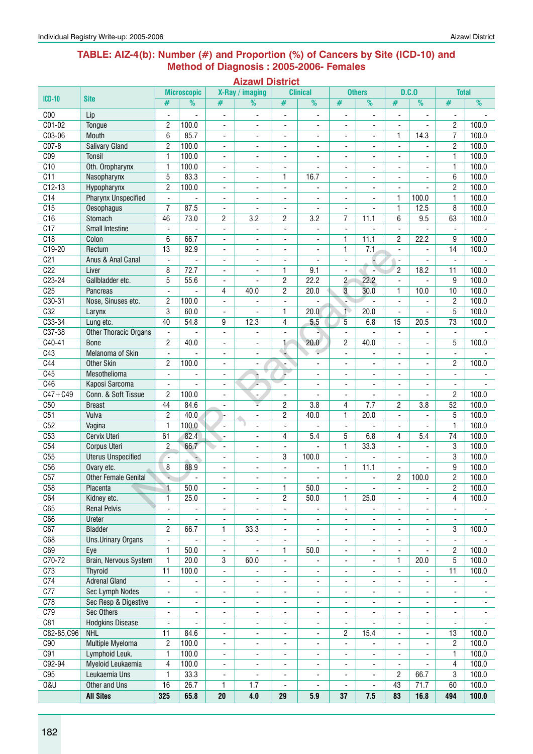#### **Table: AIZ-4(b): Number (#) and Proportion (%) of Cancers by Site (ICD-10) and Method of Diagnosis : 2005-2006- Females**

| W<br>. .<br>. . |
|-----------------|
|-----------------|

|                  |                              |                          | <b>Microscopic</b>       |                              | X-Ray / imaging          |                              | <b>Clinical</b>          |                              | <b>Others</b>            |                          | D.C.0                    | <b>Total</b>             |                |
|------------------|------------------------------|--------------------------|--------------------------|------------------------------|--------------------------|------------------------------|--------------------------|------------------------------|--------------------------|--------------------------|--------------------------|--------------------------|----------------|
| <b>ICD-10</b>    | <b>Site</b>                  | #                        | %                        | #                            | %                        | #                            | %                        | #                            | $\overline{\frac{9}{0}}$ | #                        | %                        | #                        | %              |
| C <sub>00</sub>  | Lip                          | ÷,                       |                          | $\blacksquare$               | ÷,                       |                              | ÷,                       | ÷,                           | $\blacksquare$           | Ĭ.                       | $\blacksquare$           | ÷,                       |                |
| $C01-02$         | <b>Tongue</b>                | 2                        | 100.0                    | $\overline{\phantom{a}}$     |                          | $\blacksquare$               |                          | ٠                            |                          |                          |                          | $\overline{c}$           | 100.0          |
| C03-06           | Mouth                        | 6                        | 85.7                     | ٠                            | $\overline{\phantom{a}}$ | $\overline{\phantom{m}}$     | $\overline{\phantom{a}}$ | $\qquad \qquad \blacksquare$ | ۰                        | 1                        | 14.3                     | 7                        | 100.0          |
| $CO7-8$          | <b>Salivary Gland</b>        | $\overline{c}$           | 100.0                    | ٠                            |                          | $\qquad \qquad \blacksquare$ |                          | ٠                            |                          |                          |                          | $\overline{2}$           | 100.0          |
| C <sub>09</sub>  | Tonsil                       | $\mathbf{1}$             | 100.0                    | ä,                           | ä,                       | $\overline{\phantom{0}}$     |                          | $\blacksquare$               | ä,                       |                          | $\overline{a}$           | $\mathbf{1}$             | 100.0          |
| C10              | Oth. Oropharynx              | $\mathbf{1}$             | 100.0                    | $\overline{\phantom{a}}$     | $\blacksquare$           | $\overline{\phantom{a}}$     |                          | $\blacksquare$               | ٠                        | $\overline{a}$           | ٠                        | $\mathbf{1}$             | 100.0          |
| $\overline{C11}$ | Nasopharynx                  | 5                        | 83.3                     | $\overline{\phantom{a}}$     | $\overline{a}$           | 1                            | 16.7                     | $\overline{\phantom{a}}$     | ÷.                       | $\overline{a}$           | ٠                        | 6                        | 100.0          |
| $C12-13$         | Hypopharynx                  | $\mathbf{2}$             | 100.0                    | $\blacksquare$               | $\overline{\phantom{a}}$ | $\overline{\phantom{a}}$     | $\blacksquare$           | $\blacksquare$               | ä,                       |                          |                          | $\mathbf{2}$             | 100.0          |
| C <sub>14</sub>  | <b>Pharynx Unspecified</b>   | $\blacksquare$           |                          | ۰                            | $\blacksquare$           | $\overline{\phantom{a}}$     |                          | $\overline{\phantom{a}}$     | ä,                       | 1                        | 100.0                    | $\mathbf{1}$             | 100.0          |
| C15              | Oesophagus                   | $\overline{7}$           | 87.5                     | $\blacksquare$               |                          | ä,                           |                          | $\blacksquare$               |                          | 1                        | 12.5                     | 8                        | 100.0          |
| C16              | Stomach                      | 46                       | 73.0                     | 2                            | 3.2                      | 2                            | 3.2                      | 7                            | 11.1                     | 6                        | 9.5                      | 63                       | 100.0          |
| $\overline{C17}$ | <b>Small Intestine</b>       |                          |                          |                              | $\overline{\phantom{0}}$ | $\frac{1}{2}$                |                          | $\blacksquare$               |                          | $\blacksquare$           |                          |                          |                |
| C18              | Colon                        | 6                        | 66.7                     | $\blacksquare$               | $\overline{\phantom{a}}$ | $\frac{1}{2}$                | ٠                        | 1                            | 11.1                     | $\overline{c}$           | 22.2                     | 9                        | 100.0          |
| $C19-20$         | Rectum                       | 13                       | 92.9                     | $\blacksquare$               | $\blacksquare$           | ä,                           | $\blacksquare$           | $\mathbf{1}$                 | 7.1                      | $\blacksquare$           | ÷,                       | 14                       | 100.0          |
| C <sub>21</sub>  | Anus & Anal Canal            | $\blacksquare$           | ÷,                       | ۰                            | $\blacksquare$           | $\frac{1}{2}$                | $\overline{\phantom{a}}$ | $\overline{\phantom{a}}$     |                          | $\overline{\phantom{a}}$ | $\blacksquare$           | $\blacksquare$           |                |
| C <sub>22</sub>  | Liver                        | 8                        | 72.7                     | ۰                            |                          | 1                            | 9.1                      |                              | ÷                        | $\overline{2}$           | 18.2                     | 11                       | 100.0          |
| $C23-24$         | Gallbladder etc.             | 5                        | 55.6                     | $\qquad \qquad \blacksquare$ |                          | $\overline{\mathbf{c}}$      | 22.2                     | $\mathbf{2}$                 | 22.2                     |                          |                          | 9                        | 100.0          |
| C <sub>25</sub>  | Pancreas                     | $\blacksquare$           | $\overline{a}$           | 4                            | 40.0                     | $\overline{c}$               | 20.0                     | 3                            | 30.0                     | 1                        | 10.0                     | 10                       | 100.0          |
| $C30-31$         | Nose, Sinuses etc.           | 2                        | 100.0                    | ä,                           |                          | $\blacksquare$               |                          |                              |                          | $\overline{a}$           |                          | $\overline{c}$           | 100.0          |
| C32              | Larynx                       | 3                        | 60.0                     | $\overline{\phantom{a}}$     | $\overline{a}$           | 1                            | 20.0                     | $\overline{1}$               | 20.0                     | $\blacksquare$           | $\blacksquare$           | 5                        | 100.0          |
| C33-34           | Lung etc.                    | 40                       | 54.8                     | 9                            | 12.3                     | 4                            | 5.5                      | 5                            | 6.8                      | 15                       | 20.5                     | $\overline{73}$          | 100.0          |
| $C37-38$         | <b>Other Thoracic Organs</b> | $\blacksquare$           |                          | ÷,                           | ä,                       | ä,                           |                          | $\blacksquare$               |                          | $\blacksquare$           | $\blacksquare$           | $\blacksquare$           |                |
| $C40-41$         | <b>Bone</b>                  | $\overline{2}$           | 40.0                     | ۰                            | $\overline{\phantom{a}}$ | $\mathbf{1}$                 | 20.0                     | $\overline{c}$               | 40.0                     |                          | $\overline{\phantom{a}}$ | 5                        | 100.0          |
| C43              | Melanoma of Skin             |                          |                          | ۰                            | ٠                        |                              | ۳                        | $\overline{\phantom{a}}$     |                          |                          | -                        |                          |                |
| C44              | Other Skin                   | $\overline{2}$           | 100.0                    | ÷,                           | ٠                        | ÷                            |                          | $\overline{\phantom{a}}$     | $\overline{\phantom{a}}$ |                          |                          | $\overline{c}$           | 100.0          |
| C45              | Mesothelioma                 | $\overline{a}$           | ä,                       | ä,                           |                          |                              | $\blacksquare$           | $\blacksquare$               | $\overline{\phantom{0}}$ |                          | ۰.                       | $\overline{\phantom{a}}$ |                |
| C46              | Kaposi Sarcoma               | $\blacksquare$           | ä,                       | ۰                            | $\overline{a}$           | $\overline{\phantom{a}}$     | $\blacksquare$           | $\overline{\phantom{a}}$     | ۰.                       | $\overline{a}$           | ٠                        | $\overline{\phantom{a}}$ |                |
| $C47 + C49$      | Conn. & Soft Tissue          | $\overline{2}$           | 100.0                    | $\overline{\phantom{a}}$     | $\overline{\phantom{a}}$ | $\overline{\phantom{a}}$     | $\overline{\phantom{a}}$ | $\overline{\phantom{a}}$     | ä,                       | $\blacksquare$           | $\overline{\phantom{a}}$ | $\overline{c}$           | 100.0          |
| C50              | <b>Breast</b>                | 44                       | 84.6                     | $\blacksquare$               | ÷                        | 2                            | 3.8                      | 4                            | 7.7                      | $\overline{c}$           | 3.8                      | 52                       | 100.0          |
| C51              | Vulva                        | $\overline{2}$           | 40.0                     | ŀ.                           | $\overline{\phantom{a}}$ | $\overline{2}$               | 40.0                     | $\mathbf{1}$                 | 20.0                     | $\blacksquare$           | $\blacksquare$           | 5                        | 100.0          |
| C52              | Vagina                       | $\mathbf{1}$             | 100.0                    | $\blacksquare$               |                          | $\blacksquare$               |                          | $\overline{\phantom{a}}$     |                          |                          |                          | $\mathbf{1}$             | 100.0          |
| C53              | Cervix Uteri                 | 61                       | 82.4                     | ٠                            |                          | 4                            | 5.4                      | 5                            | 6.8                      | 4                        | 5.4                      | 74                       | 100.0          |
| C54              | Corpus Uteri                 | $\overline{2}$           | 66.7                     | $\blacksquare$               | ä,                       | $\frac{1}{2}$                |                          | $\mathbf{1}$                 | 33.3                     |                          | $\blacksquare$           | 3                        | 100.0          |
| C55              | <b>Uterus Unspecified</b>    | ÷.                       |                          | $\overline{\phantom{a}}$     | $\blacksquare$           | 3                            | 100.0                    | $\overline{\phantom{a}}$     | ÷.                       | $\overline{a}$           | $\blacksquare$           | 3                        | 100.0          |
| C56              | Ovary etc.                   | 8                        | 88.9                     | ä,                           | $\overline{a}$           | $\overline{a}$               |                          | $\mathbf{1}$                 | 11.1                     | $\overline{a}$           |                          | 9                        | 100.0          |
| C57              | <b>Other Female Genital</b>  | ۷                        |                          | ä,                           | $\overline{a}$           | ä,                           |                          | $\blacksquare$               | ä,                       | $\overline{c}$           | 100.0                    | $\overline{2}$           | 100.0          |
| C58              | Placenta                     | $\mathbf{1}$             | 50.0                     |                              |                          | 1                            | 50.0                     |                              |                          |                          |                          | $\overline{2}$           | 100.0          |
| C64              | Kidney etc.                  | 1                        | 25.0                     |                              |                          | $\overline{c}$               | 50.0                     | $\mathbf{1}$                 | 25.0                     |                          |                          | 4                        | 100.0          |
| C65              | <b>Renal Pelvis</b>          | $\frac{1}{2}$            |                          | Ĭ.                           | ÷,                       | $\frac{1}{2}$                |                          | $\blacksquare$               |                          | $\overline{\phantom{a}}$ | ÷,                       | ÷.                       |                |
| C66              | Ureter                       | $\overline{\phantom{a}}$ | L.                       | ÷,                           | $\overline{a}$           | $\frac{1}{2}$                | $\overline{\phantom{0}}$ | $\overline{\phantom{a}}$     | ÷,                       |                          |                          | $\overline{\phantom{a}}$ |                |
| C67              | <b>Bladder</b>               | 2                        | 66.7                     | 1                            | 33.3                     | -                            | $\overline{\phantom{a}}$ | $\overline{\phantom{a}}$     | ۰                        | $\overline{\phantom{a}}$ | ۰                        | 3                        | 100.0          |
| C68              | Uns.Urinary Organs           | $\blacksquare$           |                          | $\overline{\phantom{a}}$     | $\overline{\phantom{a}}$ | $\qquad \qquad \blacksquare$ | $\overline{\phantom{a}}$ | $\overline{\phantom{a}}$     | ÷,                       | $\overline{\phantom{a}}$ | ٠                        | $\blacksquare$           |                |
| C69              | Eye                          | 1                        | 50.0                     | $\overline{\phantom{a}}$     | $\overline{\phantom{a}}$ | 1                            | 50.0                     | $\overline{\phantom{a}}$     | $\overline{\phantom{0}}$ | $\blacksquare$           | $\blacksquare$           | $\overline{c}$           | 100.0          |
| C70-72           | Brain, Nervous System        | $\mathbf{1}$             | 20.0                     | 3                            | 60.0                     | $\qquad \qquad \blacksquare$ |                          | $\overline{\phantom{a}}$     | ۰                        | 1                        | 20.0                     | 5                        | 100.0          |
| C <sub>73</sub>  | <b>Thyroid</b>               | 11                       | 100.0                    | -                            |                          | ۰                            | ۰                        | ٠                            | ۰                        | $\overline{\phantom{a}}$ |                          | 11                       | 100.0          |
| C <sub>74</sub>  | <b>Adrenal Gland</b>         | $\overline{\phantom{a}}$ |                          | -                            | -                        | ۰                            | $\overline{\phantom{a}}$ | ٠                            | -                        |                          | ٠                        | $\overline{\phantom{a}}$ |                |
| C77              | Sec Lymph Nodes              | $\overline{\phantom{0}}$ | $\blacksquare$           | $\blacksquare$               | $\blacksquare$           | $\overline{\phantom{a}}$     | $\overline{\phantom{a}}$ | $\blacksquare$               | $\overline{\phantom{a}}$ | $\overline{a}$           | $\blacksquare$           | $\blacksquare$           | $\blacksquare$ |
| C78              | Sec Resp & Digestive         | $\overline{\phantom{a}}$ | $\overline{\phantom{a}}$ | $\overline{\phantom{a}}$     | ٠                        | $\overline{\phantom{a}}$     |                          | $\overline{\phantom{a}}$     | ÷                        |                          | $\overline{\phantom{a}}$ | $\overline{\phantom{a}}$ |                |
| C79              | <b>Sec Others</b>            | $\overline{\phantom{a}}$ | ۰                        | -                            | $\overline{\phantom{a}}$ | ۰                            | $\overline{\phantom{a}}$ | $\overline{\phantom{a}}$     | ٠                        | $\overline{\phantom{a}}$ | ٠                        | $\overline{\phantom{a}}$ | $\blacksquare$ |
| C81              | <b>Hodgkins Disease</b>      | ä,                       |                          | ä,                           | ٠                        | $\overline{\phantom{a}}$     | $\overline{\phantom{a}}$ | $\blacksquare$               |                          |                          | $\blacksquare$           | $\blacksquare$           |                |
| C82-85, C96      | <b>NHL</b>                   | 11                       | 84.6                     | ä,                           | $\overline{\phantom{0}}$ |                              | ä,                       | $\overline{c}$               | 15.4                     |                          | ۰.                       | 13                       | 100.0          |
| C90              | Multiple Myeloma             | $\overline{2}$           | 100.0                    | ٠                            | $\overline{\phantom{a}}$ |                              | $\overline{\phantom{a}}$ |                              |                          |                          |                          | $\overline{c}$           | 100.0          |
| C91              | Lymphoid Leuk.               | $\mathbf{1}$             | 100.0                    | ٠                            | -                        | -                            | $\overline{\phantom{a}}$ | $\qquad \qquad \blacksquare$ |                          |                          |                          | $\mathbf{1}$             | 100.0          |
| C92-94           | Myeloid Leukaemia            | 4                        | 100.0                    | $\overline{\phantom{a}}$     | $\overline{\phantom{a}}$ | $\overline{\phantom{a}}$     | $\overline{\phantom{a}}$ | $\overline{\phantom{a}}$     | ÷,                       | $\blacksquare$           |                          | 4                        | 100.0          |
| C95              | Leukaemia Uns                | $\mathbf{1}$             | 33.3                     | $\blacksquare$               | $\overline{\phantom{a}}$ | $\overline{\phantom{a}}$     | $\blacksquare$           | $\overline{\phantom{a}}$     | $\overline{\phantom{0}}$ | $\overline{c}$           | 66.7                     | 3                        | 100.0          |
| <b>0&amp;U</b>   | Other and Uns                | 16                       | 26.7                     | 1                            | 1.7                      | $\frac{1}{2}$                | $\blacksquare$           | $\overline{\phantom{a}}$     | ÷,                       | 43                       | 71.7                     | 60                       | 100.0          |
|                  | <b>All Sites</b>             | 325                      | 65.8                     | 20                           | 4.0                      | 29                           | 5.9                      | 37                           | 7.5                      | 83                       | 16.8                     | 494                      | 100.0          |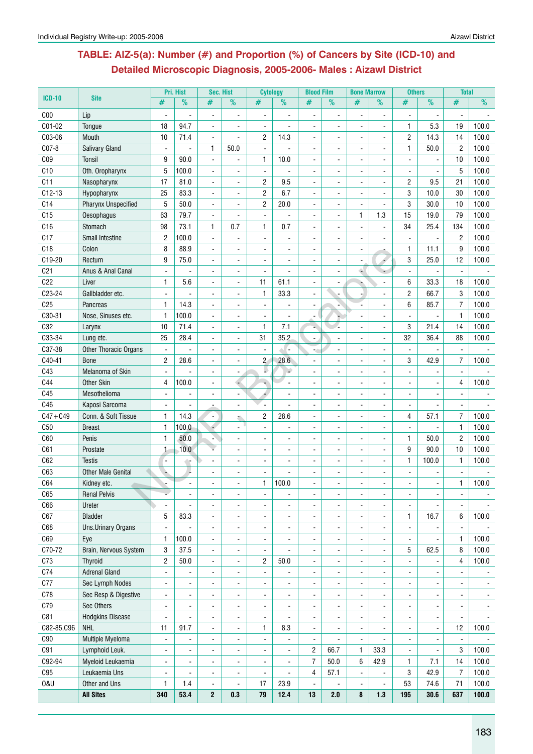# **Table: AIZ-5(a): Number (#) and Proportion (%) of Cancers by Site (ICD-10) and Detailed Microscopic Diagnosis, 2005-2006- Males : Aizawl District**

|                 |                                             |                          | Pri. Hist      | Sec. Hist                |                          | <b>Cytology</b>          |                      | <b>Blood Film</b>                |                | <b>Bone Marrow</b> |                          | <b>Others</b>  |                          | <b>Total</b>                     |                |
|-----------------|---------------------------------------------|--------------------------|----------------|--------------------------|--------------------------|--------------------------|----------------------|----------------------------------|----------------|--------------------|--------------------------|----------------|--------------------------|----------------------------------|----------------|
| <b>ICD-10</b>   | <b>Site</b>                                 | #                        | $\%$           | #                        | $\%$                     | #                        | $\frac{9}{6}$        | #                                | $\%$           | #                  | %                        | #              | $\frac{9}{6}$            | #                                | $\frac{9}{6}$  |
| C <sub>00</sub> | Lip                                         | $\blacksquare$           |                | $\blacksquare$           | $\frac{1}{2}$            | $\blacksquare$           |                      | $\blacksquare$                   | $\blacksquare$ | $\overline{a}$     | $\overline{\phantom{a}}$ | $\blacksquare$ |                          |                                  |                |
| C01-02          | Tongue                                      | 18                       | 94.7           | $\blacksquare$           |                          | $\overline{\phantom{a}}$ |                      | $\blacksquare$                   |                |                    | $\blacksquare$           | 1              | 5.3                      | 19                               | 100.0          |
| C03-06          | Mouth                                       | 10                       | 71.4           | $\blacksquare$           |                          | $\overline{c}$           | 14.3                 |                                  |                |                    |                          | $\overline{c}$ | 14.3                     | 14                               | 100.0          |
| C07-8           | <b>Salivary Gland</b>                       | $\overline{\phantom{a}}$ |                | 1                        | 50.0                     |                          |                      |                                  |                |                    |                          | 1              | 50.0                     | $\overline{c}$                   | 100.0          |
| CO9             | <b>Tonsil</b>                               | 9                        | 90.0           | $\blacksquare$           |                          | 1                        | 10.0                 |                                  |                |                    |                          |                |                          | 10                               | 100.0          |
| C10             | Oth. Oropharynx                             | 5                        | 100.0          | $\blacksquare$           | ä,                       | $\overline{\phantom{a}}$ |                      | $\overline{a}$                   |                | $\blacksquare$     | $\overline{\phantom{a}}$ | $\blacksquare$ |                          | 5                                | 100.0          |
| C11             | Nasopharynx                                 | 17                       | 81.0           | $\blacksquare$           | $\blacksquare$           | 2                        | 9.5                  | $\blacksquare$                   | $\blacksquare$ | $\blacksquare$     | $\sim$                   | $\overline{c}$ | 9.5                      | 21                               | 100.0          |
| $C12-13$        | Hypopharynx                                 | 25                       | 83.3           | $\overline{a}$           | ÷                        | $\overline{2}$           | 6.7                  | $\overline{a}$                   | $\overline{a}$ | ÷                  | ÷                        | 3              | 10.0                     | 30                               | 100.0          |
| C14             | <b>Pharynx Unspecified</b>                  | 5                        | 50.0           | ÷,                       |                          | $\overline{c}$           | 20.0                 |                                  |                |                    |                          | 3              | 30.0                     | 10                               | 100.0          |
| C15             | <b>Oesophagus</b>                           | 63                       | 79.7           |                          |                          |                          |                      |                                  |                | 1                  | 1.3                      | 15             | 19.0                     | 79                               | 100.0          |
| C16             | Stomach                                     | 98                       | 73.1           | $\mathbf{1}$             | 0.7                      | 1                        | 0.7                  |                                  |                |                    | $\ddot{\phantom{a}}$     | 34             | 25.4                     | 134                              | 100.0          |
| C17             | <b>Small Intestine</b>                      | $\overline{2}$           | 100.0          | $\blacksquare$           | $\blacksquare$           |                          |                      |                                  |                |                    |                          |                |                          | $\overline{2}$                   | 100.0          |
| C18             | Colon                                       | 8                        | 88.9           | $\blacksquare$           | ä,                       |                          |                      |                                  |                |                    |                          | $\mathbf{1}$   | 11.1                     | 9                                | 100.0          |
| C19-20          | Rectum                                      | 9                        | 75.0           | $\blacksquare$           | $\blacksquare$           | $\blacksquare$           | $\blacksquare$       | $\blacksquare$                   |                |                    | ó                        | 3              | 25.0                     | 12                               | 100.0          |
| C <sub>21</sub> | Anus & Anal Canal                           |                          |                | $\blacksquare$           |                          | $\overline{\phantom{a}}$ |                      |                                  |                | A.                 |                          | $\blacksquare$ | ä,                       | $\overline{\phantom{a}}$         |                |
| C22             | Liver                                       | $\mathbf{1}$             | 5.6            |                          |                          | 11                       | 61.1                 |                                  |                |                    |                          | 6              | 33.3                     | 18                               | 100.0          |
| C23-24          | Gallbladder etc.                            |                          |                |                          |                          | $\mathbf{1}$             | 33.3                 |                                  |                |                    |                          | $\overline{c}$ | 66.7                     | 3                                | 100.0          |
| C <sub>25</sub> | Pancreas                                    | 1                        | 14.3           | $\overline{\phantom{a}}$ |                          |                          |                      |                                  |                |                    |                          | 6              | 85.7                     | $\overline{7}$                   | 100.0          |
| C30-31          | Nose, Sinuses etc.                          | $\mathbf{1}$             | 100.0          | $\blacksquare$           | $\overline{\phantom{a}}$ | $\overline{\phantom{a}}$ |                      | $\blacksquare$                   |                |                    | $\overline{\phantom{a}}$ |                | $\blacksquare$           | 1                                | 100.0          |
| C32             | Larynx                                      | 10                       | 71.4           | $\blacksquare$           | $\blacksquare$           | $\mathbf{1}$             | 7.1                  |                                  |                | $\blacksquare$     | $\sim$                   | 3              | 21.4                     | 14                               | 100.0          |
| C33-34          | Lung etc.                                   | 25                       | 28.4           | $\overline{a}$           | ÷                        | 31                       | 35.2                 | $\overline{a}$                   |                | ÷                  | ÷                        | 32             | 36.4                     | 88                               | 100.0          |
| C37-38          |                                             | $\blacksquare$           |                |                          |                          | $\tilde{\phantom{a}}$    | $\blacksquare$       |                                  |                |                    |                          | $\blacksquare$ | ä,                       | $\blacksquare$                   |                |
| C40-41          | <b>Other Thoracic Organs</b><br><b>Bone</b> | $\overline{c}$           | 28.6           |                          |                          | $\overline{2}$           | 28.6                 |                                  |                |                    |                          | 3              | 42.9                     | $\overline{7}$                   | 100.0          |
|                 | Melanoma of Skin                            |                          |                |                          |                          |                          | D                    |                                  |                |                    |                          |                |                          |                                  |                |
| C43<br>C44      |                                             | $\blacksquare$           |                |                          |                          |                          |                      |                                  |                |                    |                          |                |                          |                                  | 100.0          |
| C45             | <b>Other Skin</b>                           | 4                        | 100.0          |                          | $\overline{\phantom{a}}$ |                          |                      |                                  |                |                    |                          |                |                          | 4                                |                |
| C46             | Mesothelioma                                | $\blacksquare$           |                | L,                       | $\frac{1}{2}$            | $\overline{a}$           |                      |                                  |                |                    | L.                       |                | $\blacksquare$           | $\blacksquare$                   |                |
| $C47 + C49$     | Kaposi Sarcoma                              | $\overline{\phantom{a}}$ |                |                          | $\blacksquare$           |                          |                      | $\blacksquare$<br>$\overline{a}$ | $\blacksquare$ |                    | $\blacksquare$           | $\blacksquare$ | 57.1                     | $\blacksquare$<br>$\overline{7}$ |                |
|                 | Conn. & Soft Tissue                         | $\mathbf{1}$             | 14.3           | $\blacksquare$           |                          | $\overline{c}$           | 28.6                 |                                  |                |                    | $\overline{a}$           | 4              |                          |                                  | 100.0          |
| C50             | <b>Breast</b>                               | 1                        | 100.0          |                          |                          |                          |                      |                                  |                |                    |                          |                |                          | 1                                | 100.0          |
| C60             | Penis                                       | 1                        | 50.0           |                          |                          |                          |                      |                                  |                |                    |                          | 1              | 50.0                     | $\overline{c}$                   | 100.0          |
| C61             | Prostate                                    | $\mathbf{1}$             | 10.0           |                          |                          |                          |                      |                                  |                |                    | $\overline{\phantom{a}}$ | 9              | 90.0                     | 10                               | 100.0          |
| C62             | <b>Testis</b>                               | $\blacksquare$           | a.             | $\blacksquare$           | $\overline{\phantom{a}}$ |                          |                      |                                  |                | $\overline{a}$     | $\overline{\phantom{a}}$ | 1              | 100.0                    | 1                                | 100.0          |
| C63             | <b>Other Male Genital</b>                   |                          |                | ÷,                       | $\blacksquare$           | $\blacksquare$           |                      | $\blacksquare$                   | $\blacksquare$ | $\blacksquare$     | $\overline{\phantom{a}}$ | $\blacksquare$ | $\blacksquare$           |                                  |                |
| C64             | Kidney etc.                                 |                          |                |                          |                          | 1                        | 100.0                |                                  |                |                    |                          |                | $\overline{a}$           | 1                                | 100.0          |
| C65             | <b>Renal Pelvis</b>                         |                          | ÷,             | $\blacksquare$           | ä,                       | $\blacksquare$           |                      |                                  |                | ä,                 | $\blacksquare$           | $\blacksquare$ | $\blacksquare$           | $\blacksquare$                   | $\blacksquare$ |
| C66             | Ureter                                      | $\blacksquare$           |                | L,                       |                          |                          |                      |                                  |                |                    |                          |                |                          |                                  |                |
| C67             | <b>Bladder</b>                              | 5                        | 83.3           | $\blacksquare$           | $\blacksquare$           |                          |                      |                                  |                |                    |                          | $\mathbf{1}$   | 16.7                     | 6                                | 100.0          |
| C68             | Uns.Urinary Organs                          | $\blacksquare$           | $\blacksquare$ | $\blacksquare$           | ٠                        |                          |                      | $\blacksquare$                   |                | $\overline{a}$     | $\blacksquare$           | $\blacksquare$ | $\blacksquare$           | $\blacksquare$                   |                |
| C69             | Eye                                         | 1                        | 100.0          | $\blacksquare$           | $\overline{\phantom{a}}$ | $\blacksquare$           | $\ddot{\phantom{a}}$ | L.                               |                | ä,                 | $\blacksquare$           | $\blacksquare$ | $\overline{\phantom{a}}$ | 1                                | 100.0          |
| C70-72          | Brain, Nervous System                       | 3                        | 37.5           | $\blacksquare$           | $\overline{\phantom{a}}$ | $\blacksquare$           | $\ddot{\phantom{a}}$ | $\blacksquare$                   | $\blacksquare$ | $\blacksquare$     | $\blacksquare$           | 5              | 62.5                     | 8                                | 100.0          |
| C73             | <b>Thyroid</b>                              | 2                        | 50.0           | $\blacksquare$           | $\blacksquare$           | $\overline{c}$           | 50.0                 | $\blacksquare$                   | $\blacksquare$ | ä,                 | $\sim$                   | $\blacksquare$ | $\blacksquare$           | 4                                | 100.0          |
| C74             | <b>Adrenal Gland</b>                        | $\blacksquare$           |                | $\blacksquare$           |                          | $\blacksquare$           |                      | $\overline{a}$                   |                |                    | $\overline{a}$           |                |                          | $\blacksquare$                   |                |
| C77             | Sec Lymph Nodes                             | $\frac{1}{2}$            |                |                          |                          |                          |                      |                                  |                |                    |                          |                |                          |                                  |                |
| C78             | Sec Resp & Digestive                        | $\blacksquare$           | $\blacksquare$ | $\blacksquare$           | ٠                        |                          |                      |                                  |                | $\blacksquare$     | $\blacksquare$           | $\blacksquare$ |                          |                                  |                |
| C79             | Sec Others                                  | $\blacksquare$           | $\blacksquare$ | $\blacksquare$           | $\overline{\phantom{a}}$ | $\blacksquare$           | $\blacksquare$       | $\blacksquare$                   | $\blacksquare$ | $\blacksquare$     | $\blacksquare$           | $\blacksquare$ | $\blacksquare$           | $\blacksquare$                   | $\blacksquare$ |
| C81             | <b>Hodgkins Disease</b>                     | $\overline{\phantom{a}}$ |                | $\blacksquare$           | $\frac{1}{2}$            | $\blacksquare$           |                      | $\blacksquare$                   | $\blacksquare$ | $\blacksquare$     | $\blacksquare$           | $\blacksquare$ | $\blacksquare$           | $\blacksquare$                   |                |
| C82-85,C96      | <b>NHL</b>                                  | 11                       | 91.7           | $\blacksquare$           | $\blacksquare$           | 1                        | 8.3                  | $\blacksquare$                   | $\blacksquare$ | $\blacksquare$     | $\blacksquare$           | $\blacksquare$ | $\blacksquare$           | 12                               | 100.0          |
| C90             | Multiple Myeloma                            | $\blacksquare$           | ÷,             | ÷,                       | ÷,                       | $\overline{\phantom{a}}$ |                      | $\blacksquare$                   |                | $\blacksquare$     |                          | $\blacksquare$ |                          | $\blacksquare$                   |                |
| C91             | Lymphoid Leuk.                              | $\blacksquare$           | ÷,             | L,                       | ä,                       |                          | ÷,                   | 2                                | 66.7           | $\mathbf{1}$       | 33.3                     | $\blacksquare$ |                          | 3                                | 100.0          |
| C92-94          | Myeloid Leukaemia                           | $\blacksquare$           |                | ÷,                       | $\blacksquare$           | ÷,                       | $\ddot{\phantom{a}}$ | 7                                | 50.0           | 6                  | 42.9                     | 1              | 7.1                      | 14                               | 100.0          |
| C95             | Leukaemia Uns                               | $\blacksquare$           | $\overline{a}$ | $\blacksquare$           | $\overline{\phantom{a}}$ | $\overline{\phantom{a}}$ | $\overline{a}$       | 4                                | 57.1           | $\blacksquare$     | $\blacksquare$           | 3              | 42.9                     | $\overline{7}$                   | 100.0          |
| <b>0&amp;U</b>  | Other and Uns                               | 1                        | 1.4            | $\blacksquare$           | ÷,                       | 17                       | 23.9                 | $\ddot{\phantom{a}}$             | L,             | ÷,                 | $\blacksquare$           | 53             | 74.6                     | 71                               | 100.0          |
|                 | <b>All Sites</b>                            | 340                      | 53.4           | 2                        | 0.3                      | 79                       | 12.4                 | 13                               | 2.0            | 8                  | 1.3                      | 195            | 30.6                     | 637                              | 100.0          |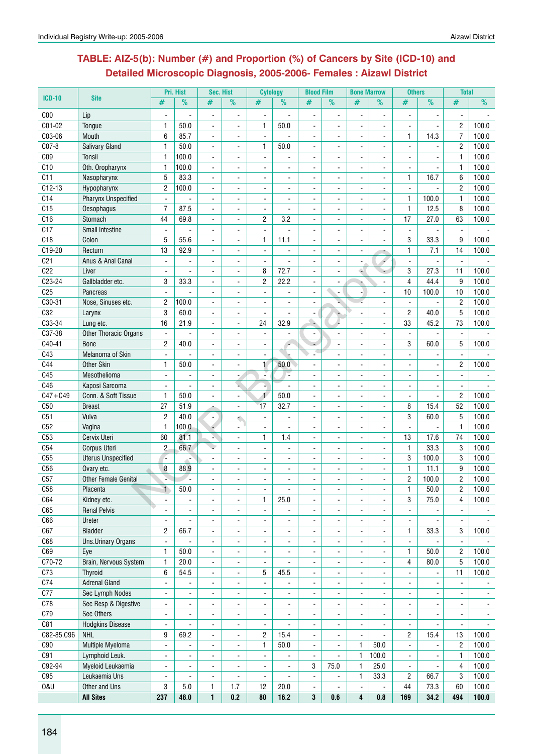## **Table: AIZ-5(b): Number (#) and Proportion (%) of Cancers by Site (ICD-10) and Detailed Microscopic Diagnosis, 2005-2006- Females : Aizawl District**

|                 |                             |                          | Pri. Hist                | Sec. Hist                |                          | <b>Cytology</b> |                | <b>Blood Film</b>        |                          | <b>Bone Marrow</b>       |                          | <b>Others</b>            |                          | <b>Total</b>             |                 |
|-----------------|-----------------------------|--------------------------|--------------------------|--------------------------|--------------------------|-----------------|----------------|--------------------------|--------------------------|--------------------------|--------------------------|--------------------------|--------------------------|--------------------------|-----------------|
| <b>ICD-10</b>   | <b>Site</b>                 | #                        | $\%$                     | #                        | $\%$                     | #               | $\frac{9}{6}$  | #                        | %                        | #                        | %                        | #                        | $\overline{\frac{9}{0}}$ | #                        | $\overline{\%}$ |
| C <sub>00</sub> | Lip                         |                          |                          | $\overline{\phantom{a}}$ | $\overline{a}$           | $\blacksquare$  |                | $\overline{\phantom{a}}$ | $\blacksquare$           |                          | $\blacksquare$           | $\overline{a}$           |                          | $\overline{\phantom{a}}$ |                 |
| C01-02          | Tongue                      | 1                        | 50.0                     | $\blacksquare$           | ä,                       | 1               | 50.0           | $\blacksquare$           |                          |                          | $\blacksquare$           | $\blacksquare$           | $\blacksquare$           | $\overline{2}$           | 100.0           |
| C03-06          | Mouth                       | 6                        | 85.7                     | $\blacksquare$           | $\blacksquare$           | $\blacksquare$  |                | $\overline{\phantom{a}}$ |                          |                          | $\overline{\phantom{a}}$ | 1                        | 14.3                     | $\overline{7}$           | 100.0           |
| C07-8           | <b>Salivary Gland</b>       | 1                        | 50.0                     | $\blacksquare$           | $\frac{1}{2}$            | 1               | 50.0           |                          |                          |                          |                          | $\blacksquare$           |                          | $\overline{2}$           | 100.0           |
| CO <sub>9</sub> | Tonsil                      | $\mathbf{1}$             | 100.0                    |                          |                          |                 |                |                          |                          |                          |                          |                          |                          | $\mathbf{1}$             | 100.0           |
| C10             | Oth. Oropharynx             | $\mathbf{1}$             | 100.0                    | $\blacksquare$           |                          |                 |                |                          |                          |                          | ÷                        |                          |                          | $\mathbf{1}$             | 100.0           |
| C11             | Nasopharynx                 | 5                        | 83.3                     | $\blacksquare$           | $\blacksquare$           |                 |                |                          |                          |                          | $\overline{a}$           | $\mathbf{1}$             | 16.7                     | 6                        | 100.0           |
| $C12-13$        | Hypopharynx                 | $\overline{c}$           | 100.0                    | $\sim$                   | $\blacksquare$           |                 |                |                          |                          | $\overline{a}$           | $\blacksquare$           | $\blacksquare$           |                          | $\overline{2}$           | 100.0           |
| C14             | Pharynx Unspecified         | $\mathbf{r}$             |                          | $\overline{\phantom{a}}$ | ä,                       |                 |                |                          |                          |                          |                          | $\mathbf{1}$             | 100.0                    | $\mathbf{1}$             | 100.0           |
| C15             | Oesophagus                  | $\overline{7}$           | 87.5                     |                          | ä,                       | $\blacksquare$  |                |                          |                          |                          |                          | $\mathbf{1}$             | 12.5                     | 8                        | 100.0           |
| C16             | Stomach                     | 44                       | 69.8                     | $\blacksquare$           | $\blacksquare$           | 2               | 3.2            | $\blacksquare$           |                          |                          | $\overline{a}$           | 17                       | 27.0                     | 63                       | 100.0           |
| C17             | <b>Small Intestine</b>      | $\blacksquare$           |                          | $\blacksquare$           | $\blacksquare$           |                 |                | $\blacksquare$           |                          |                          | $\blacksquare$           | ä,                       |                          |                          |                 |
| C18             | Colon                       | 5                        | 55.6                     |                          |                          | $\mathbf{1}$    | 11.1           |                          |                          |                          |                          | 3                        | 33.3                     | 9                        | 100.0           |
| C19-20          | Rectum                      | 13                       | 92.9                     |                          |                          |                 |                |                          |                          |                          |                          | $\mathbf{1}$             | 7.1                      | 14                       | 100.0           |
| C <sub>21</sub> | Anus & Anal Canal           | $\blacksquare$           | $\blacksquare$           | $\blacksquare$           | $\blacksquare$           | $\mathbf{r}$    | $\blacksquare$ | $\blacksquare$           | $\blacksquare$           |                          | é,                       | $\blacksquare$           | $\overline{a}$           | $\blacksquare$           |                 |
| C22             | Liver                       | $\mathbf{r}$             | $\overline{a}$           | $\blacksquare$           | ä,                       | 8               | 72.7           | $\blacksquare$           |                          | é.                       |                          | 3                        | 27.3                     | 11                       | 100.0           |
| C23-24          | Gallbladder etc.            | 3                        | 33.3                     | $\blacksquare$           | ä,                       | $\overline{c}$  | 22.2           | $\blacksquare$           | $\overline{a}$           | $\overline{\phantom{a}}$ | $\blacksquare$           | $\overline{4}$           | 44.4                     | 9                        | 100.0           |
| C <sub>25</sub> | Pancreas                    |                          |                          | $\blacksquare$           | ä,                       |                 |                | $\blacksquare$           | $\overline{a}$           |                          | $\overline{a}$           | 10                       | 100.0                    | 10                       | 100.0           |
| C30-31          | Nose. Sinuses etc.          | $\overline{c}$           | 100.0                    | $\blacksquare$           | $\blacksquare$           | ÷               |                | $\blacksquare$           |                          |                          |                          | ÷,                       |                          | $\overline{2}$           | 100.0           |
| C32             | Larynx                      | 3                        | 60.0                     | ÷,                       | L,                       | $\overline{a}$  |                |                          |                          |                          |                          | $\overline{2}$           | 40.0                     | 5                        | 100.0           |
| C33-34          | Lung etc.                   | 16                       | 21.9                     | $\blacksquare$           | ä,                       | 24              | 32.9           |                          |                          |                          | ÷,                       | 33                       | 45.2                     | 73                       | 100.0           |
| C37-38          | Other Thoracic Organs       | $\blacksquare$           |                          | $\blacksquare$           |                          |                 |                |                          |                          |                          |                          |                          |                          |                          |                 |
| C40-41          | <b>Bone</b>                 | $\overline{c}$           | 40.0                     | $\sim$                   | ä,                       | $\blacksquare$  | ٠              | $\blacksquare$           | $\mathbf{r}$             | $\overline{a}$           | $\overline{a}$           | 3                        | 60.0                     | 5                        | 100.0           |
| C43             | Melanoma of Skin            | $\overline{a}$           |                          | $\blacksquare$           | ä,                       |                 |                |                          |                          |                          | $\overline{a}$           | $\overline{a}$           |                          |                          |                 |
| C44             | Other Skin                  | $\mathbf{1}$             | 50.0                     |                          |                          | 1               | 50.0           | $\blacksquare$           |                          |                          |                          |                          |                          | $\overline{2}$           | 100.0           |
| C45             | Mesothelioma                |                          |                          | $\overline{\phantom{a}}$ |                          | $\blacksquare$  | Ξ              |                          |                          |                          |                          |                          |                          |                          |                 |
| C46             | Kaposi Sarcoma              | $\blacksquare$           |                          | $\blacksquare$           |                          |                 |                | $\blacksquare$           |                          | $\blacksquare$           | $\blacksquare$           | $\blacksquare$           |                          |                          |                 |
| $C47 + C49$     | Conn. & Soft Tissue         | $\mathbf{1}$             | 50.0                     | $\tilde{\phantom{a}}$    | ÷.                       | 1               | 50.0           |                          |                          |                          | ÷,                       | $\blacksquare$           |                          | $\overline{c}$           | 100.0           |
| C50             | <b>Breast</b>               | 27                       | 51.9                     |                          | $\blacksquare$           | 17              | 32.7           | $\blacksquare$           |                          |                          | $\blacksquare$           | 8                        | 15.4                     | 52                       | 100.0           |
| C51             | Vulva                       | $\overline{2}$           | 40.0                     | $\blacksquare$           |                          |                 |                |                          |                          |                          | $\blacksquare$           | 3                        | 60.0                     | 5                        | 100.0           |
| C52             | Vagina                      | $\mathbf{1}$             | 100.0                    | Ì                        | ÷.                       | $\blacksquare$  | ÷,             | $\blacksquare$           | $\blacksquare$           | $\blacksquare$           | $\blacksquare$           | $\blacksquare$           |                          | $\mathbf{1}$             | 100.0           |
| C53             | Cervix Uteri                | 60                       | 81.1                     | ٠                        | $\blacksquare$           | 1               | 1.4            | $\blacksquare$           | ÷.                       | $\overline{a}$           | $\sim$                   | 13                       | 17.6                     | 74                       | 100.0           |
| C54             | <b>Corpus Uteri</b>         | $\overline{c}$           | 66.7                     | ٠                        |                          | $\blacksquare$  |                |                          |                          |                          | $\blacksquare$           | $\mathbf{1}$             | 33.3                     | 3                        | 100.0           |
| C55             | <b>Uterus Unspecified</b>   | ٠                        | $\overline{\phantom{a}}$ | $\overline{\phantom{a}}$ | $\blacksquare$           |                 |                | $\blacksquare$           |                          |                          | $\overline{\phantom{a}}$ | 3                        | 100.0                    | 3                        | 100.0           |
| C <sub>56</sub> | Ovary etc.                  | 8                        | 88.9                     |                          |                          |                 |                |                          |                          |                          |                          | $\mathbf{1}$             | 11.1                     | 9                        | 100.0           |
| C57             | <b>Other Female Genital</b> |                          | ÷.                       |                          |                          |                 |                |                          |                          |                          |                          | $\overline{2}$           | 100.0                    | $\overline{2}$           | 100.0           |
| C58             | Placenta                    |                          | 50.0                     | $\blacksquare$           | $\blacksquare$           | $\blacksquare$  | $\blacksquare$ | ÷,                       | $\blacksquare$           | $\overline{\phantom{a}}$ | $\blacksquare$           | 1                        | 50.0                     | 2                        | 100.0           |
| C64             | Kidney etc.                 | $\blacksquare$           | $\blacksquare$           | $\blacksquare$           | $\overline{\phantom{a}}$ | $\mathbf{1}$    | 25.0           | $\blacksquare$           | $\blacksquare$           | $\blacksquare$           | $\blacksquare$           | 3                        | 75.0                     | $\overline{4}$           | 100.0           |
| C65             | <b>Renal Pelvis</b>         | L.                       |                          | $\blacksquare$           | $\overline{\phantom{a}}$ | $\blacksquare$  |                | $\blacksquare$           |                          | $\overline{a}$           | $\blacksquare$           | $\blacksquare$           |                          | $\overline{\phantom{a}}$ |                 |
| C66             | Ureter                      | L.                       |                          |                          | $\blacksquare$           | $\blacksquare$  |                | $\blacksquare$           |                          | $\blacksquare$           |                          |                          |                          |                          |                 |
| C67             | Bladder                     | $\overline{c}$           | 66.7                     | $\blacksquare$           | $\frac{1}{2}$            | $\blacksquare$  |                | $\blacksquare$           |                          |                          | $\overline{\phantom{a}}$ | 1                        | 33.3                     | 3                        | 100.0           |
| C68             | Uns.Urinary Organs          | $\blacksquare$           |                          | $\blacksquare$           | $\frac{1}{2}$            | $\blacksquare$  |                | $\blacksquare$           |                          |                          |                          | $\overline{\phantom{a}}$ |                          | $\overline{\phantom{a}}$ |                 |
| C69             | Eye                         | $\mathbf{1}$             | 50.0                     | $\ddot{\phantom{0}}$     |                          |                 |                |                          |                          |                          |                          | $\mathbf{1}$             | 50.0                     | $\overline{2}$           | 100.0           |
| C70-72          | Brain, Nervous System       | 1                        | 20.0                     | $\blacksquare$           |                          | $\blacksquare$  | $\overline{a}$ | ÷                        | $\blacksquare$           | ä,                       | $\blacksquare$           | $\overline{4}$           | 80.0                     | 5                        | 100.0           |
| C73             | Thyroid                     | 6                        | 54.5                     | $\blacksquare$           | $\overline{\phantom{a}}$ | 5               | 45.5           | $\blacksquare$           | $\blacksquare$           | ä,                       | $\overline{a}$           | $\blacksquare$           | $\blacksquare$           | 11                       | 100.0           |
| C74             | <b>Adrenal Gland</b>        | $\blacksquare$           | $\blacksquare$           | $\blacksquare$           | ۰                        | $\blacksquare$  | $\blacksquare$ | $\blacksquare$           | $\blacksquare$           | $\blacksquare$           | $\blacksquare$           | $\mathbf{r}$             | $\blacksquare$           | $\blacksquare$           | $\sim$          |
| C77             | Sec Lymph Nodes             | $\blacksquare$           | $\blacksquare$           | $\blacksquare$           | $\frac{1}{2}$            | $\blacksquare$  | $\blacksquare$ | $\blacksquare$           | $\overline{\phantom{a}}$ | $\blacksquare$           | $\overline{\phantom{a}}$ | $\overline{\phantom{a}}$ | $\blacksquare$           | $\blacksquare$           | $\sim$          |
| C78             | Sec Resp & Digestive        | $\overline{\phantom{a}}$ | $\blacksquare$           | $\blacksquare$           | $\overline{\phantom{a}}$ | $\blacksquare$  |                | $\blacksquare$           |                          | L.                       | $\blacksquare$           | $\overline{\phantom{a}}$ | $\blacksquare$           | $\overline{\phantom{a}}$ | $\blacksquare$  |
| C79             | Sec Others                  | $\overline{\phantom{a}}$ | $\blacksquare$           | $\blacksquare$           | $\overline{\phantom{a}}$ | $\blacksquare$  |                | $\blacksquare$           |                          | $\blacksquare$           | $\overline{\phantom{a}}$ | $\blacksquare$           | $\blacksquare$           | $\blacksquare$           |                 |
| C81             | <b>Hodgkins Disease</b>     | $\blacksquare$           | $\blacksquare$           | $\blacksquare$           | $\overline{\phantom{a}}$ | $\blacksquare$  |                | $\blacksquare$           | $\blacksquare$           | $\blacksquare$           | $\overline{\phantom{a}}$ | $\overline{\phantom{a}}$ | $\blacksquare$           | $\blacksquare$           |                 |
| C82-85,C96      | <b>NHL</b>                  | 9                        | 69.2                     |                          | $\overline{\phantom{a}}$ | 2               | 15.4           |                          |                          |                          |                          | $\overline{c}$           | 15.4                     | 13                       | 100.0           |
| C90             | Multiple Myeloma            | $\blacksquare$           |                          |                          | $\blacksquare$           | $\mathbf{1}$    | $50.0$         |                          |                          | $\mathbf{1}$             | 50.0                     | $\overline{\phantom{a}}$ |                          | $\overline{2}$           | 100.0           |
| C91             | Lymphoid Leuk.              | $\blacksquare$           | $\blacksquare$           | $\blacksquare$           | $\frac{1}{2}$            | $\blacksquare$  | $\blacksquare$ | $\blacksquare$           | $\blacksquare$           | $\mathbf{1}$             | 100.0                    | $\overline{\phantom{a}}$ |                          | 1                        | 100.0           |
| C92-94          | Myeloid Leukaemia           | ä,                       | $\blacksquare$           | $\blacksquare$           | ä,                       | $\mathbf{r}$    | $\blacksquare$ | 3                        | 75.0                     | $\mathbf{1}$             | 25.0                     | ä,                       |                          | 4                        | 100.0           |
| C95             | Leukaemia Uns               | $\blacksquare$           |                          | $\blacksquare$           |                          | $\blacksquare$  |                | $\blacksquare$           | $\blacksquare$           | $\mathbf{1}$             | 33.3                     | $\overline{c}$           | 66.7                     | 3                        | 100.0           |
| <b>0&amp;U</b>  | Other and Uns               | 3                        | $5.0$                    | $\mathbf{1}$             | 1.7                      | 12              | 20.0           | $\blacksquare$           |                          |                          |                          | 44                       | 73.3                     | 60                       | 100.0           |
|                 | <b>All Sites</b>            | 237                      | 48.0                     | $\mathbf{1}$             | 0.2                      | 80              | 16.2           | 3                        | 0.6                      | 4                        | 0.8                      | 169                      | 34.2                     | 494                      | 100.0           |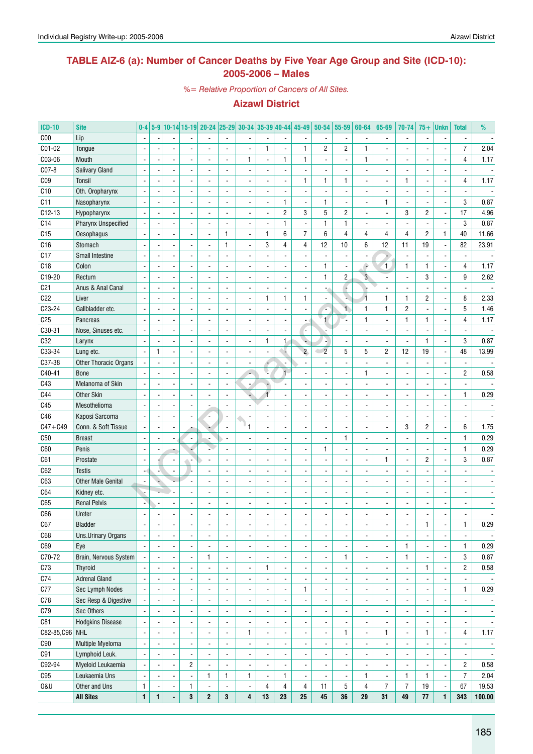#### **TABLE AIZ-6 (a): Number of Cancer Deaths by Five Year Age Group and Site (ICD-10): 2005-2006 – Males**

*%= Relative Proportion of Cancers of All Sites.*

| <b>ICD-10</b>   | <b>Site</b>                          | $0-4$                                      |   |                          |                          | 5-9 10-14 15-19 20-24 25-29 30-34 35-39 40-44 |                               |                                            |                          |                          | $45 - 49$                | $50 - 54$                | 55-59                    | 60-64                    | 65-69                         | 70-74                    | $75+$          | <b>Unkn</b>              | <b>Total</b>                  | %                        |
|-----------------|--------------------------------------|--------------------------------------------|---|--------------------------|--------------------------|-----------------------------------------------|-------------------------------|--------------------------------------------|--------------------------|--------------------------|--------------------------|--------------------------|--------------------------|--------------------------|-------------------------------|--------------------------|----------------|--------------------------|-------------------------------|--------------------------|
| C <sub>00</sub> | Lip                                  |                                            |   |                          |                          |                                               |                               |                                            |                          | $\overline{\phantom{a}}$ |                          |                          | $\overline{\phantom{a}}$ |                          |                               | $\overline{\phantom{a}}$ |                | $\overline{\phantom{a}}$ | $\blacksquare$                |                          |
| C01-02          | Tongue                               |                                            |   |                          |                          |                                               |                               |                                            | 1                        | $\overline{\phantom{a}}$ | 1                        | 2                        | $\overline{\mathbf{c}}$  | 1                        |                               |                          |                |                          | $\overline{7}$                | 2.04                     |
| C03-06          | Mouth                                |                                            |   |                          |                          |                                               |                               | $\mathbf{1}$                               | $\overline{a}$           | 1                        | 1                        |                          | $\overline{\phantom{a}}$ | $\mathbf{1}$             |                               |                          |                |                          | 4                             | 1.17                     |
| C07-8           | <b>Salivary Gland</b>                |                                            |   |                          |                          |                                               |                               |                                            |                          |                          |                          |                          |                          |                          |                               |                          |                |                          |                               |                          |
| CO <sub>9</sub> | <b>Tonsil</b>                        |                                            |   |                          |                          |                                               |                               |                                            |                          |                          | 1                        | 1                        | $\mathbf{1}$             |                          |                               | $\mathbf{1}$             |                |                          | 4                             | 1.17                     |
| C10             | Oth. Oropharynx                      |                                            |   |                          |                          |                                               |                               |                                            |                          |                          |                          |                          |                          |                          |                               |                          |                |                          |                               |                          |
| C11             | Nasopharynx                          |                                            |   |                          |                          |                                               |                               |                                            |                          | 1                        |                          | 1                        |                          |                          | 1                             |                          |                |                          | 3                             | 0.87                     |
| $C12-13$        | Hypopharynx                          |                                            |   |                          |                          |                                               |                               |                                            |                          | $\overline{c}$           | 3                        | 5                        | $\overline{c}$           |                          |                               | 3                        | 2              | $\blacksquare$           | 17                            | 4.96                     |
| C <sub>14</sub> | <b>Pharynx Unspecified</b>           |                                            |   |                          |                          |                                               |                               |                                            |                          | $\mathbf{1}$             |                          | $\mathbf{1}$             | $\mathbf{1}$             |                          |                               |                          |                |                          | 3                             | 0.87                     |
| C15             | Oesophagus                           |                                            |   |                          |                          |                                               | 1                             |                                            | 1                        | 6                        | $\overline{7}$           | 6                        | 4                        | 4                        | 4                             | $\overline{4}$           | 2              | 1                        | 40                            | 11.66                    |
| C16             | Stomach                              |                                            |   |                          |                          |                                               | 1                             | ÷,                                         | 3                        | 4                        | $\overline{4}$           | 12                       | 10                       | 6                        | 12                            | 11                       | 19             | ä,                       | 82                            | 23.91                    |
| C17             | Small Intestine                      |                                            |   |                          |                          |                                               |                               |                                            |                          | ÷,                       |                          |                          | ÷,                       |                          | ۷                             | $\overline{\phantom{a}}$ |                |                          | ÷,                            |                          |
| C18             | Colon                                |                                            |   |                          |                          |                                               |                               |                                            |                          |                          |                          | 1                        | ÷,                       | è                        | 1                             | $\mathbf{1}$             | 1              |                          | 4                             | 1.17                     |
| C19-20          | Rectum                               |                                            |   |                          |                          |                                               |                               |                                            |                          |                          |                          | 1                        | $\overline{c}$           | 3 <sup>°</sup>           |                               | $\overline{a}$           | 3              |                          | 9                             | 2.62                     |
| C <sub>21</sub> | Anus & Anal Canal                    | $\blacksquare$                             |   |                          |                          |                                               |                               |                                            |                          |                          |                          |                          | Ģ                        |                          |                               |                          |                |                          | $\overline{a}$                |                          |
| C22             | Liver                                | $\overline{\phantom{a}}$                   |   |                          |                          |                                               |                               |                                            | $\mathbf{1}$             | 1                        | $\mathbf{1}$             |                          | N,                       | $\overline{1}$           | 1                             | $\mathbf{1}$             | 2              |                          | 8                             | 2.33                     |
| C23-24          | Gallbladder etc.                     |                                            |   |                          |                          |                                               |                               |                                            |                          | $\overline{a}$           |                          |                          | $\mathbf{1}$             | $\mathbf{1}$             | 1                             | $\overline{2}$           |                |                          | 5                             | 1.46                     |
| C <sub>25</sub> | Pancreas                             |                                            |   |                          |                          |                                               |                               |                                            |                          | $\blacksquare$           |                          | $\mathbf{1}$             |                          | $\mathbf{1}$             |                               | $\mathbf{1}$             | 1              |                          | 4                             | 1.17                     |
| C30-31          | Nose, Sinuses etc.                   | $\overline{\phantom{a}}$                   |   |                          |                          |                                               |                               |                                            |                          | $\overline{a}$           |                          |                          |                          | ä,                       |                               | $\overline{\phantom{a}}$ |                |                          |                               |                          |
| C32             | Larynx                               | $\overline{\phantom{a}}$                   |   |                          |                          |                                               |                               |                                            | $\mathbf{1}$             | $\mathbf{1}$             |                          |                          |                          |                          |                               | $\overline{\phantom{a}}$ | 1              | ÷,                       | 3                             | 0.87                     |
| C33-34          | Lung etc.                            | $\overline{\phantom{a}}$                   | 1 |                          |                          |                                               |                               |                                            |                          | $\sim$                   | $\overline{2}$           | $\overline{2}$           | 5                        | 5                        | $\overline{c}$                | 12                       | 19             | ÷,                       | 48                            | 13.99                    |
| C37-38          | Other Thoracic Organs                |                                            |   |                          |                          |                                               |                               |                                            |                          | $\overline{a}$           |                          |                          | $\overline{a}$           |                          |                               | $\blacksquare$           |                |                          | $\overline{a}$                |                          |
| C40-41          | <b>Bone</b>                          |                                            |   |                          |                          |                                               |                               |                                            |                          | $\overline{1}$           |                          |                          | L.                       | $\mathbf{1}$             |                               | $\overline{a}$           |                | $\overline{a}$           | $\overline{c}$                | 0.58                     |
| C43             | Melanoma of Skin                     | $\overline{\phantom{a}}$                   |   |                          |                          |                                               |                               |                                            |                          |                          |                          |                          | ÷,                       |                          |                               |                          |                |                          | $\blacksquare$                |                          |
| C44             | <b>Other Skin</b>                    | $\overline{\phantom{a}}$                   |   |                          |                          |                                               |                               |                                            |                          |                          |                          |                          |                          |                          |                               |                          |                |                          | $\mathbf{1}$                  | 0.29                     |
| C45             | Mesothelioma                         |                                            |   |                          |                          |                                               |                               |                                            |                          |                          |                          |                          |                          |                          |                               |                          |                |                          |                               |                          |
| C46             | Kaposi Sarcoma                       |                                            |   |                          |                          |                                               |                               |                                            |                          |                          |                          |                          |                          |                          |                               |                          |                |                          |                               |                          |
| $C47 + C49$     | Conn. & Soft Tissue                  |                                            |   |                          |                          |                                               |                               | "1                                         |                          |                          |                          |                          |                          |                          |                               | 3                        | 2              |                          | 6                             | 1.75                     |
| C50             | <b>Breast</b>                        |                                            |   |                          |                          |                                               |                               |                                            |                          |                          |                          |                          | $\mathbf{1}$             |                          |                               |                          |                |                          | $\mathbf{1}$                  | 0.29                     |
| C60             | Penis                                |                                            |   |                          |                          |                                               |                               |                                            |                          |                          |                          | 1                        | ÷,                       |                          |                               |                          |                |                          | $\mathbf{1}$                  | 0.29                     |
| C61             | Prostate                             |                                            |   |                          |                          |                                               |                               |                                            |                          |                          |                          |                          |                          |                          | 1                             |                          | 2              |                          | 3                             | 0.87                     |
| C62             | <b>Testis</b>                        |                                            |   |                          |                          |                                               |                               |                                            |                          |                          |                          |                          |                          |                          |                               |                          |                |                          |                               |                          |
| C63             | <b>Other Male Genital</b>            | $\overline{\phantom{a}}$                   |   |                          |                          |                                               |                               |                                            |                          |                          |                          |                          |                          |                          |                               |                          |                |                          |                               |                          |
| C64             | Kidney etc.                          |                                            |   |                          |                          |                                               |                               |                                            |                          |                          |                          |                          |                          |                          |                               |                          |                |                          |                               |                          |
| C65             | <b>Renal Pelvis</b>                  |                                            |   |                          |                          |                                               |                               |                                            |                          |                          |                          |                          |                          |                          |                               |                          |                |                          |                               |                          |
| C66             | Ureter                               |                                            |   |                          |                          |                                               |                               |                                            |                          |                          |                          |                          |                          |                          |                               |                          |                |                          |                               |                          |
|                 |                                      |                                            |   |                          |                          |                                               |                               |                                            |                          |                          |                          |                          |                          |                          |                               |                          |                |                          |                               |                          |
| C67<br>C68      | <b>Bladder</b><br>Uns.Urinary Organs | $\overline{\phantom{a}}$<br>$\blacksquare$ |   |                          | $\blacksquare$           | ۰<br>$\frac{1}{2}$                            | ٠<br>$\overline{\phantom{a}}$ | $\overline{\phantom{a}}$<br>$\blacksquare$ | -                        | $\overline{\phantom{a}}$ | ۰<br>$\blacksquare$      | ٠                        | $\overline{\phantom{a}}$ | $\overline{\phantom{a}}$ | ٠<br>$\overline{\phantom{a}}$ | ٠<br>$\blacksquare$      | 1              | ÷                        | 1<br>$\overline{\phantom{a}}$ | 0.29                     |
|                 |                                      |                                            |   | $\overline{\phantom{a}}$ |                          |                                               |                               |                                            | -                        | $\overline{\phantom{a}}$ |                          | $\frac{1}{2}$            | $\overline{\phantom{a}}$ | $\overline{\phantom{a}}$ |                               |                          |                | $\overline{\phantom{a}}$ |                               | $\overline{\phantom{a}}$ |
| C69<br>C70-72   | Eye                                  | $\blacksquare$                             |   | $\blacksquare$           |                          | $\frac{1}{2}$                                 | $\overline{\phantom{a}}$      | $\overline{\phantom{a}}$                   | -                        | $\overline{\phantom{a}}$ | $\frac{1}{2}$            | $\frac{1}{2}$            | $\overline{\phantom{a}}$ | $\overline{\phantom{a}}$ | $\blacksquare$                | 1                        |                | ÷                        | 1<br>3                        | 0.29                     |
|                 | Brain, Nervous System                |                                            |   | $\overline{a}$           |                          | 1                                             | $\blacksquare$                | $\overline{\phantom{a}}$                   | $\overline{a}$           | $\overline{\phantom{a}}$ | $\frac{1}{2}$            | $\overline{\phantom{a}}$ | 1                        | $\overline{\phantom{a}}$ | $\blacksquare$                | 1                        |                | ÷                        |                               | 0.87                     |
| C73             | Thyroid                              |                                            |   | $\overline{\phantom{a}}$ |                          | $\frac{1}{2}$                                 | $\overline{\phantom{a}}$      | $\overline{\phantom{a}}$                   | 1                        | $\overline{\phantom{a}}$ | $\frac{1}{2}$            | $\overline{\phantom{a}}$ | $\overline{\phantom{a}}$ | $\frac{1}{2}$            | $\overline{\phantom{a}}$      | $\blacksquare$           | 1              | ÷                        | $\overline{c}$                | 0.58                     |
| C74             | <b>Adrenal Gland</b>                 | $\blacksquare$                             |   | $\overline{\phantom{a}}$ |                          | $\frac{1}{2}$                                 | $\overline{\phantom{a}}$      | $\blacksquare$                             | $\overline{a}$           | $\overline{\phantom{a}}$ | $\overline{\phantom{a}}$ |                          | $\overline{\phantom{a}}$ | -                        | $\overline{\phantom{a}}$      | $\overline{\phantom{a}}$ |                | $\overline{\phantom{a}}$ | $\overline{\phantom{a}}$      | $\sim$                   |
| C77             | Sec Lymph Nodes                      | $\blacksquare$                             |   | $\overline{\phantom{a}}$ |                          | $\frac{1}{2}$                                 | $\overline{\phantom{a}}$      | $\overline{\phantom{a}}$                   | -                        | $\overline{\phantom{a}}$ | 1                        | $\overline{\phantom{a}}$ | $\overline{\phantom{a}}$ | -                        | $\overline{\phantom{a}}$      | $\overline{\phantom{a}}$ |                | $\overline{\phantom{a}}$ | 1                             | 0.29                     |
| C78             | Sec Resp & Digestive                 |                                            |   | $\blacksquare$           | $\overline{\phantom{a}}$ | $\frac{1}{2}$                                 | $\overline{\phantom{a}}$      | $\overline{\phantom{a}}$                   | $\frac{1}{2}$            | $\overline{\phantom{a}}$ | $\overline{\phantom{a}}$ | $\overline{\phantom{a}}$ | $\overline{\phantom{a}}$ | $\overline{\phantom{a}}$ | $\overline{\phantom{a}}$      | $\overline{\phantom{a}}$ | ٠              | $\overline{\phantom{a}}$ | $\overline{\phantom{a}}$      | $\overline{\phantom{a}}$ |
| C79             | Sec Others                           |                                            |   | $\blacksquare$           | $\overline{\phantom{a}}$ | $\frac{1}{2}$                                 | $\blacksquare$                | $\overline{\phantom{a}}$                   | $\frac{1}{2}$            | $\overline{\phantom{a}}$ | $\overline{\phantom{a}}$ | $\overline{\phantom{a}}$ | $\overline{\phantom{a}}$ | $\overline{\phantom{a}}$ | $\overline{\phantom{a}}$      | $\overline{\phantom{a}}$ | $\overline{a}$ | $\overline{\phantom{a}}$ | $\overline{\phantom{a}}$      | $\overline{\phantom{a}}$ |
| C81             | <b>Hodgkins Disease</b>              |                                            |   | $\blacksquare$           | $\overline{\phantom{a}}$ | $\frac{1}{2}$                                 | $\blacksquare$                | $\overline{\phantom{a}}$                   | $\frac{1}{2}$            | ٠                        | $\overline{\phantom{a}}$ |                          | $\overline{\phantom{a}}$ | $\overline{\phantom{a}}$ | $\overline{\phantom{a}}$      | $\overline{\phantom{a}}$ |                | $\overline{\phantom{a}}$ | $\overline{\phantom{a}}$      | $\overline{\phantom{a}}$ |
| C82-85, C96 NHL |                                      | $\overline{\phantom{a}}$                   |   | $\blacksquare$           | $\overline{\phantom{a}}$ | $\frac{1}{2}$                                 | $\blacksquare$                | 1                                          | $\overline{a}$           | $\overline{\phantom{a}}$ | $\overline{\phantom{a}}$ | $\overline{\phantom{a}}$ | 1                        | $\overline{\phantom{a}}$ | 1                             | $\overline{\phantom{a}}$ | 1              | $\overline{\phantom{a}}$ | 4                             | 1.17                     |
| C90             | Multiple Myeloma                     | $\blacksquare$                             |   | $\blacksquare$           | $\blacksquare$           | $\overline{\phantom{0}}$                      | $\overline{a}$                | $\overline{\phantom{a}}$                   | $\frac{1}{2}$            | $\overline{\phantom{a}}$ | $\blacksquare$           | $\overline{\phantom{a}}$ | $\overline{\phantom{a}}$ | $\blacksquare$           | $\blacksquare$                | $\blacksquare$           | ÷,             | $\blacksquare$           | $\overline{\phantom{a}}$      | $\overline{\phantom{a}}$ |
| C91             | Lymphoid Leuk.                       | $\blacksquare$                             |   | $\blacksquare$           | $\overline{\phantom{a}}$ | $\overline{\phantom{a}}$                      | $\blacksquare$                | $\overline{\phantom{a}}$                   | $\frac{1}{2}$            | $\overline{\phantom{a}}$ | $\blacksquare$           | $\overline{\phantom{a}}$ | $\overline{\phantom{a}}$ | $\overline{\phantom{a}}$ | $\overline{\phantom{a}}$      | $\overline{\phantom{a}}$ |                | $\overline{\phantom{a}}$ | $\overline{\phantom{a}}$      | $\overline{\phantom{a}}$ |
| C92-94          | Myeloid Leukaemia                    | $\overline{\phantom{a}}$                   |   | $\overline{\phantom{a}}$ | $\overline{2}$           | $\frac{1}{2}$                                 | $\overline{\phantom{a}}$      | $\overline{\phantom{a}}$                   | $\overline{\phantom{a}}$ | $\overline{\phantom{a}}$ | $\blacksquare$           | $\overline{\phantom{a}}$ | $\overline{\phantom{a}}$ | $\overline{\phantom{a}}$ | $\overline{\phantom{a}}$      | $\overline{\phantom{a}}$ |                | $\blacksquare$           | $\overline{2}$                | 0.58                     |
| C95             | Leukaemia Uns                        | $\blacksquare$                             |   | $\blacksquare$           | $\overline{\phantom{a}}$ | 1                                             | $\mathbf{1}$                  | 1                                          | $\overline{\phantom{a}}$ | 1                        | $\overline{\phantom{a}}$ | $\overline{\phantom{a}}$ | $\overline{\phantom{a}}$ | $\mathbf{1}$             | $\overline{\phantom{a}}$      | 1                        | 1              | $\overline{\phantom{a}}$ | $\overline{7}$                | 2.04                     |
| 0&U             | Other and Uns                        | $\mathbf{1}$                               |   | $\overline{\phantom{a}}$ | 1                        | $\blacksquare$                                | $\blacksquare$                | $\overline{\phantom{a}}$                   | 4                        | 4                        | 4                        | 11                       | 5                        | 4                        | $\overline{7}$                | $\overline{7}$           | 19             | $\overline{\phantom{a}}$ | 67                            | 19.53                    |
|                 | <b>All Sites</b>                     | $\mathbf{1}$                               | 1 | ٠                        | $\mathbf{3}$             | $\mathbf{2}$                                  | 3                             | 4                                          | 13                       | 23                       | 25                       | 45                       | 36                       | 29                       | 31                            | 49                       | 77             | $\mathbf{1}$             | 343                           | 100.00                   |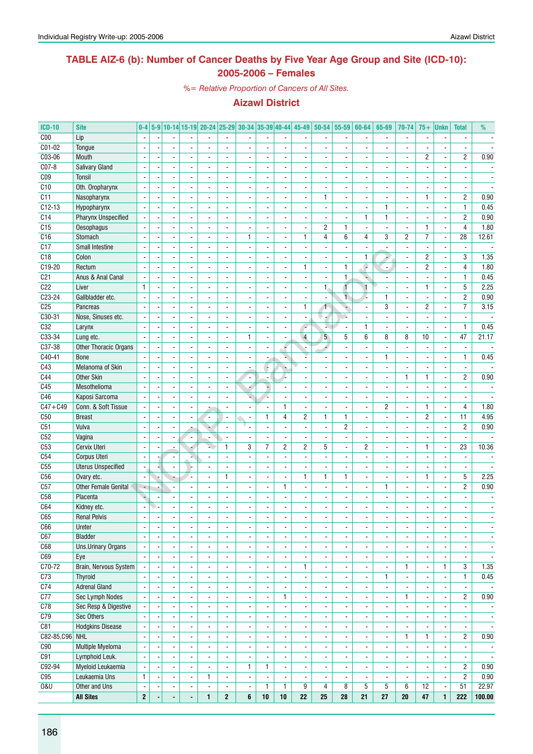### **TABLE AIZ-6 (b): Number of Cancer Deaths by Five Year Age Group and Site (ICD-10): 2005-2006 – Females**

*%= Relative Proportion of Cancers of All Sites.*

| <b>ICD-10</b>    | <b>Site</b>                 | $0-4$                    |                |                          |                          | 5-9 10-14 15-19 20-24 25-29 30-34 35-39 40-44 45-49 50-54 |                          |                          |                          |                          |                          |                          | 55-59                    | 60-64                    | 65-69                        | 70-74                    | $75+$                    | <b>Unkn</b>                  | <b>Total</b>             | %                        |
|------------------|-----------------------------|--------------------------|----------------|--------------------------|--------------------------|-----------------------------------------------------------|--------------------------|--------------------------|--------------------------|--------------------------|--------------------------|--------------------------|--------------------------|--------------------------|------------------------------|--------------------------|--------------------------|------------------------------|--------------------------|--------------------------|
| C <sub>00</sub>  | Lip                         |                          |                |                          |                          |                                                           |                          |                          |                          |                          |                          |                          | ä,                       |                          |                              | $\overline{\phantom{a}}$ |                          |                              |                          |                          |
| C01-02           | Tongue                      |                          |                |                          |                          |                                                           |                          |                          |                          | ÷,                       |                          |                          | ÷,                       |                          |                              | $\overline{a}$           |                          |                              |                          |                          |
| C03-06           | Mouth                       |                          |                |                          |                          | $\overline{\phantom{a}}$                                  |                          |                          |                          | $\overline{\phantom{a}}$ |                          |                          | $\blacksquare$           |                          |                              | $\overline{\phantom{a}}$ | 2                        | $\overline{\phantom{a}}$     | $\overline{c}$           | 0.90                     |
| C07-8            | Salivary Gland              |                          |                |                          |                          |                                                           |                          |                          |                          | $\overline{\phantom{a}}$ |                          |                          | ä,                       |                          |                              |                          |                          |                              |                          |                          |
| C <sub>09</sub>  | Tonsil                      | $\overline{a}$           |                | $\sim$                   |                          | $\overline{\phantom{a}}$                                  | $\overline{\phantom{a}}$ | $\overline{\phantom{a}}$ | $\overline{a}$           | $\blacksquare$           | $\blacksquare$           |                          | ÷,                       | $\blacksquare$           | $\overline{a}$               | $\blacksquare$           |                          | $\overline{a}$               | $\blacksquare$           |                          |
| C10              | Oth. Oropharynx             | $\overline{a}$           |                | $\blacksquare$           |                          | $\frac{1}{2}$                                             |                          | $\overline{\phantom{a}}$ | $\overline{a}$           | $\overline{\phantom{a}}$ | $\blacksquare$           |                          | $\overline{\phantom{a}}$ | $\overline{\phantom{a}}$ |                              | $\overline{\phantom{a}}$ |                          | $\overline{\phantom{a}}$     | $\overline{\phantom{a}}$ |                          |
| C11              | Nasopharynx                 |                          |                |                          |                          |                                                           |                          | $\overline{\phantom{a}}$ | ٠                        |                          | $\overline{\phantom{a}}$ | 1                        |                          | $\overline{\phantom{a}}$ |                              | $\overline{\phantom{a}}$ | 1                        | $\qquad \qquad \blacksquare$ | $\overline{2}$           | 0.90                     |
| $C12-13$         |                             | $\sim$                   |                |                          |                          |                                                           |                          | ä,                       | $\blacksquare$           | $\overline{\phantom{a}}$ |                          |                          | $\overline{\phantom{a}}$ | $\overline{a}$           | 1                            |                          | $\overline{a}$           | ä,                           | $\mathbf{1}$             | 0.45                     |
|                  | Hypopharynx                 |                          |                |                          |                          |                                                           |                          |                          |                          | $\overline{\phantom{a}}$ |                          |                          | $\blacksquare$           | $\mathbf{1}$             | $\mathbf{1}$                 | $\overline{\phantom{a}}$ |                          |                              |                          |                          |
| C14              | Pharynx Unspecified         |                          |                | $\overline{a}$           |                          | $\blacksquare$                                            |                          | $\overline{\phantom{a}}$ | $\overline{a}$           | $\blacksquare$           |                          |                          | $\blacksquare$           |                          |                              | $\blacksquare$           |                          | $\overline{a}$               | $\overline{c}$           | 0.90                     |
| $\overline{C15}$ | <b>Oesophagus</b>           |                          |                | $\overline{a}$           |                          | $\overline{\phantom{a}}$                                  | $\frac{1}{2}$            | ä,                       |                          | $\overline{\phantom{a}}$ | $\overline{\phantom{a}}$ | $\overline{c}$           | $\mathbf{1}$             | $\overline{\phantom{a}}$ | $\overline{a}$               | $\blacksquare$           | 1                        | ÷,                           | $\overline{4}$           | 1.80                     |
| C16              | Stomach                     |                          |                | $\overline{a}$           |                          |                                                           |                          | $\mathbf{1}$             | ÷,                       | $\blacksquare$           | 1                        | $\overline{4}$           | 6                        | 4                        | 3                            | $\overline{2}$           | 7                        | ÷,                           | 28                       | 12.61                    |
| C17              | <b>Small Intestine</b>      |                          |                | $\overline{\phantom{a}}$ |                          | $\overline{\phantom{a}}$                                  | $\blacksquare$           | ä,                       | $\overline{a}$           | $\blacksquare$           | $\overline{\phantom{a}}$ |                          | ä,                       |                          |                              | ä,                       | $\overline{a}$           | ä,                           | $\overline{\phantom{a}}$ | $\overline{\phantom{a}}$ |
| C18              | Colon                       | ÷,                       |                | $\blacksquare$           |                          | ÷.                                                        |                          | $\overline{\phantom{a}}$ | $\overline{a}$           | $\blacksquare$           | $\overline{\phantom{a}}$ |                          | ÷,                       | 1                        |                              | $\blacksquare$           | $\overline{c}$           | ä,                           | 3                        | 1.35                     |
| C19-20           | Rectum                      |                          |                |                          |                          |                                                           |                          | $\overline{\phantom{a}}$ |                          | $\overline{\phantom{a}}$ | 1                        |                          | 1                        | F                        | $\blacksquare$               | $\overline{\phantom{a}}$ | 2                        | $\qquad \qquad \blacksquare$ | 4                        | 1.80                     |
| C <sub>21</sub>  | Anus & Anal Canal           |                          |                |                          |                          |                                                           |                          | $\overline{\phantom{a}}$ |                          | ä,                       |                          |                          | $\mathbf{1}$             |                          |                              | $\blacksquare$           |                          | ä,                           | $\mathbf{1}$             | 0.45                     |
| C22              | Liver                       | $\mathbf{1}$             |                |                          |                          | $\overline{\phantom{a}}$                                  |                          | $\blacksquare$           | $\overline{a}$           | $\blacksquare$           |                          | $\mathbf{1}$             | 1                        | $\mathbf{1}$             |                              | $\blacksquare$           | 1                        | ÷,                           | 5                        | 2.25                     |
| C23-24           | Gallbladder etc.            |                          |                |                          |                          |                                                           |                          |                          |                          | $\overline{\phantom{a}}$ |                          |                          | $\overline{1}$           |                          | $\mathbf{1}$                 | $\overline{\phantom{a}}$ |                          | $\overline{a}$               | $\overline{c}$           | 0.90                     |
| C <sub>25</sub>  | Pancreas                    |                          |                | $\overline{a}$           |                          |                                                           |                          | ä,                       |                          | $\blacksquare$           | $\mathbf{1}$             | $\mathbf{1}$             | ÷                        |                          | 3                            | $\blacksquare$           | 2                        | ä,                           | $\overline{7}$           | 3.15                     |
| C30-31           | Nose, Sinuses etc.          |                          |                | $\sim$                   | ÷                        | $\blacksquare$                                            | $\overline{\phantom{a}}$ | $\frac{1}{2}$            | L,                       | $\blacksquare$           | $\overline{\phantom{a}}$ |                          | ù.                       | $\blacksquare$           | $\overline{a}$               | $\frac{1}{2}$            |                          | ä,                           | $\blacksquare$           | $\overline{\phantom{a}}$ |
| C32              | Larynx                      | $\blacksquare$           |                | $\blacksquare$           |                          | $\overline{\phantom{a}}$                                  | $\overline{\phantom{a}}$ | $\blacksquare$           | L,                       | $\blacksquare$           | ÷                        | ¥.                       | $\overline{\phantom{a}}$ | 1                        | ÷,                           | $\frac{1}{2}$            | $\overline{a}$           | ä,                           | $\mathbf{1}$             | 0.45                     |
| $C33-34$         | Lung etc.                   |                          |                | $\blacksquare$           |                          | $\frac{1}{2}$                                             |                          | 1                        | $\overline{a}$           | $\overline{\phantom{a}}$ | $\overline{4}$           | 5 <sup>5</sup>           | 5                        | 6                        | 8                            | 8                        | 10                       | $\overline{\phantom{a}}$     | 47                       | 21.17                    |
| C37-38           | Other Thoracic Organs       |                          |                |                          |                          |                                                           |                          | $\overline{\phantom{a}}$ | $\overline{a}$           | P                        |                          |                          | $\overline{\phantom{a}}$ |                          |                              | $\overline{\phantom{a}}$ |                          | ÷,                           |                          |                          |
| C40-41           | <b>Bone</b>                 |                          |                | $\overline{\phantom{a}}$ |                          | $\blacksquare$                                            | $\blacksquare$           | $\overline{\phantom{a}}$ | ٠                        | v.                       |                          |                          | $\overline{a}$           | $\blacksquare$           | 1                            | $\overline{a}$           |                          | ä,                           | $\mathbf{1}$             | 0.45                     |
| C43              | Melanoma of Skin            |                          |                |                          |                          |                                                           |                          |                          | ÷                        |                          |                          |                          | $\overline{\phantom{a}}$ |                          |                              | ä,                       |                          | $\overline{a}$               |                          |                          |
| C44              | <b>Other Skin</b>           |                          |                |                          |                          |                                                           |                          | $\overline{\phantom{a}}$ |                          | g.                       |                          |                          | $\overline{\phantom{a}}$ |                          |                              | $\mathbf{1}$             | 1                        | $\overline{\phantom{a}}$     | $\overline{2}$           | 0.90                     |
| C45              | Mesothelioma                | $\overline{a}$           |                | $\overline{a}$           |                          | $\blacksquare$                                            | $\overline{\phantom{a}}$ | 4                        | ×,                       | $\blacksquare$           | $\overline{a}$           |                          | ÷,                       | $\overline{a}$           | $\overline{a}$               | $\frac{1}{2}$            |                          | ÷,                           | $\overline{a}$           | $\blacksquare$           |
| C46              | Kaposi Sarcoma              | ÷,                       |                | $\overline{\phantom{a}}$ |                          | ÷.                                                        | $\overline{\phantom{a}}$ | u,                       | Z.                       | $\blacksquare$           | $\overline{\phantom{a}}$ |                          | ä,                       | $\blacksquare$           | $\overline{a}$               | $\blacksquare$           | $\overline{a}$           | $\overline{\phantom{a}}$     | $\blacksquare$           | $\overline{\phantom{a}}$ |
| $C47 + C49$      | Conn. & Soft Tissue         |                          |                | $\blacksquare$           |                          |                                                           |                          | $\overline{\phantom{a}}$ | ۰                        | $\mathbf{1}$             | $\overline{\phantom{a}}$ |                          | $\overline{\phantom{a}}$ | $\blacksquare$           | $\overline{c}$               | $\overline{\phantom{a}}$ | 1                        | $\qquad \qquad \blacksquare$ | 4                        | 1.80                     |
| C50              | <b>Breast</b>               |                          |                |                          |                          |                                                           | $\overline{\phantom{a}}$ | $\overline{a}$           | 1                        | 4                        | $\overline{c}$           | 1                        | $\mathbf{1}$             | $\overline{a}$           |                              | $\overline{\phantom{a}}$ | 2                        | ä,                           | $\overline{11}$          | 4.95                     |
| C51              | Vulva                       |                          |                | $\overline{\phantom{a}}$ |                          |                                                           | $\overline{\phantom{a}}$ | $\overline{a}$           | $\overline{a}$           | $\blacksquare$           | $\overline{\phantom{a}}$ | $\blacksquare$           | 2                        | $\blacksquare$           |                              | $\blacksquare$           | $\overline{\phantom{a}}$ | $\blacksquare$               | $\overline{c}$           | 0.90                     |
| C52              | Vagina                      |                          |                |                          |                          |                                                           |                          | $\overline{\phantom{a}}$ |                          | $\overline{\phantom{a}}$ |                          |                          | $\overline{\phantom{a}}$ |                          |                              | ä,                       |                          | ÷,                           |                          |                          |
| C <sub>53</sub>  | Cervix Uteri                |                          |                | $\blacksquare$           |                          |                                                           | $\mathbf{1}$             | 3                        | 7                        | $\overline{c}$           | $\overline{2}$           | 5                        | $\blacksquare$           | $\overline{c}$           |                              | $\overline{a}$           | 1                        | $\overline{a}$               | 23                       | 10.36                    |
| C54              | Corpus Uteri                | $\sim$                   |                | $\sim$                   |                          | $\overline{\phantom{a}}$                                  | $\overline{a}$           | ÷,                       | ÷,                       | $\blacksquare$           |                          |                          | ÷,                       |                          | ٠                            | $\blacksquare$           |                          | ÷,                           |                          |                          |
| C55              | <b>Uterus Unspecified</b>   | $\blacksquare$           |                | $\blacksquare$           |                          | $\blacksquare$                                            | $\blacksquare$           | $\frac{1}{2}$            | $\overline{a}$           | $\blacksquare$           | $\blacksquare$           | $\blacksquare$           | $\blacksquare$           | $\overline{\phantom{a}}$ |                              | $\frac{1}{2}$            |                          | ä,                           | $\overline{\phantom{a}}$ |                          |
| C <sub>56</sub>  | Ovary etc.                  |                          |                |                          |                          | $\overline{\phantom{a}}$                                  | 1                        | $\overline{\phantom{a}}$ | $\overline{a}$           | $\overline{\phantom{a}}$ | 1                        | 1                        | 1                        | $\overline{\phantom{a}}$ | $\overline{\phantom{a}}$     | $\overline{\phantom{a}}$ | 1                        | $\qquad \qquad \blacksquare$ | 5                        | 2.25                     |
| C57              | <b>Other Female Genital</b> | $\blacksquare$           |                |                          |                          |                                                           |                          | ä,                       |                          | $\mathbf{1}$             |                          |                          | ÷,                       |                          | $\mathbf{1}$                 | $\overline{a}$           |                          | $\overline{a}$               | $\overline{c}$           | 0.90                     |
| C <sub>58</sub>  | Placenta                    | ۵                        |                |                          |                          | $\blacksquare$                                            | $\blacksquare$           | $\overline{\phantom{a}}$ | ٠                        | $\blacksquare$           |                          |                          | $\overline{a}$           |                          |                              | $\overline{a}$           |                          | $\overline{\phantom{a}}$     |                          |                          |
| C64              | Kidney etc.                 |                          |                |                          |                          |                                                           |                          | $\overline{\phantom{a}}$ |                          | $\overline{a}$           |                          |                          | $\blacksquare$           |                          |                              | $\overline{\phantom{a}}$ |                          | ÷,                           |                          |                          |
| C65              |                             |                          |                |                          |                          |                                                           |                          |                          |                          |                          |                          |                          |                          |                          |                              |                          |                          |                              |                          |                          |
|                  | <b>Renal Pelvis</b>         |                          |                |                          |                          |                                                           |                          |                          |                          |                          |                          |                          |                          |                          |                              |                          |                          |                              |                          |                          |
| C66              | Ureter                      |                          |                | $\blacksquare$           |                          | $\overline{\phantom{a}}$                                  |                          | $\overline{\phantom{a}}$ | $\frac{1}{2}$            | $\overline{\phantom{a}}$ | $\blacksquare$           |                          | $\overline{\phantom{a}}$ | $\overline{\phantom{a}}$ | $\qquad \qquad \blacksquare$ | $\overline{\phantom{a}}$ | $\overline{\phantom{a}}$ | $\overline{\phantom{a}}$     | $\overline{a}$           | $\overline{\phantom{a}}$ |
| C67              | Bladder                     | $\blacksquare$           | $\overline{a}$ | $\overline{\phantom{a}}$ | $\blacksquare$           | $\overline{\phantom{a}}$                                  | $\blacksquare$           | $\overline{\phantom{a}}$ | $\overline{\phantom{a}}$ | $\blacksquare$           | $\overline{\phantom{a}}$ | $\overline{\phantom{a}}$ | $\overline{\phantom{a}}$ | $\overline{\phantom{a}}$ | $\overline{\phantom{0}}$     | $\overline{\phantom{a}}$ | ä,                       | $\overline{a}$               | $\overline{\phantom{a}}$ | $\overline{\phantom{a}}$ |
| C68              | <b>Uns.Urinary Organs</b>   | $\blacksquare$           |                | $\overline{\phantom{a}}$ | $\blacksquare$           | $\frac{1}{2}$                                             | $\overline{\phantom{a}}$ | $\overline{\phantom{a}}$ | $\overline{\phantom{a}}$ | $\overline{\phantom{a}}$ | $\overline{\phantom{a}}$ | $\overline{\phantom{a}}$ | $\overline{\phantom{a}}$ | $\overline{\phantom{a}}$ | ٠                            | $\overline{\phantom{a}}$ | $\blacksquare$           | $\overline{\phantom{a}}$     | $\overline{\phantom{a}}$ | $\overline{\phantom{a}}$ |
| C69              | Eye                         |                          |                |                          |                          | $\frac{1}{2}$                                             |                          | $\overline{\phantom{a}}$ | $\overline{\phantom{a}}$ | $\overline{\phantom{a}}$ | $\blacksquare$           | $\overline{\phantom{a}}$ | $\overline{\phantom{a}}$ | $\overline{a}$           | ä,                           | $\blacksquare$           |                          | $\overline{\phantom{a}}$     | $\overline{\phantom{a}}$ | $\overline{\phantom{a}}$ |
| C70-72           | Brain, Nervous System       |                          |                | $\blacksquare$           | $\blacksquare$           | $\overline{\phantom{a}}$                                  | $\blacksquare$           | $\overline{\phantom{a}}$ | $\overline{\phantom{a}}$ | $\overline{\phantom{a}}$ | $\mathbf{1}$             | $\overline{\phantom{a}}$ | $\blacksquare$           | $\overline{\phantom{a}}$ | $\overline{\phantom{a}}$     | $\mathbf{1}$             | $\overline{\phantom{a}}$ | $\mathbf{1}$                 | 3                        | 1.35                     |
| C <sub>73</sub>  | <b>Thyroid</b>              |                          |                | $\overline{a}$           |                          | $\overline{\phantom{a}}$                                  | $\blacksquare$           | $\blacksquare$           | $\overline{\phantom{a}}$ | $\blacksquare$           |                          | $\overline{\phantom{a}}$ | $\blacksquare$           | $\blacksquare$           | $\mathbf{1}$                 | $\blacksquare$           |                          | ÷,                           | $\mathbf{1}$             | 0.45                     |
| C <sub>74</sub>  | <b>Adrenal Gland</b>        |                          |                |                          |                          | $\overline{\phantom{a}}$                                  | $\overline{\phantom{a}}$ | $\overline{\phantom{a}}$ |                          | $\overline{\phantom{a}}$ |                          |                          | $\overline{\phantom{a}}$ |                          |                              | $\overline{\phantom{a}}$ |                          | $\qquad \qquad \blacksquare$ | $\overline{\phantom{a}}$ |                          |
| C77              | <b>Sec Lymph Nodes</b>      |                          |                | $\overline{\phantom{a}}$ | $\overline{\phantom{a}}$ | $\blacksquare$                                            | $\blacksquare$           | $\overline{\phantom{a}}$ | $\overline{\phantom{a}}$ | $\mathbf{1}$             | $\overline{\phantom{a}}$ | $\blacksquare$           | $\overline{\phantom{a}}$ | $\overline{\phantom{a}}$ | $\overline{\phantom{0}}$     | $\mathbf{1}$             | ä,                       | $\blacksquare$               | $\overline{2}$           | 0.90                     |
| C78              | Sec Resp & Digestive        |                          |                | $\overline{\phantom{a}}$ | $\blacksquare$           | $\overline{\phantom{a}}$                                  | $\overline{\phantom{a}}$ | ٠                        | $\overline{\phantom{a}}$ | $\blacksquare$           | $\overline{\phantom{a}}$ | $\overline{\phantom{a}}$ | $\overline{\phantom{a}}$ | $\overline{\phantom{a}}$ | ۰.                           | $\overline{\phantom{a}}$ | $\blacksquare$           | $\overline{\phantom{a}}$     | $\overline{\phantom{a}}$ | $\overline{\phantom{a}}$ |
| C79              | Sec Others                  |                          |                | $\overline{a}$           | $\blacksquare$           | $\overline{\phantom{a}}$                                  | $\overline{\phantom{a}}$ | $\overline{\phantom{a}}$ | -                        | $\overline{\phantom{a}}$ | $\overline{\phantom{a}}$ | $\overline{\phantom{a}}$ | $\overline{\phantom{a}}$ | $\overline{\phantom{a}}$ | ۰.                           | $\overline{\phantom{a}}$ | $\blacksquare$           | $\overline{\phantom{a}}$     | $\overline{\phantom{a}}$ | $\overline{\phantom{a}}$ |
| C81              | <b>Hodgkins Disease</b>     | $\overline{a}$           |                |                          |                          | $\overline{a}$                                            | $\overline{\phantom{a}}$ | $\blacksquare$           | $\overline{a}$           | $\overline{\phantom{a}}$ | $\overline{a}$           | $\blacksquare$           | $\blacksquare$           | $\overline{\phantom{a}}$ | ä,                           | $\blacksquare$           |                          | $\overline{\phantom{a}}$     | $\overline{\phantom{a}}$ | $\blacksquare$           |
| C82-85,C96 NHL   |                             | $\blacksquare$           |                | $\blacksquare$           | $\blacksquare$           | $\overline{\phantom{a}}$                                  | $\blacksquare$           | $\overline{\phantom{a}}$ | $\overline{\phantom{a}}$ | $\overline{\phantom{a}}$ | $\overline{\phantom{a}}$ | $\overline{\phantom{a}}$ | $\overline{\phantom{a}}$ | $\overline{\phantom{a}}$ | $\frac{1}{2}$                | $\mathbf{1}$             | $\mathbf{1}$             | $\overline{\phantom{a}}$     | $\overline{c}$           | 0.90                     |
| C90              | Multiple Myeloma            | $\overline{\phantom{a}}$ |                | $\blacksquare$           | $\overline{a}$           | $\overline{a}$                                            | $\blacksquare$           | $\overline{\phantom{a}}$ | $\overline{\phantom{a}}$ | $\Box$                   | $\overline{\phantom{a}}$ | $\overline{\phantom{a}}$ | ÷,                       | $\blacksquare$           | $\overline{\phantom{0}}$     | $\overline{\phantom{a}}$ |                          | ä,                           | $\overline{\phantom{a}}$ | $\overline{\phantom{a}}$ |
| C91              | Lymphoid Leuk.              |                          |                | $\overline{\phantom{a}}$ | $\overline{\phantom{a}}$ | $\overline{\phantom{a}}$                                  | $\overline{\phantom{a}}$ | $\overline{\phantom{a}}$ |                          | $\blacksquare$           | $\overline{\phantom{a}}$ | $\overline{\phantom{a}}$ | $\overline{\phantom{a}}$ | $\overline{\phantom{a}}$ | -                            | $\blacksquare$           |                          | $\overline{\phantom{a}}$     | $\blacksquare$           | $\overline{\phantom{a}}$ |
| C92-94           | Myeloid Leukaemia           | $\blacksquare$           |                | $\overline{\phantom{a}}$ | $\blacksquare$           | $\blacksquare$                                            | $\overline{\phantom{a}}$ | $\mathbf{1}$             | $\mathbf{1}$             | $\blacksquare$           | $\overline{\phantom{a}}$ |                          | $\overline{\phantom{a}}$ | $\overline{\phantom{a}}$ | $\overline{\phantom{0}}$     | $\overline{\phantom{a}}$ |                          | $\overline{a}$               | $\mathbf{2}$             | 0.90                     |
| C95              | Leukaemia Uns               | $\mathbf{1}$             |                | $\overline{\phantom{a}}$ | $\overline{\phantom{a}}$ | 1                                                         | $\overline{\phantom{a}}$ | $\overline{\phantom{a}}$ | $\overline{\phantom{a}}$ | $\overline{\phantom{a}}$ | $\overline{\phantom{a}}$ | $\overline{\phantom{a}}$ | $\overline{\phantom{a}}$ | $\overline{\phantom{a}}$ | ۰.                           | $\overline{\phantom{a}}$ | $\overline{\phantom{a}}$ | $\blacksquare$               | $\overline{c}$           | 0.90                     |
| <b>0&amp;U</b>   | Other and Uns               | $\overline{\phantom{a}}$ |                | $\overline{\phantom{a}}$ | ۰                        | $\overline{\phantom{a}}$                                  | $\overline{\phantom{a}}$ | $\overline{\phantom{a}}$ | 1                        | $\mathbf{1}$             | 9                        | 4                        | 8                        | 5                        | 5                            | 6                        | 12                       | $\overline{\phantom{a}}$     | 51                       | 22.97                    |
|                  | <b>All Sites</b>            | $\boldsymbol{2}$         |                | $\blacksquare$           | $\blacksquare$           | $\mathbf{1}$                                              | $\boldsymbol{2}$         | 6                        | ${\bf 10}$               | $10\,$                   | 22                       | 25                       | ${\bf 28}$               | 21                       | 27                           | 20                       | 47                       | 1                            | 222                      | 100.00                   |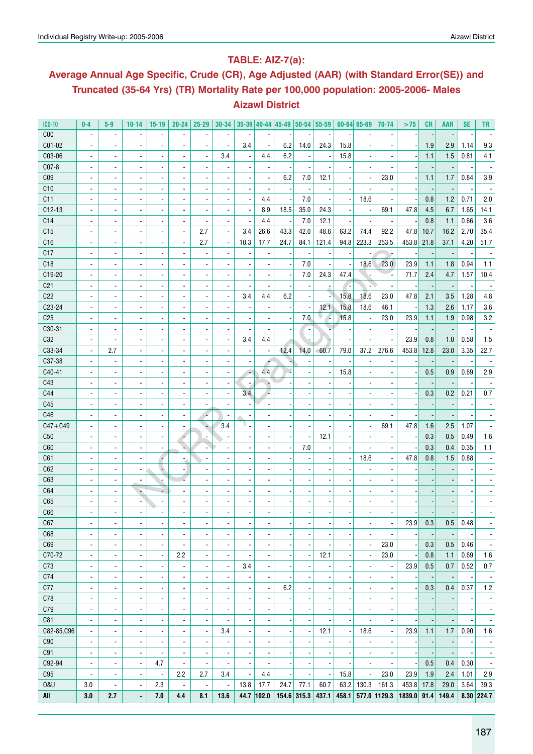### **Table: AIZ-7(a):**

# **Average Annual Age Specific, Crude (CR), Age Adjusted (AAR) (with Standard Error(SE)) and Truncated (35-64 Yrs) (TR) Mortality Rate per 100,000 population: 2005-2006- Males Aizawl District**

| <b>ICD-10</b>   | $0-4$                    | $5-9$                    | $10 - 14$                | $15-19$                  | $20 - 24$                | 25-29                    | 30-34                    |                          |                          |      |                          | $35-39$ 40-44 45-49 50-54 55-59 |       | $60 - 64$ 65-69          | 70-74                    | >75    | CR   | <b>AAR</b> | <b>SE</b> | TR                       |
|-----------------|--------------------------|--------------------------|--------------------------|--------------------------|--------------------------|--------------------------|--------------------------|--------------------------|--------------------------|------|--------------------------|---------------------------------|-------|--------------------------|--------------------------|--------|------|------------|-----------|--------------------------|
| C <sub>00</sub> | $\blacksquare$           | $\blacksquare$           | $\overline{\phantom{a}}$ | $\blacksquare$           | $\blacksquare$           | $\overline{\phantom{a}}$ |                          |                          |                          |      |                          |                                 |       | $\overline{\phantom{a}}$ |                          |        |      |            |           |                          |
| C01-02          | $\blacksquare$           | $\blacksquare$           | $\blacksquare$           | $\overline{\phantom{a}}$ | ä,                       | $\blacksquare$           | $\blacksquare$           | 3.4                      | $\overline{\phantom{a}}$ | 6.2  | 14.0                     | 24.3                            | 15.8  | $\blacksquare$           |                          |        | 1.9  | 2.9        | 1.14      | 9.3                      |
| C03-06          | $\blacksquare$           | $\blacksquare$           |                          | $\overline{\phantom{a}}$ | ä,                       |                          | 3.4                      | $\overline{a}$           | 4.4                      | 6.2  |                          |                                 | 15.8  | $\blacksquare$           |                          |        | 1.1  | 1.5        | 0.81      | 4.1                      |
| C07-8           | $\blacksquare$           | $\blacksquare$           |                          | $\overline{\phantom{a}}$ | $\blacksquare$           |                          |                          | $\overline{\phantom{a}}$ |                          |      |                          |                                 |       |                          |                          |        |      |            |           |                          |
| C <sub>09</sub> | $\overline{\phantom{a}}$ | ÷,                       |                          | $\overline{\phantom{a}}$ | $\blacksquare$           |                          |                          | $\overline{\phantom{a}}$ |                          | 6.2  | 7.0                      | 12.1                            |       |                          | 23.0                     |        | 1.1  | 1.7        | 0.84      | 3.9                      |
| C10             |                          | ٠                        |                          | $\overline{\phantom{a}}$ |                          |                          |                          | $\overline{\phantom{a}}$ |                          |      |                          |                                 |       |                          |                          |        |      |            |           |                          |
| C <sub>11</sub> |                          | ÷,                       |                          | $\overline{\phantom{a}}$ |                          |                          |                          | $\overline{\phantom{a}}$ | 4.4                      |      | 7.0                      |                                 |       | 18.6                     |                          |        | 0.8  | 1.2        | 0.71      | 2.0                      |
| $C12-13$        |                          | $\blacksquare$           |                          | $\overline{\phantom{a}}$ |                          |                          |                          | $\overline{\phantom{a}}$ | 8.9                      | 18.5 | 35.0                     | 24.3                            |       | $\overline{\phantom{a}}$ | 69.1                     | 47.8   | 4.5  | 6.7        | 1.65      | 14.1                     |
| C14             | $\blacksquare$           | $\blacksquare$           |                          | $\overline{\phantom{a}}$ |                          |                          |                          | $\overline{\phantom{a}}$ | 4.4                      |      | 7.0                      | 12.1                            |       | $\overline{a}$           |                          |        | 0.8  | 1.1        | 0.66      | 3.6                      |
| C15             | ÷,                       | $\overline{a}$           |                          | $\overline{\phantom{a}}$ |                          | 2.7                      |                          | 3.4                      | 26.6                     | 43.3 | 42.0                     | 48.6                            | 63.2  | 74.4                     | 92.2                     | 47.8   | 10.7 | 16.2       | 2.70      | 35.4                     |
| C16             | ÷,                       | $\overline{a}$           |                          | $\overline{\phantom{a}}$ |                          | 2.7                      |                          | 10.3                     | 17.7                     | 24.7 | 84.1                     | 121.4                           | 94.8  | 223.3                    | 253.5                    | 453.8  | 21.8 | 37.1       | 4.20      | 51.7                     |
| C17             | $\blacksquare$           | $\overline{a}$           |                          | $\overline{\phantom{a}}$ |                          |                          |                          |                          |                          |      |                          |                                 |       | $\overline{\phantom{0}}$ |                          |        |      |            |           |                          |
| C18             | $\blacksquare$           | $\overline{a}$           | $\overline{\phantom{a}}$ | $\overline{\phantom{a}}$ |                          |                          |                          |                          |                          |      | 7.0                      |                                 |       | 18.6                     | 23.0                     | 23.9   | 1.1  | 1.8        | 0.94      | 1.1                      |
| C19-20          | ä,                       | $\overline{a}$           | $\overline{\phantom{a}}$ | $\overline{\phantom{a}}$ | ä,                       |                          |                          | $\overline{a}$           |                          |      | 7.0                      | 24.3                            | 47.4  |                          |                          | 71.7   | 2.4  | 4.7        | 1.57      | 10.4                     |
| C <sub>21</sub> | ä,                       | ÷,                       |                          | $\overline{\phantom{a}}$ | ä,                       |                          |                          | $\overline{a}$           |                          |      |                          |                                 |       |                          |                          |        |      |            |           |                          |
| C22             | $\overline{a}$           | $\blacksquare$           |                          | $\overline{\phantom{a}}$ | $\blacksquare$           |                          |                          | 3.4                      | 4.4                      | 6.2  |                          |                                 | 15.8  | 18.6                     | 23.0                     | 47.8   | 2.1  | 3.5        | 1.28      | 4.8                      |
| C23-24          | $\overline{a}$           | $\overline{\phantom{a}}$ | $\overline{a}$           | $\overline{\phantom{a}}$ | $\blacksquare$           |                          |                          | $\overline{\phantom{a}}$ |                          |      |                          | 12.1                            | 15.8  | 18.6                     | 46.1                     |        | 1.3  | 2.6        | 1.17      | 3.6                      |
| C <sub>25</sub> | $\overline{\phantom{a}}$ | $\overline{\phantom{a}}$ | $\overline{a}$           | $\overline{\phantom{a}}$ | $\blacksquare$           | $\overline{\phantom{a}}$ |                          | $\overline{\phantom{a}}$ |                          |      | 7.0                      | 4                               | 15.8  | $\overline{\phantom{a}}$ | 23.0                     | 23.9   | 1.1  | 1.9        | 0.98      | 3.2                      |
| C30-31          | $\overline{a}$           | $\overline{\phantom{a}}$ | $\overline{a}$           | $\overline{\phantom{a}}$ | $\overline{\phantom{a}}$ | $\overline{\phantom{a}}$ |                          | $\overline{\phantom{a}}$ |                          |      |                          |                                 |       | $\overline{\phantom{a}}$ |                          |        |      |            |           |                          |
| C32             | $\blacksquare$           | $\overline{\phantom{a}}$ | $\overline{a}$           | $\overline{\phantom{a}}$ | $\overline{\phantom{a}}$ | $\overline{\phantom{a}}$ |                          | 3.4                      | 4.4                      |      |                          |                                 |       | $\overline{\phantom{a}}$ |                          | 23.9   | 0.8  | 1.0        | 0.58      | 1.5                      |
| C33-34          | $\blacksquare$           | 2.7                      | $\overline{\phantom{a}}$ |                          |                          |                          |                          | $\overline{\phantom{a}}$ |                          | 12.4 | 14.0                     | 60.7                            | 79.0  | 37.2                     | 276.6                    | 453.8  | 12.8 | 23.0       | 3.35      | 22.7                     |
| C37-38          |                          |                          |                          | $\overline{\phantom{a}}$ | $\overline{\phantom{a}}$ | $\overline{\phantom{a}}$ |                          |                          | ÷,                       |      |                          |                                 |       |                          |                          |        |      |            |           |                          |
|                 | $\blacksquare$           | $\blacksquare$           | $\overline{a}$           | $\overline{\phantom{a}}$ | $\blacksquare$           | $\overline{\phantom{a}}$ |                          | $\overline{\phantom{a}}$ |                          |      |                          |                                 |       | $\overline{\phantom{a}}$ |                          |        |      |            |           |                          |
| C40-41          | $\blacksquare$           | $\overline{\phantom{a}}$ |                          | $\blacksquare$           | $\overline{\phantom{a}}$ |                          |                          | $\mathcal{L}$            | 4.4                      |      |                          |                                 | 15.8  | $\overline{\phantom{a}}$ |                          |        | 0.5  | 0.9        | 0.69      | 2.9                      |
| C43             | $\blacksquare$           | $\overline{\phantom{a}}$ |                          | $\overline{\phantom{a}}$ | $\overline{\phantom{a}}$ |                          |                          | $\overline{\phantom{a}}$ |                          |      |                          |                                 |       | $\blacksquare$           |                          |        |      |            |           |                          |
| C44             | $\blacksquare$           | $\blacksquare$           |                          | $\overline{\phantom{a}}$ | $\overline{\phantom{a}}$ |                          |                          | 3.4                      |                          |      |                          |                                 |       |                          |                          |        | 0.3  | 0.2        | 0.21      | 0.7                      |
| C45             | $\blacksquare$           | $\blacksquare$           |                          | $\overline{\phantom{a}}$ | $\blacksquare$           |                          |                          |                          |                          |      |                          |                                 |       |                          |                          |        |      |            |           |                          |
| C46             | $\overline{a}$           | $\overline{\phantom{a}}$ |                          | $\overline{\phantom{a}}$ | $\blacksquare$           |                          |                          | $\overline{\phantom{a}}$ |                          |      |                          |                                 |       |                          |                          |        |      |            |           |                          |
| $C47 + C49$     | $\overline{a}$           | ٠                        |                          | $\overline{\phantom{a}}$ | $\blacksquare$           | ٠                        | 3.4                      | υ.                       |                          |      |                          |                                 |       | $\blacksquare$           | 69.1                     | 47.8   | 1.6  | 2.5        | 1.07      |                          |
| C50             | $\overline{a}$           |                          |                          | $\overline{\phantom{a}}$ | ÷                        |                          |                          |                          |                          |      |                          | 12.1                            |       | $\overline{\phantom{a}}$ |                          |        | 0.3  | 0.5        | 0.49      | 1.6                      |
| C60             |                          |                          |                          | $\overline{\phantom{a}}$ | ×.                       |                          |                          | ×                        |                          |      | 7.0                      |                                 |       |                          |                          |        | 0.3  | 0.4        | 0.35      | 1.1                      |
| C61             | $\overline{a}$           |                          |                          | 7                        | ۰,                       |                          |                          | $\overline{a}$           |                          |      |                          |                                 |       | 18.6                     |                          | 47.8   | 0.8  | 1.5        | 0.88      |                          |
| C62             | ٠                        |                          | $\overline{\phantom{a}}$ | è                        | ٠,                       |                          |                          | $\overline{a}$           |                          |      |                          |                                 |       | $\overline{\phantom{a}}$ |                          |        |      |            |           |                          |
| C63             | ٠                        | ٠                        |                          |                          |                          |                          |                          | $\overline{a}$           |                          |      |                          |                                 |       | $\overline{\phantom{a}}$ |                          |        |      |            |           |                          |
| C64             | $\overline{\phantom{a}}$ | $\overline{\phantom{a}}$ | ÷                        | ÷                        |                          |                          |                          | $\overline{a}$           |                          |      |                          |                                 |       | $\overline{\phantom{a}}$ |                          |        |      |            |           |                          |
| C65             |                          |                          |                          | $\overline{\phantom{a}}$ |                          |                          |                          | $\overline{a}$           |                          |      |                          |                                 |       | $\overline{\phantom{a}}$ |                          |        |      |            |           |                          |
| C66             |                          |                          |                          | $\overline{\phantom{a}}$ |                          |                          |                          |                          |                          |      |                          |                                 |       |                          |                          |        |      |            |           |                          |
| C67             | ٠                        | ٠                        | $\overline{\phantom{a}}$ | ٠                        | ٠                        | ٠                        | $\overline{\phantom{a}}$ | $\overline{\phantom{a}}$ | $\overline{\phantom{a}}$ |      | $\overline{\phantom{a}}$ | $\overline{\phantom{a}}$        | ٠     | $\overline{\phantom{a}}$ |                          | 23.9   | 0.3  | 0.5        | 0.48      |                          |
| C68             | $\overline{\phantom{a}}$ | $\overline{\phantom{a}}$ | $\blacksquare$           | $\overline{\phantom{a}}$ | $\overline{\phantom{a}}$ | $\overline{\phantom{a}}$ | $\blacksquare$           | $\overline{\phantom{a}}$ | $\blacksquare$           |      | $\overline{\phantom{a}}$ | $\overline{\phantom{a}}$        |       | $\blacksquare$           |                          |        |      |            |           | $\blacksquare$           |
| C69             | $\overline{\phantom{a}}$ | $\overline{\phantom{a}}$ | $\overline{\phantom{a}}$ | $\overline{\phantom{a}}$ | $\overline{\phantom{a}}$ | $\overline{\phantom{a}}$ | $\blacksquare$           | $\overline{\phantom{a}}$ | $\overline{\phantom{a}}$ |      |                          |                                 |       | $\overline{\phantom{a}}$ | 23.0                     |        | 0.3  | 0.5        | 0.46      | $\overline{\phantom{a}}$ |
| C70-72          | $\blacksquare$           | $\overline{\phantom{a}}$ | $\blacksquare$           | $\overline{\phantom{a}}$ | 2.2                      | $\overline{\phantom{a}}$ | $\blacksquare$           | $\overline{\phantom{a}}$ | $\overline{\phantom{a}}$ |      | $\blacksquare$           | 12.1                            |       | $\overline{\phantom{a}}$ | 23.0                     |        | 0.8  | 1.1        | 0.69      | 1.6                      |
| C73             | $\overline{\phantom{a}}$ | $\overline{\phantom{a}}$ | $\blacksquare$           | $\overline{\phantom{a}}$ | $\overline{\phantom{a}}$ | $\overline{\phantom{a}}$ | $\blacksquare$           | 3.4                      | $\blacksquare$           |      | $\overline{\phantom{a}}$ |                                 |       | $\overline{\phantom{a}}$ |                          | 23.9   | 0.5  | 0.7        | 0.52      | $0.7\,$                  |
| C74             | $\overline{\phantom{a}}$ | $\overline{\phantom{a}}$ | $\blacksquare$           | $\overline{\phantom{a}}$ | $\overline{\phantom{a}}$ | $\overline{\phantom{a}}$ | $\blacksquare$           |                          | $\overline{\phantom{a}}$ |      | $\overline{\phantom{a}}$ |                                 |       | $\blacksquare$           |                          |        |      |            |           | $\overline{\phantom{a}}$ |
| C77             | $\overline{\phantom{a}}$ | $\overline{\phantom{a}}$ | $\blacksquare$           | $\blacksquare$           | $\overline{\phantom{a}}$ | $\blacksquare$           | $\overline{\phantom{a}}$ | $\overline{\phantom{a}}$ | $\blacksquare$           | 6.2  | $\overline{a}$           |                                 |       | $\blacksquare$           | $\blacksquare$           |        | 0.3  | 0.4        | 0.37      | 1.2                      |
| C78             | $\blacksquare$           | $\blacksquare$           | $\blacksquare$           | $\blacksquare$           | $\overline{\phantom{a}}$ | $\blacksquare$           | $\blacksquare$           | $\overline{\phantom{a}}$ |                          |      |                          |                                 |       | $\blacksquare$           | $\blacksquare$           |        |      |            |           | $\overline{\phantom{a}}$ |
| C79             | $\blacksquare$           | $\blacksquare$           | $\blacksquare$           | $\blacksquare$           | $\overline{\phantom{a}}$ | $\blacksquare$           | $\blacksquare$           | $\overline{\phantom{a}}$ |                          |      |                          |                                 |       | $\blacksquare$           | $\blacksquare$           |        |      |            |           | $\overline{\phantom{a}}$ |
| C81             | $\blacksquare$           | $\blacksquare$           | $\blacksquare$           | $\blacksquare$           | $\blacksquare$           | $\blacksquare$           |                          | $\blacksquare$           |                          |      |                          |                                 |       |                          | $\overline{\phantom{a}}$ |        |      |            |           | $\overline{\phantom{a}}$ |
| C82-85,C96      | $\blacksquare$           | $\overline{\phantom{a}}$ | $\blacksquare$           | $\blacksquare$           | $\blacksquare$           | $\blacksquare$           | 3.4                      | $\overline{\phantom{a}}$ |                          |      | $\overline{a}$           | 12.1                            |       | 18.6                     | $\blacksquare$           | 23.9   | 1.1  | 1.7        | 0.90      | 1.6                      |
| C90             | $\overline{\phantom{a}}$ | $\overline{\phantom{a}}$ | $\overline{\phantom{a}}$ | $\blacksquare$           | $\blacksquare$           | $\blacksquare$           |                          | $\overline{\phantom{a}}$ |                          |      |                          |                                 |       | $\overline{a}$           | $\blacksquare$           |        |      |            |           | $\overline{\phantom{a}}$ |
| C91             | $\overline{\phantom{a}}$ | $\overline{\phantom{a}}$ | $\overline{a}$           | $\blacksquare$           | $\blacksquare$           | $\blacksquare$           | $\overline{\phantom{a}}$ | $\overline{\phantom{a}}$ |                          |      |                          |                                 |       | $\overline{a}$           | $\blacksquare$           |        |      |            |           | $\blacksquare$           |
| C92-94          | $\overline{\phantom{a}}$ | $\overline{\phantom{a}}$ | $\blacksquare$           | 4.7                      | $\blacksquare$           | $\blacksquare$           | $\overline{\phantom{a}}$ | $\overline{\phantom{a}}$ |                          |      |                          |                                 |       | $\overline{a}$           |                          |        | 0.5  | 0.4        | 0.30      | $\overline{\phantom{a}}$ |
| C95             | $\blacksquare$           | $\overline{\phantom{a}}$ | $\blacksquare$           | $\overline{\phantom{a}}$ | 2.2                      | 2.7                      | 3.4                      | $\blacksquare$           | 4.4                      |      |                          | ÷,                              | 15.8  | $\blacksquare$           | 23.0                     | 23.9   | 1.9  | 2.4        | 1.01      | 2.9                      |
| <b>0&amp;U</b>  | 3.0                      | $\overline{a}$           | $\blacksquare$           | 2.3                      | ä,                       | $\blacksquare$           | $\blacksquare$           | 13.8                     | 17.7                     | 24.7 | 77.1                     | 60.7                            | 63.2  | 130.3                    | 161.3                    | 453.8  | 17.8 | 29.0       | 3.64      | 39.3                     |
| All             | 3.0                      | 2.7                      | ä,                       | 7.0                      | 4.4                      | 8.1                      | 13.6                     |                          | 44.7 102.0               |      | 154.6 315.3              | 437.1                           | 458.1 | 577.0 1129.3             |                          | 1839.0 | 91.4 | 149.4      |           | $8.30$ 224.7             |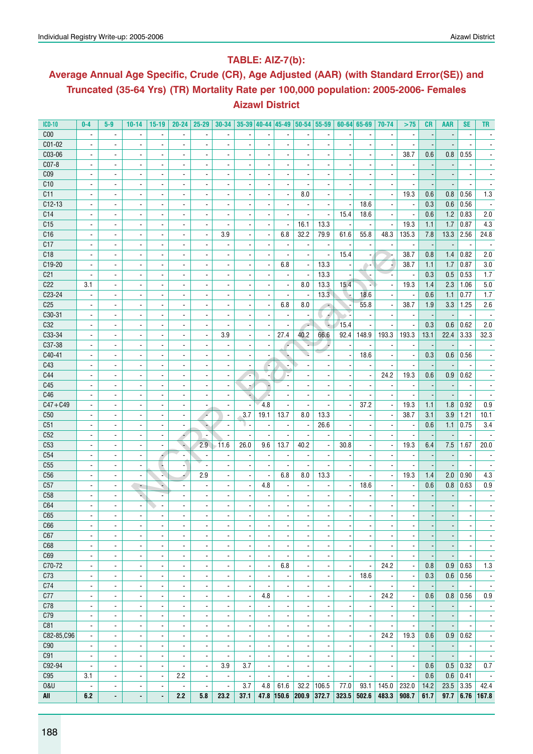### **Table: AIZ-7(b):**

# **Average Annual Age Specific, Crude (CR), Age Adjusted (AAR) (with Standard Error(SE)) and Truncated (35-64 Yrs) (TR) Mortality Rate per 100,000 population: 2005-2006- Females Aizawl District**

| <b>ICD-10</b>   | $0-4$                    | $5-9$                    | $10-14$                  | $15-19$                  | $20 - 24$                | $25 - 29$                    | $30 - 34$                |                          | $35-39$ 40-44 45-49      |                          | 50-54 55-59              |                          |                          | 60-64 65-69              | 70-74                    | >75                      | <b>CR</b>                | <b>AAR</b>               | <b>SE</b>                | <b>TR</b>                |
|-----------------|--------------------------|--------------------------|--------------------------|--------------------------|--------------------------|------------------------------|--------------------------|--------------------------|--------------------------|--------------------------|--------------------------|--------------------------|--------------------------|--------------------------|--------------------------|--------------------------|--------------------------|--------------------------|--------------------------|--------------------------|
| C <sub>00</sub> | $\blacksquare$           | $\blacksquare$           | $\blacksquare$           | $\blacksquare$           | $\blacksquare$           | $\blacksquare$               | $\blacksquare$           | $\overline{\phantom{a}}$ |                          |                          |                          | $\overline{\phantom{a}}$ |                          | $\blacksquare$           |                          | $\blacksquare$           |                          |                          | $\overline{\phantom{a}}$ |                          |
| C01-02          |                          | $\blacksquare$           |                          | $\blacksquare$           | $\blacksquare$           |                              |                          |                          |                          |                          |                          |                          |                          |                          |                          |                          |                          |                          |                          |                          |
| C03-06          | $\blacksquare$           | $\overline{\phantom{a}}$ | $\overline{\phantom{a}}$ | $\overline{\phantom{a}}$ | $\overline{\phantom{a}}$ | $\overline{\phantom{a}}$     |                          | $\overline{\phantom{a}}$ |                          |                          | $\overline{\phantom{a}}$ | $\overline{a}$           |                          | $\overline{\phantom{a}}$ | $\overline{a}$           | 38.7                     | 0.6                      | 0.8                      | 0.55                     |                          |
| C07-8           | $\blacksquare$           | $\blacksquare$           | $\frac{1}{2}$            | $\overline{\phantom{a}}$ | $\blacksquare$           | $\overline{\phantom{a}}$     |                          | $\overline{\phantom{a}}$ |                          |                          |                          |                          |                          |                          |                          |                          |                          |                          |                          |                          |
| C <sub>09</sub> | $\blacksquare$           | $\blacksquare$           | ۰                        | $\blacksquare$           | $\blacksquare$           | $\blacksquare$               | $\blacksquare$           | $\overline{\phantom{a}}$ | $\blacksquare$           | $\blacksquare$           | $\blacksquare$           | $\blacksquare$           |                          | $\overline{\phantom{a}}$ | $\blacksquare$           | $\overline{\phantom{a}}$ |                          |                          | $\blacksquare$           | $\overline{\phantom{a}}$ |
| C10             | $\blacksquare$           | $\overline{\phantom{a}}$ | $\overline{\phantom{a}}$ | $\overline{\phantom{a}}$ | $\blacksquare$           | $\overline{\phantom{a}}$     |                          | $\overline{\phantom{a}}$ | $\overline{\phantom{a}}$ | $\blacksquare$           |                          | $\overline{\phantom{a}}$ |                          | $\blacksquare$           |                          | $\overline{\phantom{a}}$ |                          |                          |                          |                          |
| C11             | $\overline{\phantom{a}}$ | $\overline{\phantom{a}}$ | $\overline{a}$           | $\overline{\phantom{a}}$ | $\overline{\phantom{a}}$ | ٠                            |                          | ٠                        |                          | $\overline{\phantom{a}}$ | 8.0                      | $\overline{a}$           |                          |                          | $\overline{\phantom{a}}$ | 19.3                     | 0.6                      | 0.8                      | 0.56                     | 1.3                      |
| $C12-13$        |                          | $\blacksquare$           | $\overline{a}$           | $\blacksquare$           | $\blacksquare$           |                              |                          | $\overline{\phantom{a}}$ |                          | $\blacksquare$           |                          |                          |                          | 18.6                     | $\blacksquare$           | $\blacksquare$           | 0.3                      | 0.6                      | 0.56                     |                          |
| C14             | $\blacksquare$           | $\overline{\phantom{a}}$ | ٠                        | $\blacksquare$           | $\overline{\phantom{a}}$ | $\blacksquare$               | $\blacksquare$           | $\overline{\phantom{a}}$ | $\overline{\phantom{a}}$ | $\blacksquare$           | ÷,                       | $\overline{\phantom{a}}$ | 15.4                     | 18.6                     | $\blacksquare$           | ä,                       | 0.6                      | 1.2                      | 0.83                     | 2.0                      |
| C15             | $\overline{\phantom{a}}$ | $\overline{\phantom{a}}$ | $\frac{1}{2}$            | $\overline{\phantom{a}}$ | $\overline{\phantom{a}}$ | ۰                            |                          | ٠                        | ٠                        | $\overline{\phantom{a}}$ | 16.1                     | 13.3                     |                          | $\overline{\phantom{a}}$ |                          | 19.3                     | 1.1                      | 1.7                      | 0.87                     | 4.3                      |
| C16             | $\blacksquare$           | $\overline{a}$           | $\overline{a}$           | $\overline{\phantom{a}}$ | $\blacksquare$           | ÷,                           | 3.9                      | $\blacksquare$           | $\overline{a}$           | 6.8                      | 32.2                     | 79.9                     | 61.6                     | 55.8                     | 48.3                     | 135.3                    | 7.8                      | 13.3                     | 2.56                     | 24.8                     |
| C17             | $\blacksquare$           | $\overline{\phantom{a}}$ |                          | $\overline{\phantom{a}}$ | $\blacksquare$           | $\overline{\phantom{a}}$     | $\blacksquare$           | $\overline{\phantom{a}}$ | $\overline{\phantom{a}}$ | $\blacksquare$           | $\blacksquare$           | $\overline{\phantom{a}}$ |                          | $\blacksquare$           | $\overline{a}$           | $\overline{\phantom{a}}$ |                          | $\overline{\phantom{a}}$ | $\overline{\phantom{a}}$ | $\overline{\phantom{a}}$ |
| C18             | $\blacksquare$           | $\blacksquare$           | $\blacksquare$           | $\blacksquare$           | $\blacksquare$           | $\blacksquare$               | $\blacksquare$           | $\overline{\phantom{a}}$ | $\overline{\phantom{a}}$ | $\blacksquare$           | $\overline{\phantom{a}}$ | $\blacksquare$           | 15.4                     | $\overline{\phantom{a}}$ |                          | 38.7                     | 0.8                      | 1.4                      | 0.82                     | 2.0                      |
| C19-20          | $\overline{\phantom{a}}$ | $\overline{\phantom{a}}$ |                          | $\overline{\phantom{a}}$ | $\overline{\phantom{a}}$ | ۰                            | $\overline{\phantom{a}}$ |                          | $\overline{\phantom{a}}$ | 6.8                      |                          | 13.3                     |                          |                          |                          | 38.7                     | 1.1                      | 1.7                      | 0.87                     | 3.0                      |
|                 | $\overline{\phantom{a}}$ | $\overline{a}$           | ÷.                       | $\overline{\phantom{a}}$ | $\overline{a}$           | ä,                           |                          | $\overline{\phantom{m}}$ |                          |                          | $\overline{\phantom{a}}$ | 13.3                     |                          | A =                      | ٠.                       | ä,                       | 0.3                      |                          | 0.53                     |                          |
| C <sub>21</sub> |                          |                          |                          |                          |                          |                              |                          | $\overline{\phantom{a}}$ |                          | $\overline{\phantom{a}}$ | $\blacksquare$           |                          |                          | N                        |                          |                          |                          | 0.5                      |                          | 1.7                      |
| C <sub>22</sub> | 3.1                      | $\blacksquare$           | $\frac{1}{2}$            | $\blacksquare$           | $\blacksquare$           | ٠                            |                          | $\overline{\phantom{a}}$ |                          | $\blacksquare$           | 8.0                      | 13.3                     | 15.4                     |                          |                          | 19.3                     | 1.4                      | 2.3                      | 1.06                     | 5.0                      |
| C23-24          | $\blacksquare$           | $\blacksquare$           | $\overline{\phantom{a}}$ | $\overline{\phantom{a}}$ | $\blacksquare$           | $\blacksquare$               |                          | $\overline{\phantom{a}}$ |                          |                          | $\blacksquare$           | $13.\overline{3}$        | ۰.                       | 18.6                     |                          | $\overline{\phantom{a}}$ | 0.6                      | 1.1                      | 0.77                     | 1.7                      |
| C <sub>25</sub> |                          | $\overline{\phantom{a}}$ | ٠                        | $\overline{\phantom{a}}$ | $\overline{\phantom{a}}$ | ۰                            |                          | $\overline{\phantom{m}}$ | $\overline{a}$           | 6.8                      | 8.0                      | ÷                        |                          | 55.8                     | ٠                        | 38.7                     | 1.9                      | 3.3                      | 1.25                     | 2.6                      |
| C30-31          | $\overline{\phantom{a}}$ | $\blacksquare$           | $\blacksquare$           | $\overline{\phantom{a}}$ | $\blacksquare$           | $\blacksquare$               |                          | $\overline{\phantom{a}}$ |                          |                          |                          | A                        |                          |                          |                          | $\overline{\phantom{a}}$ |                          |                          | $\overline{\phantom{a}}$ |                          |
| C32             | $\blacksquare$           | $\blacksquare$           | ۰                        | $\blacksquare$           | $\overline{\phantom{a}}$ | $\blacksquare$               | $\overline{\phantom{a}}$ | $\overline{\phantom{a}}$ | $\overline{\phantom{a}}$ |                          | $\overline{\phantom{a}}$ | ÷                        | 15.4                     | $\overline{a}$           | $\blacksquare$           | $\frac{1}{2}$            | 0.3                      | 0.6                      | 0.62                     | 2.0                      |
| C33-34          | $\blacksquare$           | $\overline{\phantom{a}}$ | $\overline{\phantom{a}}$ | $\overline{\phantom{a}}$ | $\overline{\phantom{a}}$ | $\overline{\phantom{a}}$     | 3.9                      | $\overline{\phantom{a}}$ | $\overline{\phantom{a}}$ | 27.4                     | 40.2                     | 66.6                     | 92.4                     | 148.9                    | 193.3                    | 193.3                    | 13.1                     | 22.4                     | 3.33                     | 32.3                     |
| C37-38          | $\overline{\phantom{a}}$ | $\overline{\phantom{a}}$ | $\overline{\phantom{a}}$ | $\blacksquare$           | $\overline{\phantom{a}}$ | -                            | ٠                        | $\overline{\phantom{m}}$ | $\overline{\phantom{a}}$ | ×                        |                          | ÷                        |                          | ÷                        | -                        | $\overline{\phantom{a}}$ |                          |                          |                          |                          |
| C40-41          | $\blacksquare$           | $\blacksquare$           | $\frac{1}{2}$            | $\blacksquare$           | $\blacksquare$           |                              |                          | $\overline{\phantom{a}}$ |                          |                          |                          |                          |                          | 18.6                     |                          | $\blacksquare$           | 0.3                      | 0.6                      | 0.56                     |                          |
| C43             | $\blacksquare$           | $\blacksquare$           | ۰                        | $\blacksquare$           | $\overline{\phantom{a}}$ | $\qquad \qquad \blacksquare$ | $\blacksquare$           | ä,                       | r.                       |                          | $\overline{\phantom{a}}$ | $\overline{a}$           |                          | $\overline{\phantom{a}}$ |                          | $\overline{\phantom{a}}$ | $\overline{\phantom{a}}$ |                          |                          | $\overline{\phantom{a}}$ |
| C44             |                          | $\overline{\phantom{a}}$ | $\frac{1}{2}$            | $\overline{\phantom{a}}$ | $\overline{\phantom{a}}$ | $\overline{\phantom{a}}$     |                          | $\overline{\phantom{a}}$ | $\overline{\phantom{a}}$ |                          |                          | $\overline{\phantom{a}}$ |                          | $\overline{\phantom{a}}$ | 24.2                     | 19.3                     | 0.6                      | 0.9                      | 0.62                     |                          |
| C45             | $\blacksquare$           | $\blacksquare$           | $\overline{a}$           | $\overline{\phantom{a}}$ | $\blacksquare$           | ÷,                           | $\blacksquare$           | ż                        |                          |                          | ÷,                       | ÷,                       |                          | ÷,                       | $\overline{a}$           | ä,                       |                          |                          | $\overline{\phantom{a}}$ |                          |
| C46             | $\overline{\phantom{a}}$ | $\overline{\phantom{a}}$ |                          | $\overline{\phantom{a}}$ | $\overline{\phantom{a}}$ | $\overline{\phantom{a}}$     | $\blacksquare$           | ÷                        | V.                       | $\blacksquare$           | $\overline{\phantom{a}}$ | $\overline{\phantom{a}}$ |                          | $\blacksquare$           | $\overline{\phantom{a}}$ | $\overline{\phantom{a}}$ | $\overline{\phantom{a}}$ | $\overline{\phantom{a}}$ | $\overline{\phantom{a}}$ | $\overline{\phantom{a}}$ |
| $C47 + C49$     | $\blacksquare$           | $\blacksquare$           | $\blacksquare$           | $\blacksquare$           | $\blacksquare$           | $\blacksquare$               | $\blacksquare$           | $\overline{\phantom{a}}$ | 4.8                      | $\blacksquare$           | $\overline{\phantom{a}}$ | $\overline{\phantom{a}}$ | $\overline{\phantom{a}}$ | 37.2                     | $\overline{\phantom{a}}$ | 19.3                     | 1.1                      | 1.8                      | 0.92                     | 0.9                      |
| C50             | $\overline{\phantom{a}}$ | $\overline{\phantom{a}}$ |                          | $\overline{\phantom{a}}$ | $\overline{\phantom{a}}$ | $\overline{\phantom{a}}$     | $\overline{\phantom{a}}$ | 3.7                      | 19.1                     | 13.7                     | 8.0                      | 13.3                     |                          | $\overline{\phantom{a}}$ | $\blacksquare$           | 38.7                     | 3.1                      | 3.9                      | 1.21                     | 10.1                     |
| C51             | $\overline{\phantom{a}}$ | $\overline{\phantom{a}}$ | $\blacksquare$           | $\overline{\phantom{a}}$ | $\overline{\phantom{a}}$ | ٠                            | $\blacksquare$           | υ.                       |                          | $\overline{\phantom{a}}$ | $\blacksquare$           | 26.6                     |                          |                          |                          | $\blacksquare$           | 0.6                      | 1.1                      | 0.75                     | 3.4                      |
| C52             | $\blacksquare$           | $\overline{\phantom{a}}$ | $\frac{1}{2}$            | $\blacksquare$           | ۰                        |                              | $\blacksquare$           | $\overline{\phantom{a}}$ |                          | $\blacksquare$           |                          | $\overline{\phantom{a}}$ |                          | $\blacksquare$           |                          | $\overline{\phantom{a}}$ |                          |                          |                          |                          |
| C <sub>53</sub> | $\blacksquare$           | $\blacksquare$           | $\overline{\phantom{a}}$ | $\overline{a}$           | ٠                        | 2.9                          | $-11.6$                  | 26.0                     | 9.6                      | 13.7                     | 40.2                     | ÷,                       | 30.8                     | $\blacksquare$           | $\overline{a}$           | 19.3                     | 6.4                      | 7.5                      | 1.67                     | 20.0                     |
| C54             |                          | $\overline{\phantom{a}}$ | $\overline{\phantom{a}}$ | ٠                        | $\overline{\phantom{a}}$ |                              |                          | $\overline{a}$           |                          |                          |                          |                          |                          | $\overline{\phantom{a}}$ |                          |                          |                          |                          |                          |                          |
| C55             | $\blacksquare$           | $\overline{a}$           | $\overline{\phantom{a}}$ | $\overline{\phantom{a}}$ | $\overline{\phantom{a}}$ |                              |                          | $\overline{\phantom{a}}$ |                          |                          |                          |                          |                          | $\blacksquare$           |                          |                          |                          |                          | $\overline{\phantom{a}}$ |                          |
| C <sub>56</sub> | $\blacksquare$           | $\overline{\phantom{a}}$ | ٠                        | N,                       | ÷.                       | 2.9                          | $\blacksquare$           | $\overline{\phantom{a}}$ | $\overline{\phantom{a}}$ | 6.8                      | 8.0                      | 13.3                     |                          | $\blacksquare$           | $\blacksquare$           | 19.3                     | 1.4                      | 2.0                      | 0.90                     | 4.3                      |
| C57             | $\overline{\phantom{a}}$ | $\overline{\phantom{a}}$ | ÷                        | ٠                        | $\overline{\phantom{a}}$ | $\overline{\phantom{a}}$     |                          | $\overline{\phantom{a}}$ | 4.8                      |                          | $\overline{\phantom{a}}$ | $\overline{\phantom{a}}$ |                          | 18.6                     | $\blacksquare$           | $\overline{\phantom{a}}$ | 0.6                      | 0.8                      | 0.63                     | 0.9                      |
| C <sub>58</sub> | $\blacksquare$           | $\overline{\phantom{a}}$ | ×.                       | $\blacksquare$           | $\blacksquare$           | ٠                            |                          | ٠                        |                          |                          |                          |                          |                          |                          |                          |                          |                          |                          |                          |                          |
| C64             | $\blacksquare$           | $\blacksquare$           | $\frac{1}{2}$            | $\blacksquare$           |                          |                              |                          | $\overline{\phantom{a}}$ |                          |                          |                          |                          |                          |                          |                          |                          |                          |                          |                          |                          |
| C65             |                          |                          | $\overline{\phantom{0}}$ | $\blacksquare$           |                          |                              |                          | $\blacksquare$           |                          |                          |                          | ä,                       |                          |                          |                          |                          |                          |                          |                          |                          |
| C66             | $\overline{\phantom{a}}$ | $\overline{\phantom{a}}$ | $\overline{\phantom{a}}$ | $\overline{\phantom{a}}$ | $\overline{\phantom{a}}$ | $\overline{\phantom{a}}$     | $\overline{\phantom{a}}$ | $\overline{\phantom{a}}$ | ٠                        | $\overline{\phantom{a}}$ | $\overline{\phantom{a}}$ | $\overline{\phantom{a}}$ | $\overline{\phantom{a}}$ | $\overline{\phantom{a}}$ | $\overline{\phantom{a}}$ | $\overline{\phantom{a}}$ | $\overline{a}$           | $\overline{\phantom{m}}$ | $\overline{\phantom{a}}$ | $\overline{\phantom{a}}$ |
| C67             | $\blacksquare$           | $\blacksquare$           | ٠                        | $\blacksquare$           | $\blacksquare$           | $\overline{\phantom{a}}$     | $\overline{\phantom{a}}$ | $\overline{\phantom{a}}$ | $\overline{\phantom{a}}$ | $\blacksquare$           | $\overline{\phantom{a}}$ | $\overline{\phantom{a}}$ |                          | $\overline{\phantom{a}}$ | $\overline{\phantom{a}}$ | $\overline{\phantom{a}}$ | $\overline{\phantom{a}}$ |                          | $\overline{\phantom{a}}$ | $\overline{\phantom{a}}$ |
| C68             | $\overline{\phantom{a}}$ | $\blacksquare$           | $\overline{\phantom{a}}$ | $\overline{\phantom{a}}$ | $\overline{\phantom{a}}$ | $\overline{\phantom{a}}$     | $\overline{\phantom{a}}$ | $\overline{\phantom{a}}$ | ٠                        | $\blacksquare$           | $\overline{\phantom{a}}$ | ٠                        |                          | $\overline{\phantom{a}}$ | $\overline{\phantom{a}}$ | $\overline{\phantom{a}}$ |                          |                          | $\overline{\phantom{a}}$ | $\overline{\phantom{a}}$ |
| C69             | $\blacksquare$           | $\overline{\phantom{a}}$ | $\overline{\phantom{a}}$ | $\blacksquare$           | $\blacksquare$           | $\overline{\phantom{a}}$     | $\blacksquare$           | $\overline{\phantom{a}}$ | $\blacksquare$           | $\blacksquare$           | $\overline{\phantom{a}}$ | $\blacksquare$           | $\overline{\phantom{a}}$ | $\blacksquare$           | $\blacksquare$           | $\overline{\phantom{a}}$ | $\overline{\phantom{a}}$ | $\overline{\phantom{a}}$ | $\overline{\phantom{a}}$ | $\overline{\phantom{a}}$ |
| C70-72          | $\overline{\phantom{a}}$ | $\overline{\phantom{a}}$ | $\overline{\phantom{a}}$ | $\overline{\phantom{a}}$ | $\overline{\phantom{a}}$ | $\overline{\phantom{a}}$     | $\overline{\phantom{a}}$ | $\frac{1}{2}$            | $\overline{\phantom{a}}$ | 6.8                      | $\overline{\phantom{a}}$ | $\overline{a}$           | $\overline{\phantom{a}}$ | $\blacksquare$           | 24.2                     | $\overline{\phantom{a}}$ | 0.8                      | 0.9                      | 0.63                     | 1.3                      |
| C73             | $\blacksquare$           | $\blacksquare$           | $\frac{1}{2}$            | $\blacksquare$           | $\blacksquare$           | $\overline{\phantom{a}}$     | $\overline{\phantom{a}}$ | $\overline{\phantom{m}}$ |                          | ÷,                       | $\overline{\phantom{a}}$ | $\overline{\phantom{a}}$ | $\overline{a}$           | 18.6                     | $\blacksquare$           | $\overline{\phantom{a}}$ | 0.3                      | 0.6                      | 0.56                     | $\overline{\phantom{a}}$ |
| C74             | $\overline{\phantom{a}}$ | $\overline{\phantom{a}}$ | $\overline{\phantom{a}}$ | $\blacksquare$           | $\blacksquare$           | $\overline{\phantom{a}}$     | $\overline{\phantom{a}}$ | $\overline{\phantom{a}}$ | $\overline{\phantom{a}}$ | $\blacksquare$           | $\blacksquare$           | $\blacksquare$           |                          | $\blacksquare$           |                          | $\overline{\phantom{a}}$ |                          | $\overline{\phantom{a}}$ | $\blacksquare$           | $\overline{\phantom{a}}$ |
| C77             | $\blacksquare$           | $\overline{\phantom{a}}$ | $\blacksquare$           | $\overline{\phantom{a}}$ | $\blacksquare$           | $\blacksquare$               | $\blacksquare$           | $\overline{\phantom{a}}$ | 4.8                      | $\blacksquare$           | $\overline{\phantom{a}}$ | $\overline{\phantom{a}}$ | $\overline{a}$           | $\blacksquare$           | 24.2                     | $\overline{\phantom{a}}$ | 0.6                      | 0.8                      | 0.56                     | 0.9                      |
| C78             | $\overline{\phantom{a}}$ | $\overline{\phantom{a}}$ | $\overline{\phantom{a}}$ | $\overline{\phantom{a}}$ | $\overline{\phantom{a}}$ | $\overline{\phantom{a}}$     | $\overline{\phantom{a}}$ | $\overline{a}$           |                          | $\overline{\phantom{a}}$ | $\overline{\phantom{a}}$ | $\overline{a}$           |                          | $\overline{\phantom{a}}$ |                          |                          |                          |                          |                          | $\overline{\phantom{a}}$ |
| C79             | $\blacksquare$           | $\overline{a}$           | $\blacksquare$           | $\overline{\phantom{a}}$ | $\blacksquare$           | $\blacksquare$               | $\blacksquare$           | $\overline{\phantom{a}}$ |                          | $\overline{\phantom{a}}$ | $\blacksquare$           | $\overline{\phantom{a}}$ |                          | $\blacksquare$           | $\blacksquare$           | $\overline{\phantom{a}}$ | $\overline{\phantom{a}}$ | $\overline{\phantom{a}}$ | $\overline{\phantom{a}}$ | $\blacksquare$           |
| C81             | $\overline{\phantom{a}}$ | $\overline{\phantom{a}}$ |                          | $\overline{\phantom{a}}$ | $\blacksquare$           | $\overline{\phantom{a}}$     | $\overline{\phantom{a}}$ | $\overline{\phantom{a}}$ | $\overline{\phantom{a}}$ | $\blacksquare$           | $\blacksquare$           | $\overline{\phantom{a}}$ |                          | $\overline{\phantom{a}}$ | $\blacksquare$           | $\overline{\phantom{a}}$ | $\overline{\phantom{a}}$ | $\overline{\phantom{a}}$ | $\blacksquare$           | $\overline{\phantom{a}}$ |
| C82-85, C96     | $\overline{\phantom{a}}$ | $\overline{\phantom{a}}$ | $\overline{\phantom{a}}$ | $\overline{\phantom{a}}$ | $\overline{\phantom{a}}$ | $\overline{\phantom{a}}$     | $\overline{\phantom{a}}$ | $\overline{\phantom{a}}$ | $\overline{\phantom{a}}$ | $\overline{\phantom{a}}$ | $\overline{\phantom{a}}$ | $\overline{a}$           | $\overline{\phantom{a}}$ | $\overline{\phantom{a}}$ | 24.2                     | 19.3                     | 0.6                      | 0.9                      | 0.62                     | $\overline{\phantom{a}}$ |
| C90             | $\overline{\phantom{a}}$ | $\overline{\phantom{a}}$ | $\overline{\phantom{a}}$ | $\overline{\phantom{a}}$ | $\overline{\phantom{a}}$ | $\overline{\phantom{a}}$     | ٠                        | $\overline{\phantom{a}}$ | $\overline{\phantom{a}}$ | $\overline{\phantom{a}}$ | $\overline{\phantom{a}}$ | $\overline{a}$           |                          | $\overline{\phantom{a}}$ | $\overline{\phantom{a}}$ | $\overline{\phantom{a}}$ |                          | $\overline{\phantom{a}}$ | $\overline{\phantom{a}}$ | $\overline{\phantom{a}}$ |
| C91             | $\overline{\phantom{a}}$ | $\blacksquare$           | $\overline{\phantom{a}}$ | $\blacksquare$           | $\blacksquare$           | $\overline{\phantom{a}}$     | $\overline{\phantom{a}}$ | $\overline{a}$           |                          | $\blacksquare$           |                          |                          |                          |                          |                          |                          |                          |                          |                          | $\overline{\phantom{a}}$ |
| C92-94          | $\blacksquare$           | $\overline{\phantom{a}}$ | $\overline{\phantom{a}}$ | $\blacksquare$           | $\overline{\phantom{a}}$ | $\overline{\phantom{a}}$     | 3.9                      | 3.7                      | $\overline{\phantom{a}}$ | $\overline{\phantom{a}}$ | $\blacksquare$           | $\overline{\phantom{a}}$ |                          | $\overline{\phantom{a}}$ | $\overline{\phantom{a}}$ | $\overline{\phantom{a}}$ | 0.6                      | 0.5                      | 0.32                     | 0.7                      |
| C <sub>95</sub> | 3.1                      | $\overline{\phantom{a}}$ | $\overline{\phantom{a}}$ | $\overline{\phantom{a}}$ | 2.2                      | $\overline{\phantom{a}}$     | $\overline{\phantom{a}}$ | $\overline{\phantom{a}}$ |                          |                          |                          |                          |                          |                          |                          |                          | 0.6                      | 0.6                      | 0.41                     | $\overline{\phantom{a}}$ |
| <b>0&amp;U</b>  | $\overline{\phantom{a}}$ | $\overline{\phantom{a}}$ |                          | $\blacksquare$           | $\overline{\phantom{a}}$ | $\overline{\phantom{a}}$     | $\blacksquare$           | 3.7                      | 4.8                      | 61.6                     |                          | $32.2$ 106.5             | 77.0                     | 93.1                     | 145.0                    | 232.0                    | 14.2                     | 23.5                     | 3.35                     | 42.4                     |
| All             | 6.2                      | ٠                        | ۰                        | $\blacksquare$           | 2.2                      | 5.8                          | 23.2                     | 37.1                     | 47.8                     | 150.6                    | 200.9 372.7              |                          | 323.5                    | 502.6                    | 483.3                    | 908.7                    | 61.7                     | 97.7                     | 6.76                     | 167.8                    |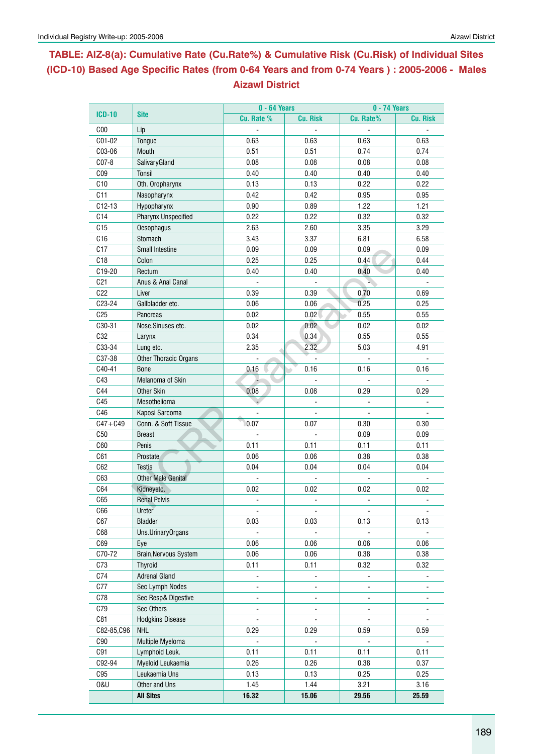# **Table: AIZ-8(a): Cumulative Rate (Cu.Rate%) & Cumulative Risk (Cu.Risk) of Individual Sites (ICD-10) Based Age Specific Rates (from 0-64 Years and from 0-74 Years ) : 2005-2006 - Males Aizawl District**

|                 |                           | $0 - 64$ Years           |                 | <b>0 - 74 Years</b>      |                 |  |  |  |
|-----------------|---------------------------|--------------------------|-----------------|--------------------------|-----------------|--|--|--|
| <b>ICD-10</b>   | <b>Site</b>               | Cu. Rate %               | <b>Cu. Risk</b> | Cu. Rate%                | <b>Cu. Risk</b> |  |  |  |
| C <sub>00</sub> | Lip                       |                          |                 |                          |                 |  |  |  |
| C01-02          | Tongue                    | 0.63                     | 0.63            | 0.63                     | 0.63            |  |  |  |
| C03-06          | Mouth                     | 0.51                     | 0.51            | 0.74                     | 0.74            |  |  |  |
| $C07-8$         | SalivaryGland             | 0.08                     | 0.08            | 0.08                     | 0.08            |  |  |  |
| CO9             | Tonsil                    | 0.40                     | 0.40            | 0.40                     | 0.40            |  |  |  |
| C10             | Oth. Oropharynx           | 0.13                     | 0.13            | 0.22                     | 0.22            |  |  |  |
| C11             | Nasopharynx               | 0.42                     | 0.42            | 0.95                     | 0.95            |  |  |  |
| $C12-13$        | Hypopharynx               | 0.90                     | 0.89            | 1.22                     | 1.21            |  |  |  |
| C14             | Pharynx Unspecified       | 0.22                     | 0.22            | 0.32                     | 0.32            |  |  |  |
| C15             | <b>Oesophagus</b>         | 2.63                     | 2.60            | 3.35                     | 3.29            |  |  |  |
| C16             | Stomach                   | 3.43                     | 3.37            | 6.81                     | 6.58            |  |  |  |
| C17             | <b>Small Intestine</b>    | 0.09                     | 0.09            | 0.09                     | 0.09            |  |  |  |
| C18             | Colon                     | 0.25                     | 0.25            | 0.44                     | 0.44            |  |  |  |
| C19-20          | Rectum                    | 0.40                     | 0.40            | 0.40                     | 0.40            |  |  |  |
| C <sub>21</sub> | Anus & Anal Canal         |                          |                 |                          |                 |  |  |  |
| C22             | Liver                     | 0.39                     | 0.39            | 0.70                     | 0.69            |  |  |  |
| C23-24          | Gallbladder etc.          | 0.06                     | 0.06            | 0.25                     | 0.25            |  |  |  |
| C <sub>25</sub> | Pancreas                  | 0.02                     | 0.02            | 0.55                     | 0.55            |  |  |  |
| C30-31          | Nose, Sinuses etc.        | 0.02                     | 0.02            | 0.02                     | 0.02            |  |  |  |
| C32             | Larynx                    | 0.34                     | 0.34            | 0.55                     | 0.55            |  |  |  |
| C33-34          | Lung etc.                 | 2.35                     | 2.32            | 5.03                     | 4.91            |  |  |  |
| C37-38          | Other Thoracic Organs     |                          |                 |                          |                 |  |  |  |
| C40-41          | <b>Bone</b>               | 0.16                     | 0.16            | 0.16                     | 0.16            |  |  |  |
| C43             | Melanoma of Skin          |                          |                 |                          |                 |  |  |  |
| C44             | <b>Other Skin</b>         | 0.08                     | 0.08            | 0.29                     | 0.29            |  |  |  |
| C45             | Mesothelioma              |                          |                 |                          |                 |  |  |  |
| C46             | Kaposi Sarcoma            |                          |                 |                          |                 |  |  |  |
| $C47 + C49$     | Conn. & Soft Tissue       | 0.07                     | 0.07            | 0.30                     | 0.30            |  |  |  |
| C50             | <b>Breast</b>             |                          |                 | 0.09                     | 0.09            |  |  |  |
| C60             | Penis                     | 0.11                     | 0.11            | 0.11                     | 0.11            |  |  |  |
| C61             | Prostate                  | 0.06                     | 0.06            | 0.38                     | 0.38            |  |  |  |
| C62             | <b>Testis</b>             | 0.04                     | 0.04            | 0.04                     | 0.04            |  |  |  |
| C63             | <b>Other Male Genital</b> |                          |                 |                          |                 |  |  |  |
| C64             | Kidneyetc.                | 0.02                     | 0.02            | 0.02                     | 0.02            |  |  |  |
| C65             | <b>Renal Pelvis</b>       | $\overline{a}$           | $\sim$          | $\overline{\phantom{a}}$ |                 |  |  |  |
| C66             | Ureter                    | $\blacksquare$           |                 | $\blacksquare$           | $\blacksquare$  |  |  |  |
| C67             | Bladder                   | 0.03                     | 0.03            | 0.13                     | 0.13            |  |  |  |
| C68             | Uns.UrinaryOrgans         |                          |                 |                          |                 |  |  |  |
| C69             | Eye                       | 0.06                     | 0.06            | 0.06                     | 0.06            |  |  |  |
| C70-72          | Brain, Nervous System     | 0.06                     | 0.06            | 0.38                     | 0.38            |  |  |  |
| C73             | <b>Thyroid</b>            | 0.11                     | 0.11            | 0.32                     | 0.32            |  |  |  |
| C74             | <b>Adrenal Gland</b>      |                          |                 |                          |                 |  |  |  |
| C77             | Sec Lymph Nodes           | ä,                       |                 | L.                       |                 |  |  |  |
| C78             | Sec Resp& Digestive       | $\blacksquare$           |                 |                          |                 |  |  |  |
| C79             | Sec Others                | $\overline{\phantom{0}}$ |                 |                          |                 |  |  |  |
| C81             | <b>Hodgkins Disease</b>   |                          |                 |                          |                 |  |  |  |
| C82-85,C96      | <b>NHL</b>                | 0.29                     | 0.29            | 0.59                     | 0.59            |  |  |  |
| C90             | Multiple Myeloma          |                          |                 |                          |                 |  |  |  |
| C91             | Lymphoid Leuk.            | 0.11                     | 0.11            | 0.11                     | 0.11            |  |  |  |
| C92-94          | Myeloid Leukaemia         | 0.26                     | 0.26            | 0.38                     | 0.37            |  |  |  |
| C95             | Leukaemia Uns             | 0.13                     | 0.13            | 0.25                     | 0.25            |  |  |  |
| <b>0&amp;U</b>  | Other and Uns             | 1.45                     | 1.44            | 3.21                     | 3.16            |  |  |  |
|                 | <b>All Sites</b>          | 16.32                    | 15.06           | 29.56                    | 25.59           |  |  |  |